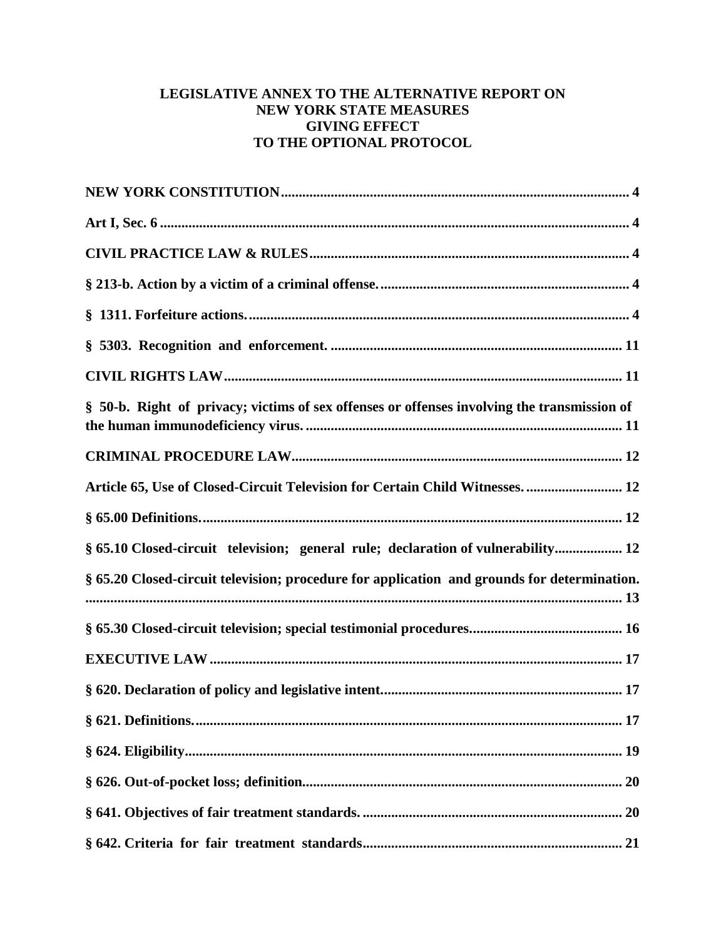# **LEGISLATIVE ANNEX TO THE ALTERNATIVE REPORT ON NEW YORK STATE MEASURES GIVING EFFECT TO THE OPTIONAL PROTOCOL**

| § 50-b. Right of privacy; victims of sex offenses or offenses involving the transmission of |
|---------------------------------------------------------------------------------------------|
|                                                                                             |
| Article 65, Use of Closed-Circuit Television for Certain Child Witnesses.  12               |
|                                                                                             |
| § 65.10 Closed-circuit television; general rule; declaration of vulnerability 12            |
| § 65.20 Closed-circuit television; procedure for application and grounds for determination. |
|                                                                                             |
|                                                                                             |
|                                                                                             |
|                                                                                             |
|                                                                                             |
|                                                                                             |
|                                                                                             |
|                                                                                             |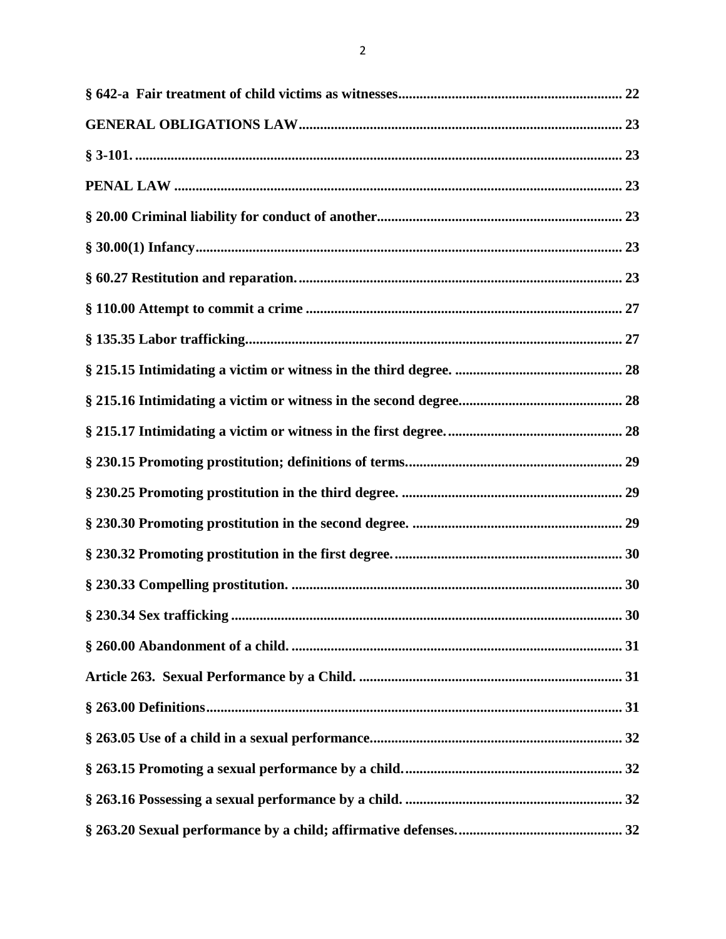| .30 |  |
|-----|--|
|     |  |
|     |  |
|     |  |
|     |  |
|     |  |
|     |  |
|     |  |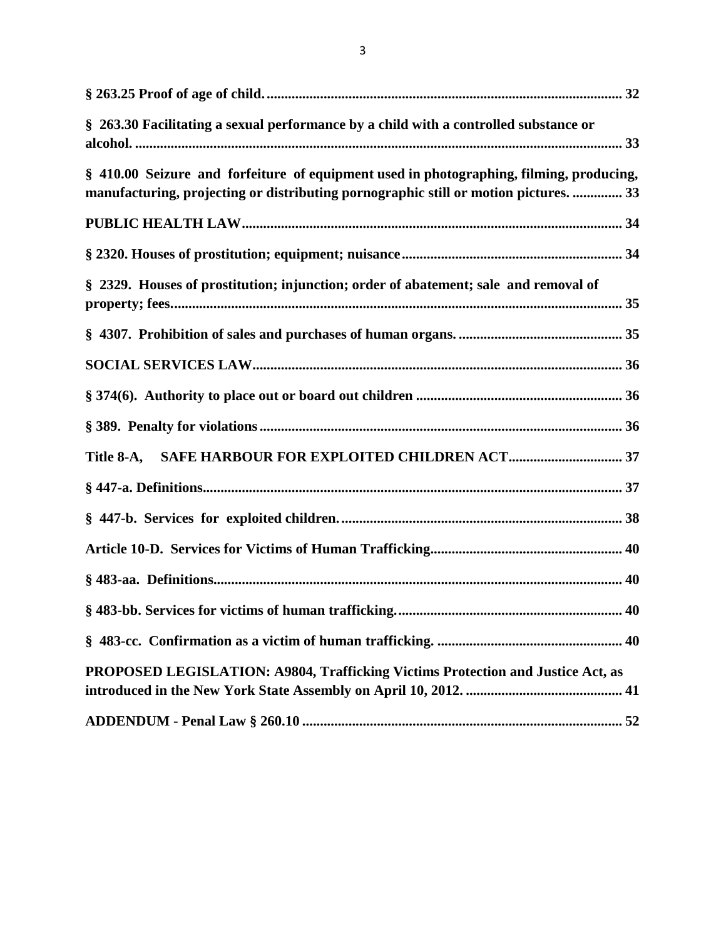| § 263.30 Facilitating a sexual performance by a child with a controlled substance or                                                                                            |
|---------------------------------------------------------------------------------------------------------------------------------------------------------------------------------|
| § 410.00 Seizure and forfeiture of equipment used in photographing, filming, producing,<br>manufacturing, projecting or distributing pornographic still or motion pictures.  33 |
|                                                                                                                                                                                 |
|                                                                                                                                                                                 |
| § 2329. Houses of prostitution; injunction; order of abatement; sale and removal of                                                                                             |
|                                                                                                                                                                                 |
|                                                                                                                                                                                 |
|                                                                                                                                                                                 |
|                                                                                                                                                                                 |
| Title 8-A,                                                                                                                                                                      |
|                                                                                                                                                                                 |
|                                                                                                                                                                                 |
|                                                                                                                                                                                 |
|                                                                                                                                                                                 |
| 40                                                                                                                                                                              |
|                                                                                                                                                                                 |
| PROPOSED LEGISLATION: A9804, Trafficking Victims Protection and Justice Act, as                                                                                                 |
|                                                                                                                                                                                 |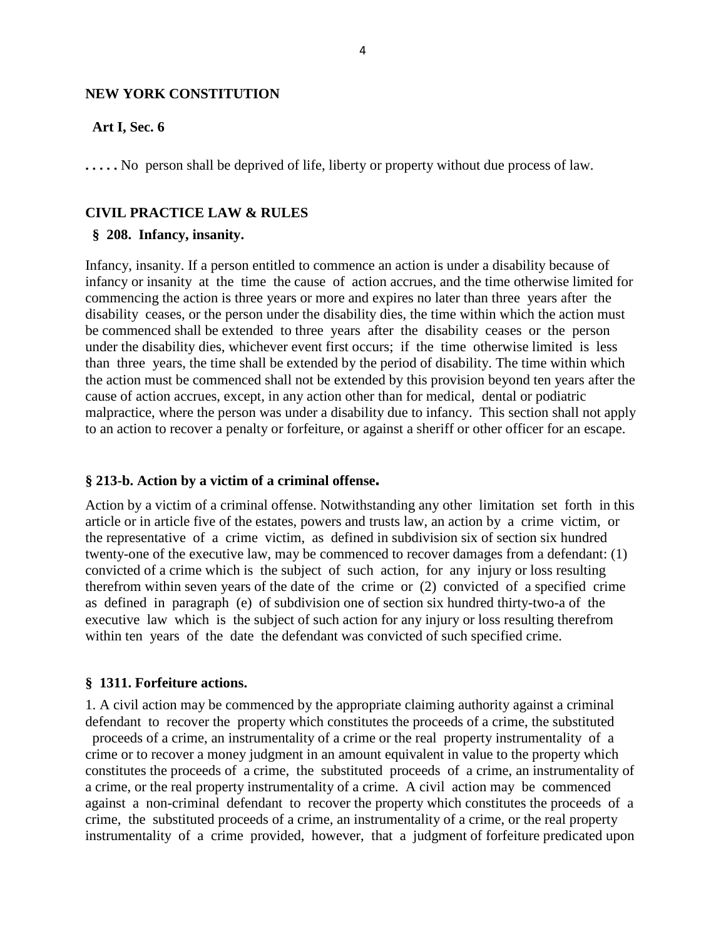## <span id="page-3-0"></span>**NEW YORK CONSTITUTION**

## <span id="page-3-1"></span> **Art I, Sec. 6**

**. . . . .** No person shall be deprived of life, liberty or property without due process of law.

## <span id="page-3-2"></span>**CIVIL PRACTICE LAW & RULES**

## **§ 208. Infancy, insanity.**

Infancy, insanity. If a person entitled to commence an action is under a disability because of infancy or insanity at the time the cause of action accrues, and the time otherwise limited for commencing the action is three years or more and expires no later than three years after the disability ceases, or the person under the disability dies, the time within which the action must be commenced shall be extended to three years after the disability ceases or the person under the disability dies, whichever event first occurs; if the time otherwise limited is less than three years, the time shall be extended by the period of disability. The time within which the action must be commenced shall not be extended by this provision beyond ten years after the cause of action accrues, except, in any action other than for medical, dental or podiatric malpractice, where the person was under a disability due to infancy. This section shall not apply to an action to recover a penalty or forfeiture, or against a sheriff or other officer for an escape.

## <span id="page-3-3"></span>**§ 213-b. Action by a victim of a criminal offense.**

Action by a victim of a criminal offense. Notwithstanding any other limitation set forth in this article or in article five of the estates, powers and trusts law, an action by a crime victim, or the representative of a crime victim, as defined in subdivision six of section six hundred twenty-one of the executive law, may be commenced to recover damages from a defendant: (1) convicted of a crime which is the subject of such action, for any injury or loss resulting therefrom within seven years of the date of the crime or (2) convicted of a specified crime as defined in paragraph (e) of subdivision one of section six hundred thirty-two-a of the executive law which is the subject of such action for any injury or loss resulting therefrom within ten years of the date the defendant was convicted of such specified crime.

## <span id="page-3-4"></span>**§ 1311. Forfeiture actions.**

1. A civil action may be commenced by the appropriate claiming authority against a criminal defendant to recover the property which constitutes the proceeds of a crime, the substituted proceeds of a crime, an instrumentality of a crime or the real property instrumentality of a crime or to recover a money judgment in an amount equivalent in value to the property which constitutes the proceeds of a crime, the substituted proceeds of a crime, an instrumentality of a crime, or the real property instrumentality of a crime. A civil action may be commenced against a non-criminal defendant to recover the property which constitutes the proceeds of a crime, the substituted proceeds of a crime, an instrumentality of a crime, or the real property instrumentality of a crime provided, however, that a judgment of forfeiture predicated upon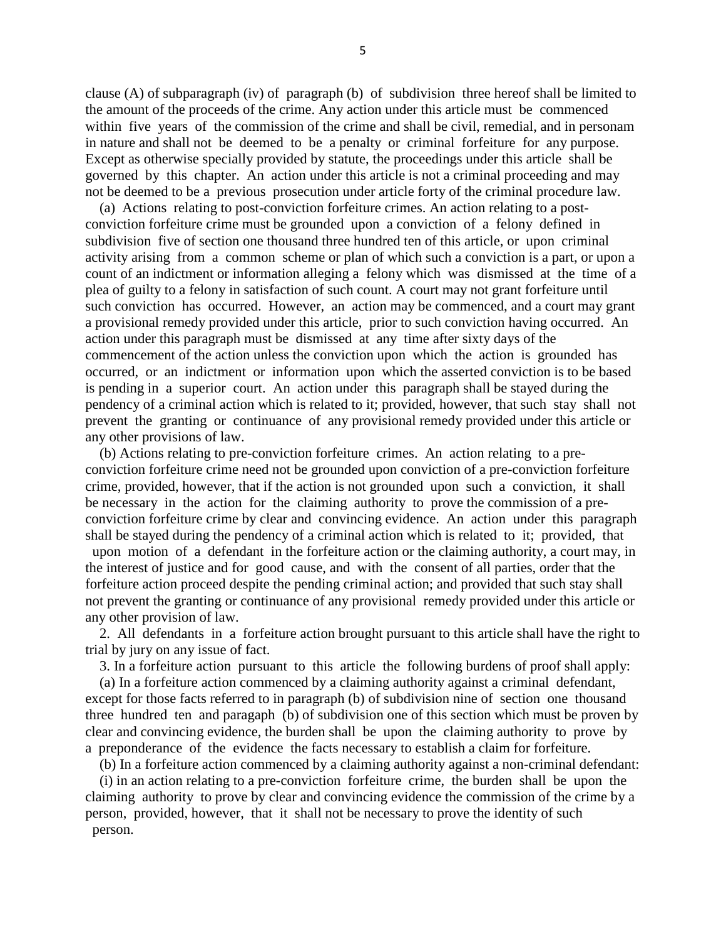clause (A) of subparagraph (iv) of paragraph (b) of subdivision three hereof shall be limited to the amount of the proceeds of the crime. Any action under this article must be commenced within five years of the commission of the crime and shall be civil, remedial, and in personam in nature and shall not be deemed to be a penalty or criminal forfeiture for any purpose. Except as otherwise specially provided by statute, the proceedings under this article shall be governed by this chapter. An action under this article is not a criminal proceeding and may not be deemed to be a previous prosecution under article forty of the criminal procedure law.

 (a) Actions relating to post-conviction forfeiture crimes. An action relating to a postconviction forfeiture crime must be grounded upon a conviction of a felony defined in subdivision five of section one thousand three hundred ten of this article, or upon criminal activity arising from a common scheme or plan of which such a conviction is a part, or upon a count of an indictment or information alleging a felony which was dismissed at the time of a plea of guilty to a felony in satisfaction of such count. A court may not grant forfeiture until such conviction has occurred. However, an action may be commenced, and a court may grant a provisional remedy provided under this article, prior to such conviction having occurred. An action under this paragraph must be dismissed at any time after sixty days of the commencement of the action unless the conviction upon which the action is grounded has occurred, or an indictment or information upon which the asserted conviction is to be based is pending in a superior court. An action under this paragraph shall be stayed during the pendency of a criminal action which is related to it; provided, however, that such stay shall not prevent the granting or continuance of any provisional remedy provided under this article or any other provisions of law.

 (b) Actions relating to pre-conviction forfeiture crimes. An action relating to a preconviction forfeiture crime need not be grounded upon conviction of a pre-conviction forfeiture crime, provided, however, that if the action is not grounded upon such a conviction, it shall be necessary in the action for the claiming authority to prove the commission of a preconviction forfeiture crime by clear and convincing evidence. An action under this paragraph shall be stayed during the pendency of a criminal action which is related to it; provided, that

 upon motion of a defendant in the forfeiture action or the claiming authority, a court may, in the interest of justice and for good cause, and with the consent of all parties, order that the forfeiture action proceed despite the pending criminal action; and provided that such stay shall not prevent the granting or continuance of any provisional remedy provided under this article or any other provision of law.

 2. All defendants in a forfeiture action brought pursuant to this article shall have the right to trial by jury on any issue of fact.

3. In a forfeiture action pursuant to this article the following burdens of proof shall apply:

 (a) In a forfeiture action commenced by a claiming authority against a criminal defendant, except for those facts referred to in paragraph (b) of subdivision nine of section one thousand three hundred ten and paragaph (b) of subdivision one of this section which must be proven by clear and convincing evidence, the burden shall be upon the claiming authority to prove by a preponderance of the evidence the facts necessary to establish a claim for forfeiture.

(b) In a forfeiture action commenced by a claiming authority against a non-criminal defendant:

 (i) in an action relating to a pre-conviction forfeiture crime, the burden shall be upon the claiming authority to prove by clear and convincing evidence the commission of the crime by a person, provided, however, that it shall not be necessary to prove the identity of such person.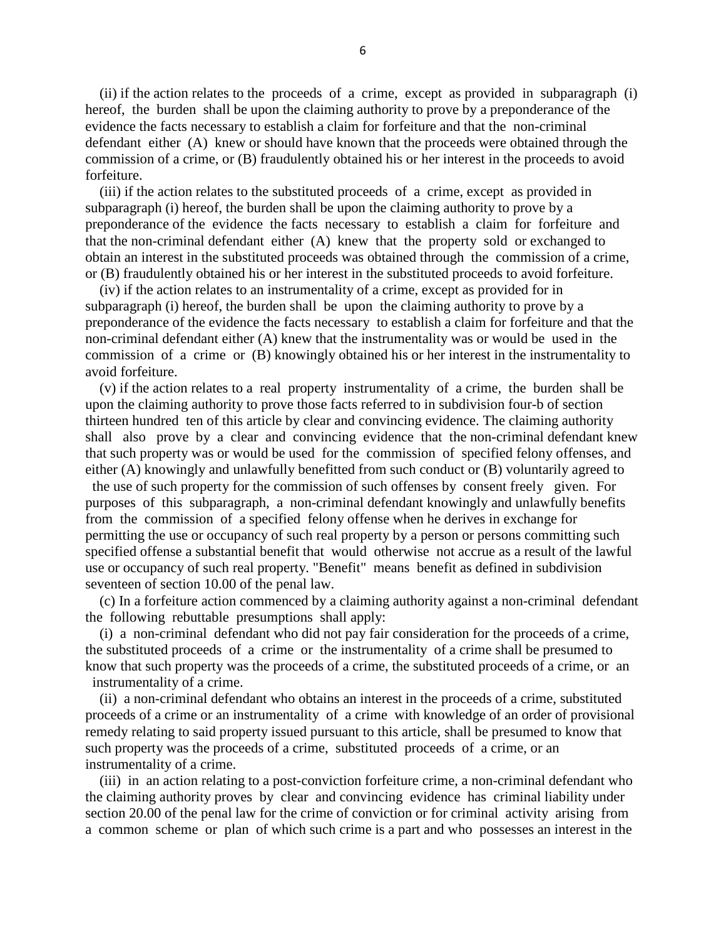(ii) if the action relates to the proceeds of a crime, except as provided in subparagraph (i) hereof, the burden shall be upon the claiming authority to prove by a preponderance of the evidence the facts necessary to establish a claim for forfeiture and that the non-criminal defendant either (A) knew or should have known that the proceeds were obtained through the commission of a crime, or (B) fraudulently obtained his or her interest in the proceeds to avoid forfeiture.

 (iii) if the action relates to the substituted proceeds of a crime, except as provided in subparagraph (i) hereof, the burden shall be upon the claiming authority to prove by a preponderance of the evidence the facts necessary to establish a claim for forfeiture and that the non-criminal defendant either (A) knew that the property sold or exchanged to obtain an interest in the substituted proceeds was obtained through the commission of a crime, or (B) fraudulently obtained his or her interest in the substituted proceeds to avoid forfeiture.

 (iv) if the action relates to an instrumentality of a crime, except as provided for in subparagraph (i) hereof, the burden shall be upon the claiming authority to prove by a preponderance of the evidence the facts necessary to establish a claim for forfeiture and that the non-criminal defendant either (A) knew that the instrumentality was or would be used in the commission of a crime or (B) knowingly obtained his or her interest in the instrumentality to avoid forfeiture.

 (v) if the action relates to a real property instrumentality of a crime, the burden shall be upon the claiming authority to prove those facts referred to in subdivision four-b of section thirteen hundred ten of this article by clear and convincing evidence. The claiming authority shall also prove by a clear and convincing evidence that the non-criminal defendant knew that such property was or would be used for the commission of specified felony offenses, and either (A) knowingly and unlawfully benefitted from such conduct or (B) voluntarily agreed to

 the use of such property for the commission of such offenses by consent freely given. For purposes of this subparagraph, a non-criminal defendant knowingly and unlawfully benefits from the commission of a specified felony offense when he derives in exchange for permitting the use or occupancy of such real property by a person or persons committing such specified offense a substantial benefit that would otherwise not accrue as a result of the lawful use or occupancy of such real property. "Benefit" means benefit as defined in subdivision seventeen of section 10.00 of the penal law.

 (c) In a forfeiture action commenced by a claiming authority against a non-criminal defendant the following rebuttable presumptions shall apply:

 (i) a non-criminal defendant who did not pay fair consideration for the proceeds of a crime, the substituted proceeds of a crime or the instrumentality of a crime shall be presumed to know that such property was the proceeds of a crime, the substituted proceeds of a crime, or an instrumentality of a crime.

 (ii) a non-criminal defendant who obtains an interest in the proceeds of a crime, substituted proceeds of a crime or an instrumentality of a crime with knowledge of an order of provisional remedy relating to said property issued pursuant to this article, shall be presumed to know that such property was the proceeds of a crime, substituted proceeds of a crime, or an instrumentality of a crime.

 (iii) in an action relating to a post-conviction forfeiture crime, a non-criminal defendant who the claiming authority proves by clear and convincing evidence has criminal liability under section 20.00 of the penal law for the crime of conviction or for criminal activity arising from a common scheme or plan of which such crime is a part and who possesses an interest in the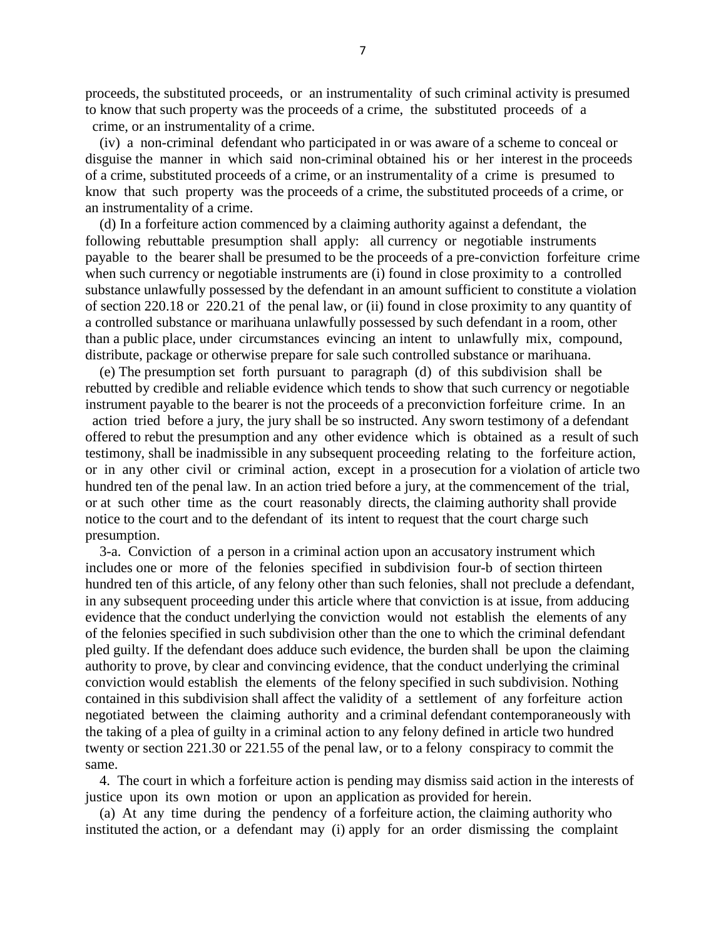proceeds, the substituted proceeds, or an instrumentality of such criminal activity is presumed to know that such property was the proceeds of a crime, the substituted proceeds of a crime, or an instrumentality of a crime.

 (iv) a non-criminal defendant who participated in or was aware of a scheme to conceal or disguise the manner in which said non-criminal obtained his or her interest in the proceeds of a crime, substituted proceeds of a crime, or an instrumentality of a crime is presumed to know that such property was the proceeds of a crime, the substituted proceeds of a crime, or an instrumentality of a crime.

 (d) In a forfeiture action commenced by a claiming authority against a defendant, the following rebuttable presumption shall apply: all currency or negotiable instruments payable to the bearer shall be presumed to be the proceeds of a pre-conviction forfeiture crime when such currency or negotiable instruments are (i) found in close proximity to a controlled substance unlawfully possessed by the defendant in an amount sufficient to constitute a violation of section 220.18 or 220.21 of the penal law, or (ii) found in close proximity to any quantity of a controlled substance or marihuana unlawfully possessed by such defendant in a room, other than a public place, under circumstances evincing an intent to unlawfully mix, compound, distribute, package or otherwise prepare for sale such controlled substance or marihuana.

 (e) The presumption set forth pursuant to paragraph (d) of this subdivision shall be rebutted by credible and reliable evidence which tends to show that such currency or negotiable instrument payable to the bearer is not the proceeds of a preconviction forfeiture crime. In an

 action tried before a jury, the jury shall be so instructed. Any sworn testimony of a defendant offered to rebut the presumption and any other evidence which is obtained as a result of such testimony, shall be inadmissible in any subsequent proceeding relating to the forfeiture action, or in any other civil or criminal action, except in a prosecution for a violation of article two hundred ten of the penal law. In an action tried before a jury, at the commencement of the trial, or at such other time as the court reasonably directs, the claiming authority shall provide notice to the court and to the defendant of its intent to request that the court charge such presumption.

 3-a. Conviction of a person in a criminal action upon an accusatory instrument which includes one or more of the felonies specified in subdivision four-b of section thirteen hundred ten of this article, of any felony other than such felonies, shall not preclude a defendant, in any subsequent proceeding under this article where that conviction is at issue, from adducing evidence that the conduct underlying the conviction would not establish the elements of any of the felonies specified in such subdivision other than the one to which the criminal defendant pled guilty. If the defendant does adduce such evidence, the burden shall be upon the claiming authority to prove, by clear and convincing evidence, that the conduct underlying the criminal conviction would establish the elements of the felony specified in such subdivision. Nothing contained in this subdivision shall affect the validity of a settlement of any forfeiture action negotiated between the claiming authority and a criminal defendant contemporaneously with the taking of a plea of guilty in a criminal action to any felony defined in article two hundred twenty or section 221.30 or 221.55 of the penal law, or to a felony conspiracy to commit the same.

 4. The court in which a forfeiture action is pending may dismiss said action in the interests of justice upon its own motion or upon an application as provided for herein.

 (a) At any time during the pendency of a forfeiture action, the claiming authority who instituted the action, or a defendant may (i) apply for an order dismissing the complaint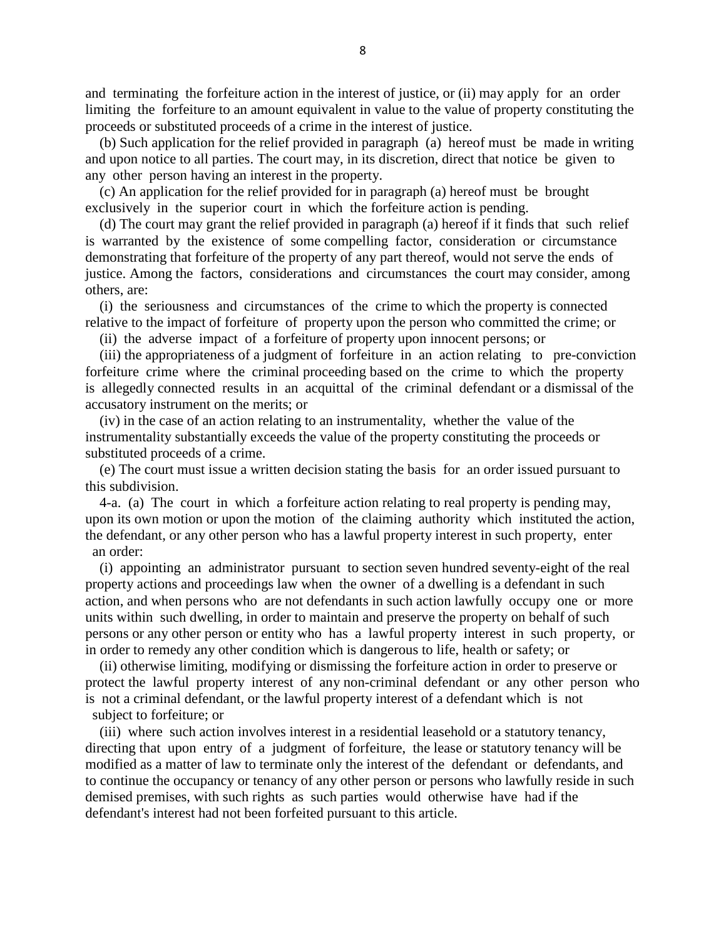and terminating the forfeiture action in the interest of justice, or (ii) may apply for an order limiting the forfeiture to an amount equivalent in value to the value of property constituting the proceeds or substituted proceeds of a crime in the interest of justice.

 (b) Such application for the relief provided in paragraph (a) hereof must be made in writing and upon notice to all parties. The court may, in its discretion, direct that notice be given to any other person having an interest in the property.

 (c) An application for the relief provided for in paragraph (a) hereof must be brought exclusively in the superior court in which the forfeiture action is pending.

 (d) The court may grant the relief provided in paragraph (a) hereof if it finds that such relief is warranted by the existence of some compelling factor, consideration or circumstance demonstrating that forfeiture of the property of any part thereof, would not serve the ends of justice. Among the factors, considerations and circumstances the court may consider, among others, are:

 (i) the seriousness and circumstances of the crime to which the property is connected relative to the impact of forfeiture of property upon the person who committed the crime; or

(ii) the adverse impact of a forfeiture of property upon innocent persons; or

 (iii) the appropriateness of a judgment of forfeiture in an action relating to pre-conviction forfeiture crime where the criminal proceeding based on the crime to which the property is allegedly connected results in an acquittal of the criminal defendant or a dismissal of the accusatory instrument on the merits; or

 (iv) in the case of an action relating to an instrumentality, whether the value of the instrumentality substantially exceeds the value of the property constituting the proceeds or substituted proceeds of a crime.

 (e) The court must issue a written decision stating the basis for an order issued pursuant to this subdivision.

 4-a. (a) The court in which a forfeiture action relating to real property is pending may, upon its own motion or upon the motion of the claiming authority which instituted the action, the defendant, or any other person who has a lawful property interest in such property, enter an order:

 (i) appointing an administrator pursuant to section seven hundred seventy-eight of the real property actions and proceedings law when the owner of a dwelling is a defendant in such action, and when persons who are not defendants in such action lawfully occupy one or more units within such dwelling, in order to maintain and preserve the property on behalf of such persons or any other person or entity who has a lawful property interest in such property, or in order to remedy any other condition which is dangerous to life, health or safety; or

 (ii) otherwise limiting, modifying or dismissing the forfeiture action in order to preserve or protect the lawful property interest of any non-criminal defendant or any other person who is not a criminal defendant, or the lawful property interest of a defendant which is not subject to forfeiture; or

 (iii) where such action involves interest in a residential leasehold or a statutory tenancy, directing that upon entry of a judgment of forfeiture, the lease or statutory tenancy will be modified as a matter of law to terminate only the interest of the defendant or defendants, and to continue the occupancy or tenancy of any other person or persons who lawfully reside in such demised premises, with such rights as such parties would otherwise have had if the defendant's interest had not been forfeited pursuant to this article.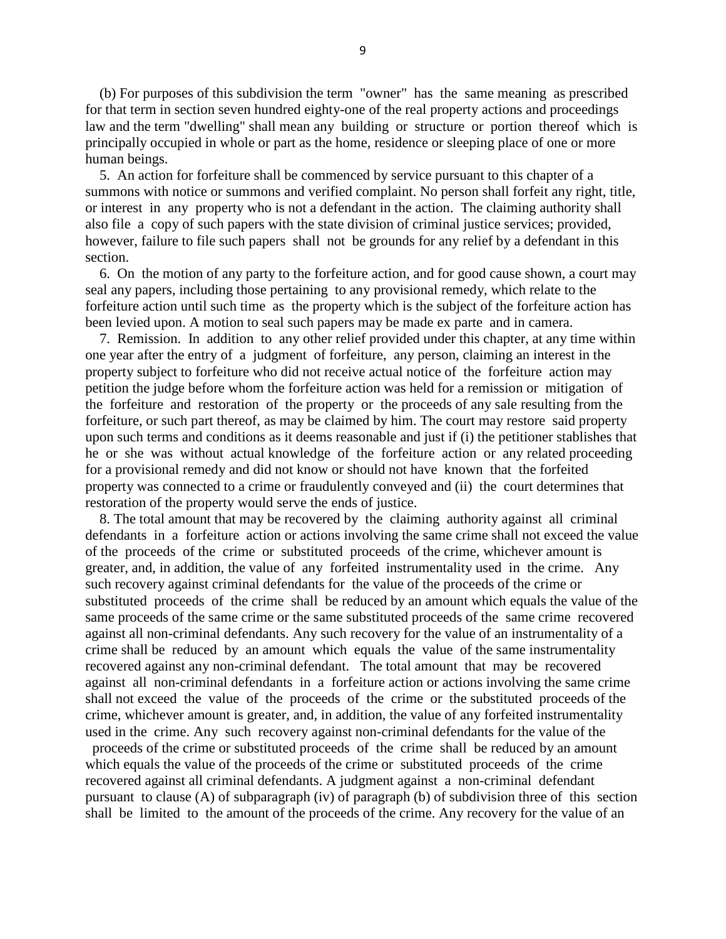(b) For purposes of this subdivision the term "owner" has the same meaning as prescribed for that term in section seven hundred eighty-one of the real property actions and proceedings law and the term "dwelling" shall mean any building or structure or portion thereof which is principally occupied in whole or part as the home, residence or sleeping place of one or more human beings.

 5. An action for forfeiture shall be commenced by service pursuant to this chapter of a summons with notice or summons and verified complaint. No person shall forfeit any right, title, or interest in any property who is not a defendant in the action. The claiming authority shall also file a copy of such papers with the state division of criminal justice services; provided, however, failure to file such papers shall not be grounds for any relief by a defendant in this section.

 6. On the motion of any party to the forfeiture action, and for good cause shown, a court may seal any papers, including those pertaining to any provisional remedy, which relate to the forfeiture action until such time as the property which is the subject of the forfeiture action has been levied upon. A motion to seal such papers may be made ex parte and in camera.

 7. Remission. In addition to any other relief provided under this chapter, at any time within one year after the entry of a judgment of forfeiture, any person, claiming an interest in the property subject to forfeiture who did not receive actual notice of the forfeiture action may petition the judge before whom the forfeiture action was held for a remission or mitigation of the forfeiture and restoration of the property or the proceeds of any sale resulting from the forfeiture, or such part thereof, as may be claimed by him. The court may restore said property upon such terms and conditions as it deems reasonable and just if (i) the petitioner stablishes that he or she was without actual knowledge of the forfeiture action or any related proceeding for a provisional remedy and did not know or should not have known that the forfeited property was connected to a crime or fraudulently conveyed and (ii) the court determines that restoration of the property would serve the ends of justice.

 8. The total amount that may be recovered by the claiming authority against all criminal defendants in a forfeiture action or actions involving the same crime shall not exceed the value of the proceeds of the crime or substituted proceeds of the crime, whichever amount is greater, and, in addition, the value of any forfeited instrumentality used in the crime. Any such recovery against criminal defendants for the value of the proceeds of the crime or substituted proceeds of the crime shall be reduced by an amount which equals the value of the same proceeds of the same crime or the same substituted proceeds of the same crime recovered against all non-criminal defendants. Any such recovery for the value of an instrumentality of a crime shall be reduced by an amount which equals the value of the same instrumentality recovered against any non-criminal defendant. The total amount that may be recovered against all non-criminal defendants in a forfeiture action or actions involving the same crime shall not exceed the value of the proceeds of the crime or the substituted proceeds of the crime, whichever amount is greater, and, in addition, the value of any forfeited instrumentality used in the crime. Any such recovery against non-criminal defendants for the value of the

 proceeds of the crime or substituted proceeds of the crime shall be reduced by an amount which equals the value of the proceeds of the crime or substituted proceeds of the crime recovered against all criminal defendants. A judgment against a non-criminal defendant pursuant to clause (A) of subparagraph (iv) of paragraph (b) of subdivision three of this section shall be limited to the amount of the proceeds of the crime. Any recovery for the value of an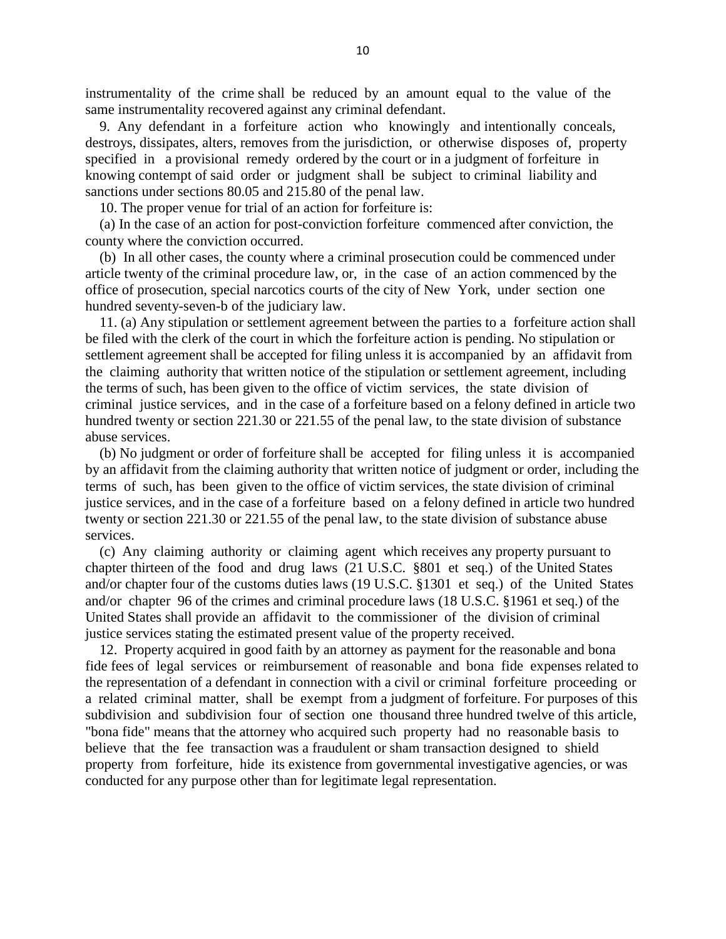instrumentality of the crime shall be reduced by an amount equal to the value of the same instrumentality recovered against any criminal defendant.

 9. Any defendant in a forfeiture action who knowingly and intentionally conceals, destroys, dissipates, alters, removes from the jurisdiction, or otherwise disposes of, property specified in a provisional remedy ordered by the court or in a judgment of forfeiture in knowing contempt of said order or judgment shall be subject to criminal liability and sanctions under sections 80.05 and 215.80 of the penal law.

10. The proper venue for trial of an action for forfeiture is:

 (a) In the case of an action for post-conviction forfeiture commenced after conviction, the county where the conviction occurred.

 (b) In all other cases, the county where a criminal prosecution could be commenced under article twenty of the criminal procedure law, or, in the case of an action commenced by the office of prosecution, special narcotics courts of the city of New York, under section one hundred seventy-seven-b of the judiciary law.

 11. (a) Any stipulation or settlement agreement between the parties to a forfeiture action shall be filed with the clerk of the court in which the forfeiture action is pending. No stipulation or settlement agreement shall be accepted for filing unless it is accompanied by an affidavit from the claiming authority that written notice of the stipulation or settlement agreement, including the terms of such, has been given to the office of victim services, the state division of criminal justice services, and in the case of a forfeiture based on a felony defined in article two hundred twenty or section 221.30 or 221.55 of the penal law, to the state division of substance abuse services.

 (b) No judgment or order of forfeiture shall be accepted for filing unless it is accompanied by an affidavit from the claiming authority that written notice of judgment or order, including the terms of such, has been given to the office of victim services, the state division of criminal justice services, and in the case of a forfeiture based on a felony defined in article two hundred twenty or section 221.30 or 221.55 of the penal law, to the state division of substance abuse services.

 (c) Any claiming authority or claiming agent which receives any property pursuant to chapter thirteen of the food and drug laws (21 U.S.C. §801 et seq.) of the United States and/or chapter four of the customs duties laws (19 U.S.C. §1301 et seq.) of the United States and/or chapter 96 of the crimes and criminal procedure laws (18 U.S.C. §1961 et seq.) of the United States shall provide an affidavit to the commissioner of the division of criminal justice services stating the estimated present value of the property received.

 12. Property acquired in good faith by an attorney as payment for the reasonable and bona fide fees of legal services or reimbursement of reasonable and bona fide expenses related to the representation of a defendant in connection with a civil or criminal forfeiture proceeding or a related criminal matter, shall be exempt from a judgment of forfeiture. For purposes of this subdivision and subdivision four of section one thousand three hundred twelve of this article, "bona fide" means that the attorney who acquired such property had no reasonable basis to believe that the fee transaction was a fraudulent or sham transaction designed to shield property from forfeiture, hide its existence from governmental investigative agencies, or was conducted for any purpose other than for legitimate legal representation.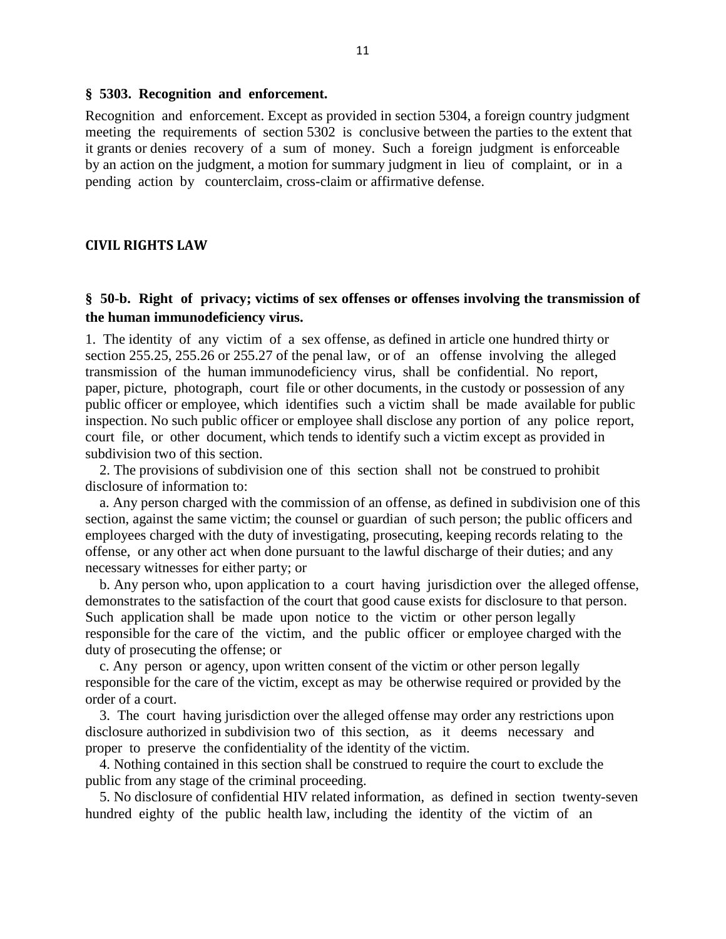#### <span id="page-10-0"></span>**§ 5303. Recognition and enforcement.**

Recognition and enforcement. Except as provided in section 5304, a foreign country judgment meeting the requirements of section 5302 is conclusive between the parties to the extent that it grants or denies recovery of a sum of money. Such a foreign judgment is enforceable by an action on the judgment, a motion for summary judgment in lieu of complaint, or in a pending action by counterclaim, cross-claim or affirmative defense.

## <span id="page-10-1"></span>**CIVIL RIGHTS LAW**

## <span id="page-10-2"></span>**§ 50-b. Right of privacy; victims of sex offenses or offenses involving the transmission of the human immunodeficiency virus.**

1. The identity of any victim of a sex offense, as defined in article one hundred thirty or section 255.25, 255.26 or 255.27 of the penal law, or of an offense involving the alleged transmission of the human immunodeficiency virus, shall be confidential. No report, paper, picture, photograph, court file or other documents, in the custody or possession of any public officer or employee, which identifies such a victim shall be made available for public inspection. No such public officer or employee shall disclose any portion of any police report, court file, or other document, which tends to identify such a victim except as provided in subdivision two of this section.

 2. The provisions of subdivision one of this section shall not be construed to prohibit disclosure of information to:

 a. Any person charged with the commission of an offense, as defined in subdivision one of this section, against the same victim; the counsel or guardian of such person; the public officers and employees charged with the duty of investigating, prosecuting, keeping records relating to the offense, or any other act when done pursuant to the lawful discharge of their duties; and any necessary witnesses for either party; or

 b. Any person who, upon application to a court having jurisdiction over the alleged offense, demonstrates to the satisfaction of the court that good cause exists for disclosure to that person. Such application shall be made upon notice to the victim or other person legally responsible for the care of the victim, and the public officer or employee charged with the duty of prosecuting the offense; or

 c. Any person or agency, upon written consent of the victim or other person legally responsible for the care of the victim, except as may be otherwise required or provided by the order of a court.

 3. The court having jurisdiction over the alleged offense may order any restrictions upon disclosure authorized in subdivision two of this section, as it deems necessary and proper to preserve the confidentiality of the identity of the victim.

 4. Nothing contained in this section shall be construed to require the court to exclude the public from any stage of the criminal proceeding.

 5. No disclosure of confidential HIV related information, as defined in section twenty-seven hundred eighty of the public health law, including the identity of the victim of an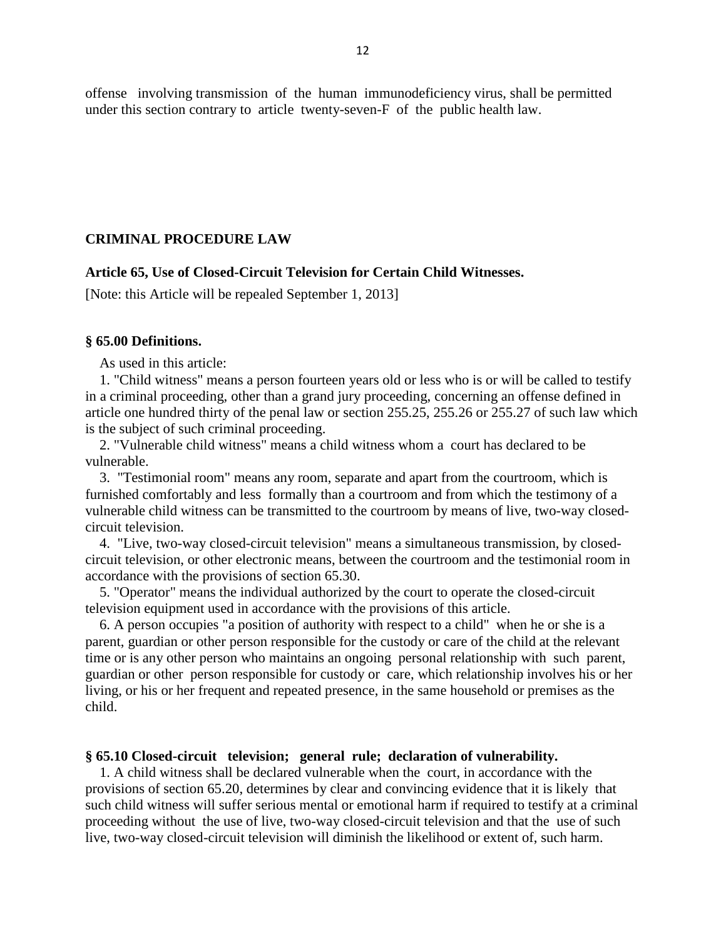offense involving transmission of the human immunodeficiency virus, shall be permitted under this section contrary to article twenty-seven-F of the public health law.

### <span id="page-11-0"></span>**CRIMINAL PROCEDURE LAW**

#### <span id="page-11-1"></span>**Article 65, Use of Closed-Circuit Television for Certain Child Witnesses.**

[Note: this Article will be repealed September 1, 2013]

#### <span id="page-11-2"></span>**§ 65.00 Definitions.**

As used in this article:

 1. "Child witness" means a person fourteen years old or less who is or will be called to testify in a criminal proceeding, other than a grand jury proceeding, concerning an offense defined in article one hundred thirty of the penal law or section 255.25, 255.26 or 255.27 of such law which is the subject of such criminal proceeding.

 2. "Vulnerable child witness" means a child witness whom a court has declared to be vulnerable.

 3. "Testimonial room" means any room, separate and apart from the courtroom, which is furnished comfortably and less formally than a courtroom and from which the testimony of a vulnerable child witness can be transmitted to the courtroom by means of live, two-way closedcircuit television.

 4. "Live, two-way closed-circuit television" means a simultaneous transmission, by closedcircuit television, or other electronic means, between the courtroom and the testimonial room in accordance with the provisions of section 65.30.

 5. "Operator" means the individual authorized by the court to operate the closed-circuit television equipment used in accordance with the provisions of this article.

 6. A person occupies "a position of authority with respect to a child" when he or she is a parent, guardian or other person responsible for the custody or care of the child at the relevant time or is any other person who maintains an ongoing personal relationship with such parent, guardian or other person responsible for custody or care, which relationship involves his or her living, or his or her frequent and repeated presence, in the same household or premises as the child.

## <span id="page-11-3"></span>**§ 65.10 Closed-circuit television; general rule; declaration of vulnerability.**

 1. A child witness shall be declared vulnerable when the court, in accordance with the provisions of section 65.20, determines by clear and convincing evidence that it is likely that such child witness will suffer serious mental or emotional harm if required to testify at a criminal proceeding without the use of live, two-way closed-circuit television and that the use of such live, two-way closed-circuit television will diminish the likelihood or extent of, such harm.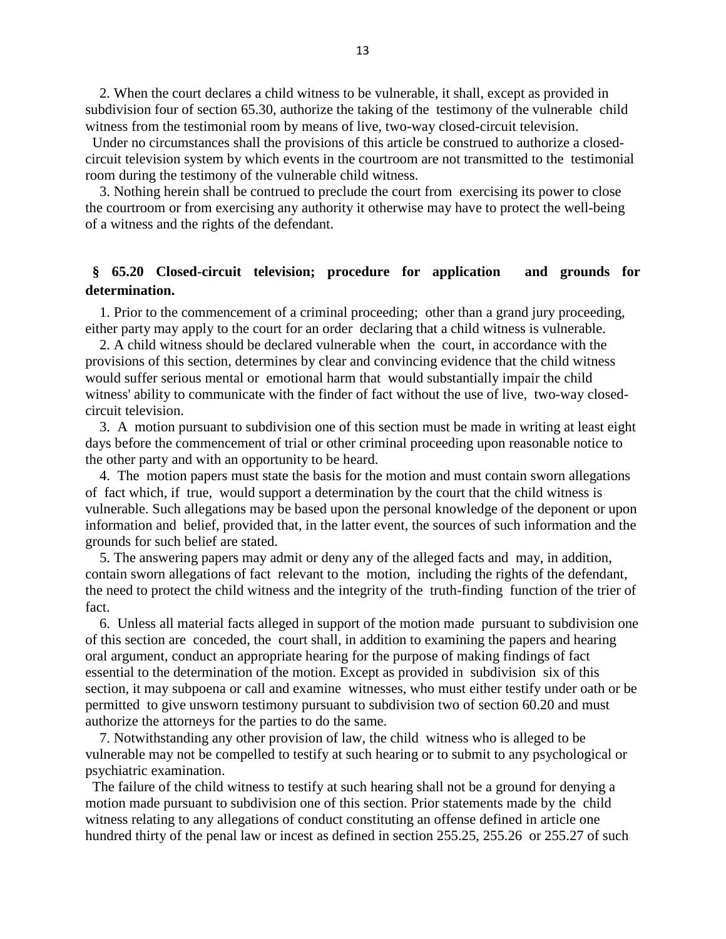2. When the court declares a child witness to be vulnerable, it shall, except as provided in subdivision four of section 65.30, authorize the taking of the testimony of the vulnerable child witness from the testimonial room by means of live, two-way closed-circuit television.

 Under no circumstances shall the provisions of this article be construed to authorize a closedcircuit television system by which events in the courtroom are not transmitted to the testimonial room during the testimony of the vulnerable child witness.

 3. Nothing herein shall be contrued to preclude the court from exercising its power to close the courtroom or from exercising any authority it otherwise may have to protect the well-being of a witness and the rights of the defendant.

## <span id="page-12-0"></span> **§ 65.20 Closed-circuit television; procedure for application and grounds for determination.**

 1. Prior to the commencement of a criminal proceeding; other than a grand jury proceeding, either party may apply to the court for an order declaring that a child witness is vulnerable.

 2. A child witness should be declared vulnerable when the court, in accordance with the provisions of this section, determines by clear and convincing evidence that the child witness would suffer serious mental or emotional harm that would substantially impair the child witness' ability to communicate with the finder of fact without the use of live, two-way closedcircuit television.

 3. A motion pursuant to subdivision one of this section must be made in writing at least eight days before the commencement of trial or other criminal proceeding upon reasonable notice to the other party and with an opportunity to be heard.

 4. The motion papers must state the basis for the motion and must contain sworn allegations of fact which, if true, would support a determination by the court that the child witness is vulnerable. Such allegations may be based upon the personal knowledge of the deponent or upon information and belief, provided that, in the latter event, the sources of such information and the grounds for such belief are stated.

 5. The answering papers may admit or deny any of the alleged facts and may, in addition, contain sworn allegations of fact relevant to the motion, including the rights of the defendant, the need to protect the child witness and the integrity of the truth-finding function of the trier of fact.

 6. Unless all material facts alleged in support of the motion made pursuant to subdivision one of this section are conceded, the court shall, in addition to examining the papers and hearing oral argument, conduct an appropriate hearing for the purpose of making findings of fact essential to the determination of the motion. Except as provided in subdivision six of this section, it may subpoena or call and examine witnesses, who must either testify under oath or be permitted to give unsworn testimony pursuant to subdivision two of section 60.20 and must authorize the attorneys for the parties to do the same.

 7. Notwithstanding any other provision of law, the child witness who is alleged to be vulnerable may not be compelled to testify at such hearing or to submit to any psychological or psychiatric examination.

 The failure of the child witness to testify at such hearing shall not be a ground for denying a motion made pursuant to subdivision one of this section. Prior statements made by the child witness relating to any allegations of conduct constituting an offense defined in article one hundred thirty of the penal law or incest as defined in section 255.25, 255.26 or 255.27 of such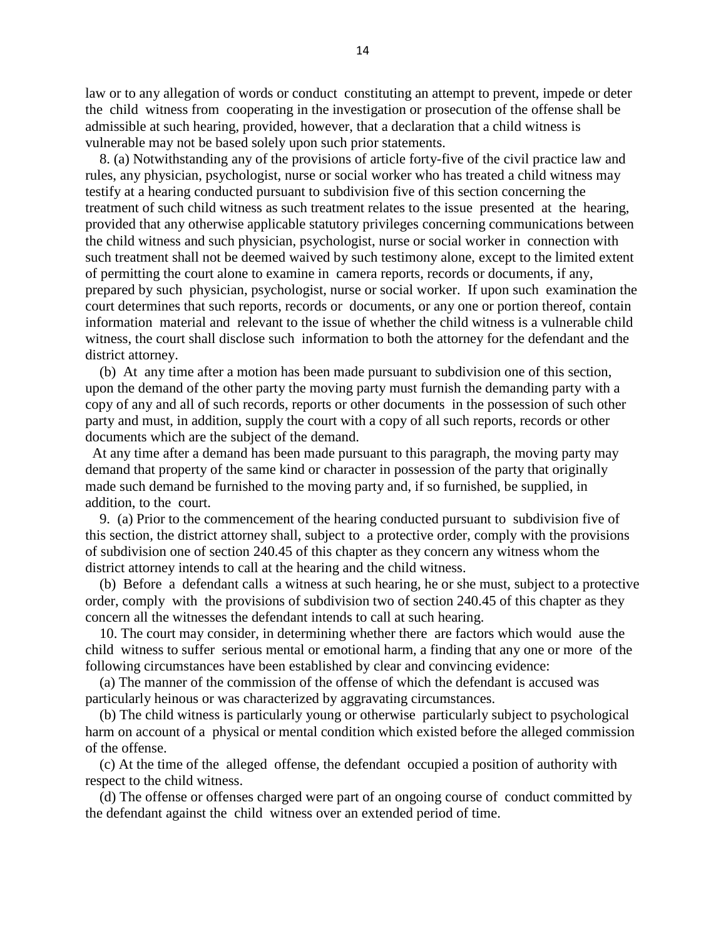law or to any allegation of words or conduct constituting an attempt to prevent, impede or deter the child witness from cooperating in the investigation or prosecution of the offense shall be admissible at such hearing, provided, however, that a declaration that a child witness is vulnerable may not be based solely upon such prior statements.

 8. (a) Notwithstanding any of the provisions of article forty-five of the civil practice law and rules, any physician, psychologist, nurse or social worker who has treated a child witness may testify at a hearing conducted pursuant to subdivision five of this section concerning the treatment of such child witness as such treatment relates to the issue presented at the hearing, provided that any otherwise applicable statutory privileges concerning communications between the child witness and such physician, psychologist, nurse or social worker in connection with such treatment shall not be deemed waived by such testimony alone, except to the limited extent of permitting the court alone to examine in camera reports, records or documents, if any, prepared by such physician, psychologist, nurse or social worker. If upon such examination the court determines that such reports, records or documents, or any one or portion thereof, contain information material and relevant to the issue of whether the child witness is a vulnerable child witness, the court shall disclose such information to both the attorney for the defendant and the district attorney.

 (b) At any time after a motion has been made pursuant to subdivision one of this section, upon the demand of the other party the moving party must furnish the demanding party with a copy of any and all of such records, reports or other documents in the possession of such other party and must, in addition, supply the court with a copy of all such reports, records or other documents which are the subject of the demand.

At any time after a demand has been made pursuant to this paragraph, the moving party may demand that property of the same kind or character in possession of the party that originally made such demand be furnished to the moving party and, if so furnished, be supplied, in addition, to the court.

 9. (a) Prior to the commencement of the hearing conducted pursuant to subdivision five of this section, the district attorney shall, subject to a protective order, comply with the provisions of subdivision one of section 240.45 of this chapter as they concern any witness whom the district attorney intends to call at the hearing and the child witness.

 (b) Before a defendant calls a witness at such hearing, he or she must, subject to a protective order, comply with the provisions of subdivision two of section 240.45 of this chapter as they concern all the witnesses the defendant intends to call at such hearing.

 10. The court may consider, in determining whether there are factors which would ause the child witness to suffer serious mental or emotional harm, a finding that any one or more of the following circumstances have been established by clear and convincing evidence:

 (a) The manner of the commission of the offense of which the defendant is accused was particularly heinous or was characterized by aggravating circumstances.

 (b) The child witness is particularly young or otherwise particularly subject to psychological harm on account of a physical or mental condition which existed before the alleged commission of the offense.

 (c) At the time of the alleged offense, the defendant occupied a position of authority with respect to the child witness.

 (d) The offense or offenses charged were part of an ongoing course of conduct committed by the defendant against the child witness over an extended period of time.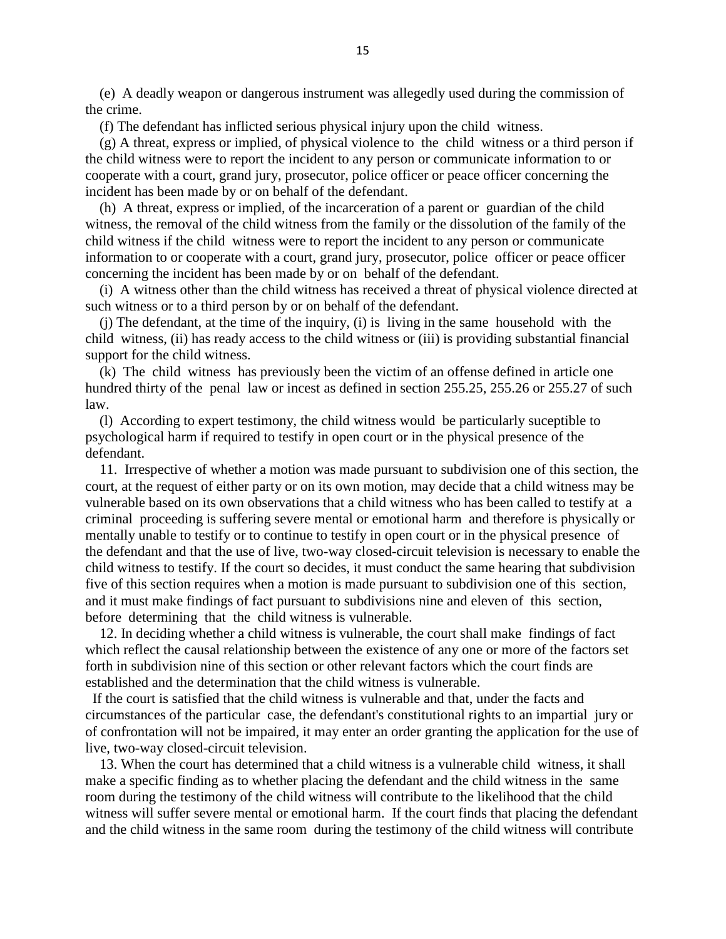(e) A deadly weapon or dangerous instrument was allegedly used during the commission of the crime.

(f) The defendant has inflicted serious physical injury upon the child witness.

 (g) A threat, express or implied, of physical violence to the child witness or a third person if the child witness were to report the incident to any person or communicate information to or cooperate with a court, grand jury, prosecutor, police officer or peace officer concerning the incident has been made by or on behalf of the defendant.

 (h) A threat, express or implied, of the incarceration of a parent or guardian of the child witness, the removal of the child witness from the family or the dissolution of the family of the child witness if the child witness were to report the incident to any person or communicate information to or cooperate with a court, grand jury, prosecutor, police officer or peace officer concerning the incident has been made by or on behalf of the defendant.

 (i) A witness other than the child witness has received a threat of physical violence directed at such witness or to a third person by or on behalf of the defendant.

 (j) The defendant, at the time of the inquiry, (i) is living in the same household with the child witness, (ii) has ready access to the child witness or (iii) is providing substantial financial support for the child witness.

 (k) The child witness has previously been the victim of an offense defined in article one hundred thirty of the penal law or incest as defined in section 255.25, 255.26 or 255.27 of such law.

 (l) According to expert testimony, the child witness would be particularly suceptible to psychological harm if required to testify in open court or in the physical presence of the defendant.

 11. Irrespective of whether a motion was made pursuant to subdivision one of this section, the court, at the request of either party or on its own motion, may decide that a child witness may be vulnerable based on its own observations that a child witness who has been called to testify at a criminal proceeding is suffering severe mental or emotional harm and therefore is physically or mentally unable to testify or to continue to testify in open court or in the physical presence of the defendant and that the use of live, two-way closed-circuit television is necessary to enable the child witness to testify. If the court so decides, it must conduct the same hearing that subdivision five of this section requires when a motion is made pursuant to subdivision one of this section, and it must make findings of fact pursuant to subdivisions nine and eleven of this section, before determining that the child witness is vulnerable.

 12. In deciding whether a child witness is vulnerable, the court shall make findings of fact which reflect the causal relationship between the existence of any one or more of the factors set forth in subdivision nine of this section or other relevant factors which the court finds are established and the determination that the child witness is vulnerable.

 If the court is satisfied that the child witness is vulnerable and that, under the facts and circumstances of the particular case, the defendant's constitutional rights to an impartial jury or of confrontation will not be impaired, it may enter an order granting the application for the use of live, two-way closed-circuit television.

 13. When the court has determined that a child witness is a vulnerable child witness, it shall make a specific finding as to whether placing the defendant and the child witness in the same room during the testimony of the child witness will contribute to the likelihood that the child witness will suffer severe mental or emotional harm. If the court finds that placing the defendant and the child witness in the same room during the testimony of the child witness will contribute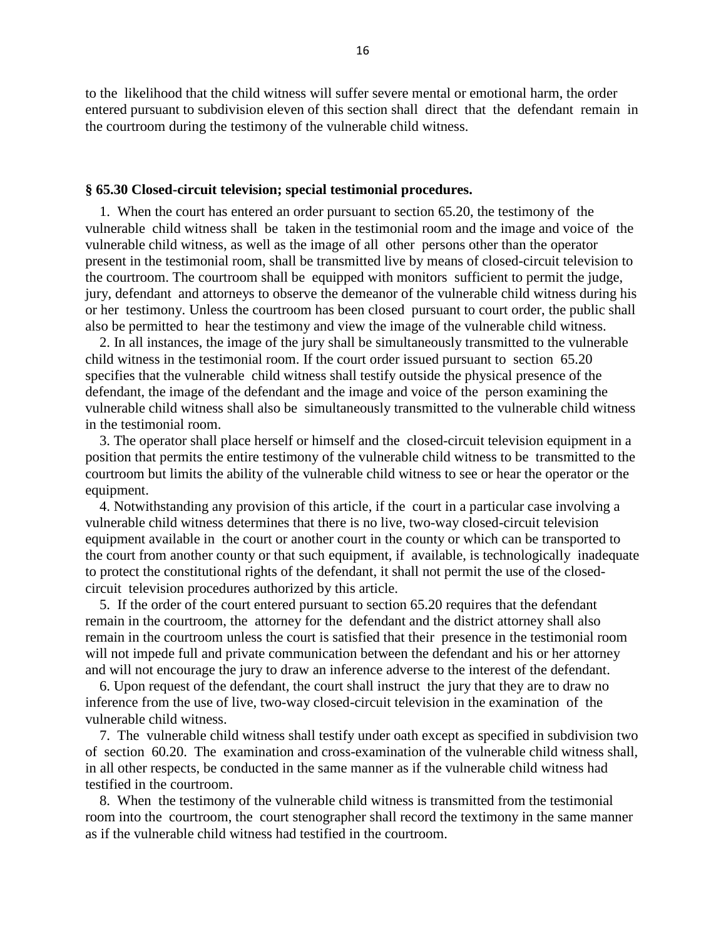to the likelihood that the child witness will suffer severe mental or emotional harm, the order entered pursuant to subdivision eleven of this section shall direct that the defendant remain in the courtroom during the testimony of the vulnerable child witness.

#### <span id="page-15-0"></span>**§ 65.30 Closed-circuit television; special testimonial procedures.**

 1. When the court has entered an order pursuant to section 65.20, the testimony of the vulnerable child witness shall be taken in the testimonial room and the image and voice of the vulnerable child witness, as well as the image of all other persons other than the operator present in the testimonial room, shall be transmitted live by means of closed-circuit television to the courtroom. The courtroom shall be equipped with monitors sufficient to permit the judge, jury, defendant and attorneys to observe the demeanor of the vulnerable child witness during his or her testimony. Unless the courtroom has been closed pursuant to court order, the public shall also be permitted to hear the testimony and view the image of the vulnerable child witness.

 2. In all instances, the image of the jury shall be simultaneously transmitted to the vulnerable child witness in the testimonial room. If the court order issued pursuant to section 65.20 specifies that the vulnerable child witness shall testify outside the physical presence of the defendant, the image of the defendant and the image and voice of the person examining the vulnerable child witness shall also be simultaneously transmitted to the vulnerable child witness in the testimonial room.

 3. The operator shall place herself or himself and the closed-circuit television equipment in a position that permits the entire testimony of the vulnerable child witness to be transmitted to the courtroom but limits the ability of the vulnerable child witness to see or hear the operator or the equipment.

 4. Notwithstanding any provision of this article, if the court in a particular case involving a vulnerable child witness determines that there is no live, two-way closed-circuit television equipment available in the court or another court in the county or which can be transported to the court from another county or that such equipment, if available, is technologically inadequate to protect the constitutional rights of the defendant, it shall not permit the use of the closedcircuit television procedures authorized by this article.

 5. If the order of the court entered pursuant to section 65.20 requires that the defendant remain in the courtroom, the attorney for the defendant and the district attorney shall also remain in the courtroom unless the court is satisfied that their presence in the testimonial room will not impede full and private communication between the defendant and his or her attorney and will not encourage the jury to draw an inference adverse to the interest of the defendant.

 6. Upon request of the defendant, the court shall instruct the jury that they are to draw no inference from the use of live, two-way closed-circuit television in the examination of the vulnerable child witness.

 7. The vulnerable child witness shall testify under oath except as specified in subdivision two of section 60.20. The examination and cross-examination of the vulnerable child witness shall, in all other respects, be conducted in the same manner as if the vulnerable child witness had testified in the courtroom.

 8. When the testimony of the vulnerable child witness is transmitted from the testimonial room into the courtroom, the court stenographer shall record the textimony in the same manner as if the vulnerable child witness had testified in the courtroom.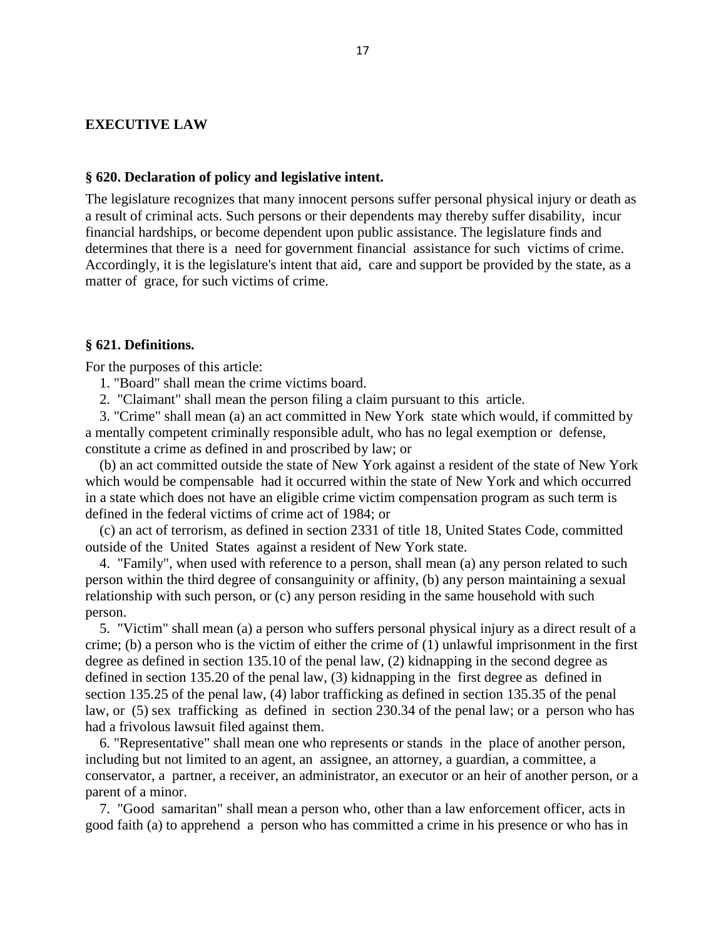## <span id="page-16-0"></span>**EXECUTIVE LAW**

#### <span id="page-16-1"></span>**§ 620. Declaration of policy and legislative intent.**

The legislature recognizes that many innocent persons suffer personal physical injury or death as a result of criminal acts. Such persons or their dependents may thereby suffer disability, incur financial hardships, or become dependent upon public assistance. The legislature finds and determines that there is a need for government financial assistance for such victims of crime. Accordingly, it is the legislature's intent that aid, care and support be provided by the state, as a matter of grace, for such victims of crime.

## <span id="page-16-2"></span>**§ 621. Definitions.**

For the purposes of this article:

1. "Board" shall mean the crime victims board.

2. "Claimant" shall mean the person filing a claim pursuant to this article.

 3. "Crime" shall mean (a) an act committed in New York state which would, if committed by a mentally competent criminally responsible adult, who has no legal exemption or defense, constitute a crime as defined in and proscribed by law; or

 (b) an act committed outside the state of New York against a resident of the state of New York which would be compensable had it occurred within the state of New York and which occurred in a state which does not have an eligible crime victim compensation program as such term is defined in the federal victims of crime act of 1984; or

 (c) an act of terrorism, as defined in section 2331 of title 18, United States Code, committed outside of the United States against a resident of New York state.

 4. "Family", when used with reference to a person, shall mean (a) any person related to such person within the third degree of consanguinity or affinity, (b) any person maintaining a sexual relationship with such person, or (c) any person residing in the same household with such person.

 5. "Victim" shall mean (a) a person who suffers personal physical injury as a direct result of a crime; (b) a person who is the victim of either the crime of (1) unlawful imprisonment in the first degree as defined in section 135.10 of the penal law, (2) kidnapping in the second degree as defined in section 135.20 of the penal law, (3) kidnapping in the first degree as defined in section 135.25 of the penal law, (4) labor trafficking as defined in section 135.35 of the penal law, or (5) sex trafficking as defined in section 230.34 of the penal law; or a person who has had a frivolous lawsuit filed against them.

 6. "Representative" shall mean one who represents or stands in the place of another person, including but not limited to an agent, an assignee, an attorney, a guardian, a committee, a conservator, a partner, a receiver, an administrator, an executor or an heir of another person, or a parent of a minor.

 7. "Good samaritan" shall mean a person who, other than a law enforcement officer, acts in good faith (a) to apprehend a person who has committed a crime in his presence or who has in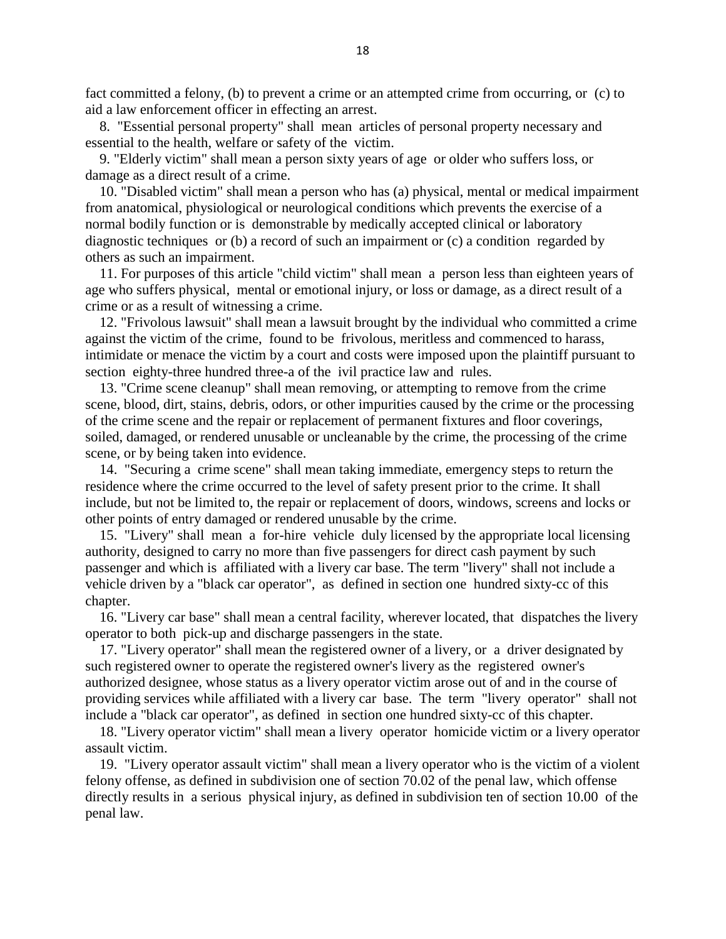fact committed a felony, (b) to prevent a crime or an attempted crime from occurring, or (c) to aid a law enforcement officer in effecting an arrest.

 8. "Essential personal property" shall mean articles of personal property necessary and essential to the health, welfare or safety of the victim.

 9. "Elderly victim" shall mean a person sixty years of age or older who suffers loss, or damage as a direct result of a crime.

 10. "Disabled victim" shall mean a person who has (a) physical, mental or medical impairment from anatomical, physiological or neurological conditions which prevents the exercise of a normal bodily function or is demonstrable by medically accepted clinical or laboratory diagnostic techniques or (b) a record of such an impairment or (c) a condition regarded by others as such an impairment.

 11. For purposes of this article "child victim" shall mean a person less than eighteen years of age who suffers physical, mental or emotional injury, or loss or damage, as a direct result of a crime or as a result of witnessing a crime.

 12. "Frivolous lawsuit" shall mean a lawsuit brought by the individual who committed a crime against the victim of the crime, found to be frivolous, meritless and commenced to harass, intimidate or menace the victim by a court and costs were imposed upon the plaintiff pursuant to section eighty-three hundred three-a of the ivil practice law and rules.

 13. "Crime scene cleanup" shall mean removing, or attempting to remove from the crime scene, blood, dirt, stains, debris, odors, or other impurities caused by the crime or the processing of the crime scene and the repair or replacement of permanent fixtures and floor coverings, soiled, damaged, or rendered unusable or uncleanable by the crime, the processing of the crime scene, or by being taken into evidence.

 14. "Securing a crime scene" shall mean taking immediate, emergency steps to return the residence where the crime occurred to the level of safety present prior to the crime. It shall include, but not be limited to, the repair or replacement of doors, windows, screens and locks or other points of entry damaged or rendered unusable by the crime.

 15. "Livery" shall mean a for-hire vehicle duly licensed by the appropriate local licensing authority, designed to carry no more than five passengers for direct cash payment by such passenger and which is affiliated with a livery car base. The term "livery" shall not include a vehicle driven by a "black car operator", as defined in section one hundred sixty-cc of this chapter.

 16. "Livery car base" shall mean a central facility, wherever located, that dispatches the livery operator to both pick-up and discharge passengers in the state.

 17. "Livery operator" shall mean the registered owner of a livery, or a driver designated by such registered owner to operate the registered owner's livery as the registered owner's authorized designee, whose status as a livery operator victim arose out of and in the course of providing services while affiliated with a livery car base. The term "livery operator" shall not include a "black car operator", as defined in section one hundred sixty-cc of this chapter.

 18. "Livery operator victim" shall mean a livery operator homicide victim or a livery operator assault victim.

 19. "Livery operator assault victim" shall mean a livery operator who is the victim of a violent felony offense, as defined in subdivision one of section 70.02 of the penal law, which offense directly results in a serious physical injury, as defined in subdivision ten of section 10.00 of the penal law.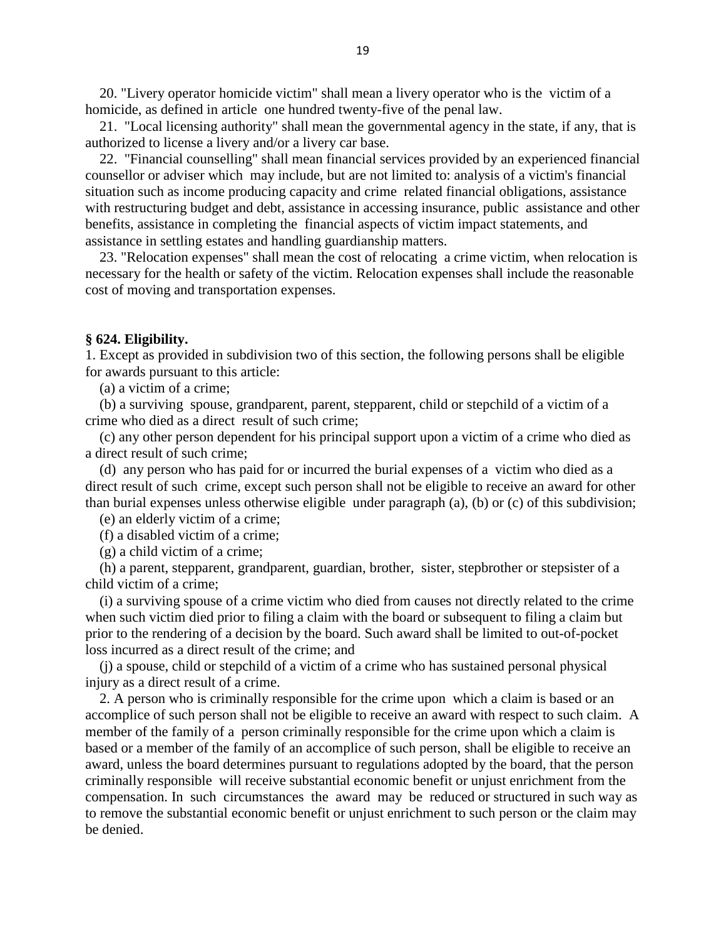20. "Livery operator homicide victim" shall mean a livery operator who is the victim of a homicide, as defined in article one hundred twenty-five of the penal law.

 21. "Local licensing authority" shall mean the governmental agency in the state, if any, that is authorized to license a livery and/or a livery car base.

 22. "Financial counselling" shall mean financial services provided by an experienced financial counsellor or adviser which may include, but are not limited to: analysis of a victim's financial situation such as income producing capacity and crime related financial obligations, assistance with restructuring budget and debt, assistance in accessing insurance, public assistance and other benefits, assistance in completing the financial aspects of victim impact statements, and assistance in settling estates and handling guardianship matters.

 23. "Relocation expenses" shall mean the cost of relocating a crime victim, when relocation is necessary for the health or safety of the victim. Relocation expenses shall include the reasonable cost of moving and transportation expenses.

## <span id="page-18-0"></span>**§ 624. Eligibility.**

1. Except as provided in subdivision two of this section, the following persons shall be eligible for awards pursuant to this article:

(a) a victim of a crime;

 (b) a surviving spouse, grandparent, parent, stepparent, child or stepchild of a victim of a crime who died as a direct result of such crime;

 (c) any other person dependent for his principal support upon a victim of a crime who died as a direct result of such crime;

 (d) any person who has paid for or incurred the burial expenses of a victim who died as a direct result of such crime, except such person shall not be eligible to receive an award for other than burial expenses unless otherwise eligible under paragraph (a), (b) or (c) of this subdivision;

(e) an elderly victim of a crime;

(f) a disabled victim of a crime;

(g) a child victim of a crime;

 (h) a parent, stepparent, grandparent, guardian, brother, sister, stepbrother or stepsister of a child victim of a crime;

 (i) a surviving spouse of a crime victim who died from causes not directly related to the crime when such victim died prior to filing a claim with the board or subsequent to filing a claim but prior to the rendering of a decision by the board. Such award shall be limited to out-of-pocket loss incurred as a direct result of the crime; and

 (j) a spouse, child or stepchild of a victim of a crime who has sustained personal physical injury as a direct result of a crime.

 2. A person who is criminally responsible for the crime upon which a claim is based or an accomplice of such person shall not be eligible to receive an award with respect to such claim. A member of the family of a person criminally responsible for the crime upon which a claim is based or a member of the family of an accomplice of such person, shall be eligible to receive an award, unless the board determines pursuant to regulations adopted by the board, that the person criminally responsible will receive substantial economic benefit or unjust enrichment from the compensation. In such circumstances the award may be reduced or structured in such way as to remove the substantial economic benefit or unjust enrichment to such person or the claim may be denied.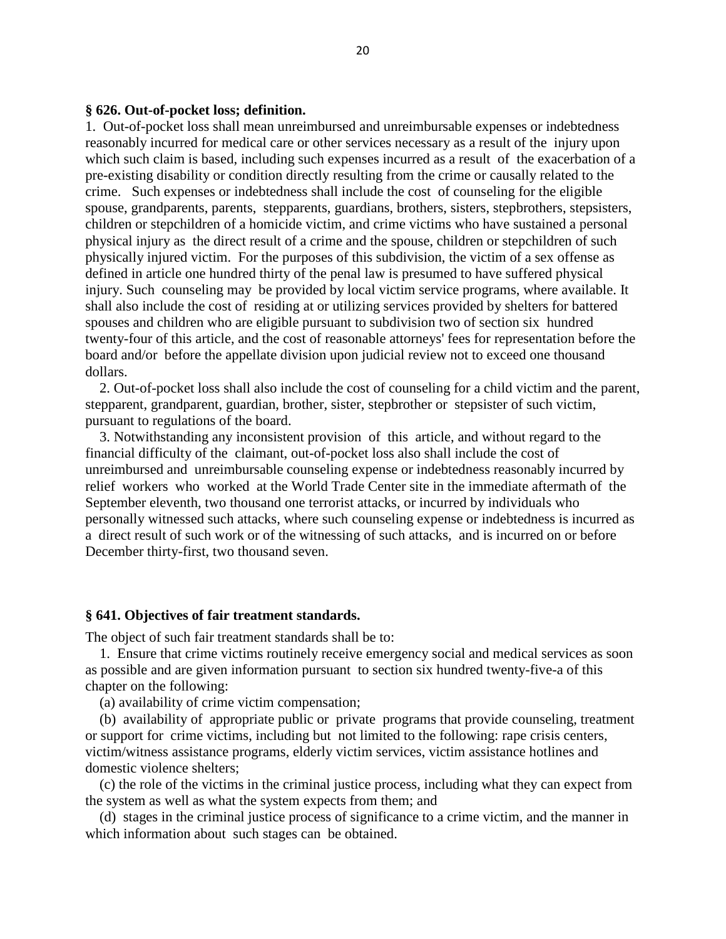## <span id="page-19-0"></span>**§ 626. Out-of-pocket loss; definition.**

1. Out-of-pocket loss shall mean unreimbursed and unreimbursable expenses or indebtedness reasonably incurred for medical care or other services necessary as a result of the injury upon which such claim is based, including such expenses incurred as a result of the exacerbation of a pre-existing disability or condition directly resulting from the crime or causally related to the crime. Such expenses or indebtedness shall include the cost of counseling for the eligible spouse, grandparents, parents, stepparents, guardians, brothers, sisters, stepbrothers, stepsisters, children or stepchildren of a homicide victim, and crime victims who have sustained a personal physical injury as the direct result of a crime and the spouse, children or stepchildren of such physically injured victim. For the purposes of this subdivision, the victim of a sex offense as defined in article one hundred thirty of the penal law is presumed to have suffered physical injury. Such counseling may be provided by local victim service programs, where available. It shall also include the cost of residing at or utilizing services provided by shelters for battered spouses and children who are eligible pursuant to subdivision two of section six hundred twenty-four of this article, and the cost of reasonable attorneys' fees for representation before the board and/or before the appellate division upon judicial review not to exceed one thousand dollars.

 2. Out-of-pocket loss shall also include the cost of counseling for a child victim and the parent, stepparent, grandparent, guardian, brother, sister, stepbrother or stepsister of such victim, pursuant to regulations of the board.

 3. Notwithstanding any inconsistent provision of this article, and without regard to the financial difficulty of the claimant, out-of-pocket loss also shall include the cost of unreimbursed and unreimbursable counseling expense or indebtedness reasonably incurred by relief workers who worked at the World Trade Center site in the immediate aftermath of the September eleventh, two thousand one terrorist attacks, or incurred by individuals who personally witnessed such attacks, where such counseling expense or indebtedness is incurred as a direct result of such work or of the witnessing of such attacks, and is incurred on or before December thirty-first, two thousand seven.

#### <span id="page-19-1"></span>**§ 641. Objectives of fair treatment standards.**

The object of such fair treatment standards shall be to:

 1. Ensure that crime victims routinely receive emergency social and medical services as soon as possible and are given information pursuant to section six hundred twenty-five-a of this chapter on the following:

(a) availability of crime victim compensation;

 (b) availability of appropriate public or private programs that provide counseling, treatment or support for crime victims, including but not limited to the following: rape crisis centers, victim/witness assistance programs, elderly victim services, victim assistance hotlines and domestic violence shelters;

 (c) the role of the victims in the criminal justice process, including what they can expect from the system as well as what the system expects from them; and

 (d) stages in the criminal justice process of significance to a crime victim, and the manner in which information about such stages can be obtained.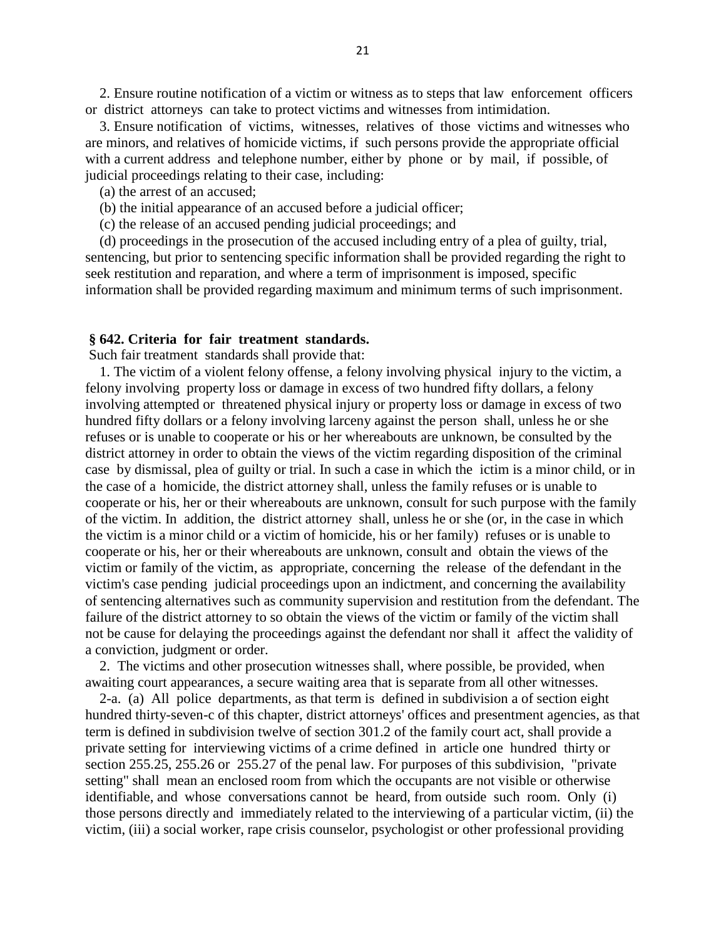2. Ensure routine notification of a victim or witness as to steps that law enforcement officers or district attorneys can take to protect victims and witnesses from intimidation.

 3. Ensure notification of victims, witnesses, relatives of those victims and witnesses who are minors, and relatives of homicide victims, if such persons provide the appropriate official with a current address and telephone number, either by phone or by mail, if possible, of judicial proceedings relating to their case, including:

(a) the arrest of an accused;

- (b) the initial appearance of an accused before a judicial officer;
- (c) the release of an accused pending judicial proceedings; and

 (d) proceedings in the prosecution of the accused including entry of a plea of guilty, trial, sentencing, but prior to sentencing specific information shall be provided regarding the right to seek restitution and reparation, and where a term of imprisonment is imposed, specific information shall be provided regarding maximum and minimum terms of such imprisonment.

## <span id="page-20-0"></span>**§ 642. Criteria for fair treatment standards.**

Such fair treatment standards shall provide that:

 1. The victim of a violent felony offense, a felony involving physical injury to the victim, a felony involving property loss or damage in excess of two hundred fifty dollars, a felony involving attempted or threatened physical injury or property loss or damage in excess of two hundred fifty dollars or a felony involving larceny against the person shall, unless he or she refuses or is unable to cooperate or his or her whereabouts are unknown, be consulted by the district attorney in order to obtain the views of the victim regarding disposition of the criminal case by dismissal, plea of guilty or trial. In such a case in which the ictim is a minor child, or in the case of a homicide, the district attorney shall, unless the family refuses or is unable to cooperate or his, her or their whereabouts are unknown, consult for such purpose with the family of the victim. In addition, the district attorney shall, unless he or she (or, in the case in which the victim is a minor child or a victim of homicide, his or her family) refuses or is unable to cooperate or his, her or their whereabouts are unknown, consult and obtain the views of the victim or family of the victim, as appropriate, concerning the release of the defendant in the victim's case pending judicial proceedings upon an indictment, and concerning the availability of sentencing alternatives such as community supervision and restitution from the defendant. The failure of the district attorney to so obtain the views of the victim or family of the victim shall not be cause for delaying the proceedings against the defendant nor shall it affect the validity of a conviction, judgment or order.

 2. The victims and other prosecution witnesses shall, where possible, be provided, when awaiting court appearances, a secure waiting area that is separate from all other witnesses.

 2-a. (a) All police departments, as that term is defined in subdivision a of section eight hundred thirty-seven-c of this chapter, district attorneys' offices and presentment agencies, as that term is defined in subdivision twelve of section 301.2 of the family court act, shall provide a private setting for interviewing victims of a crime defined in article one hundred thirty or section 255.25, 255.26 or 255.27 of the penal law. For purposes of this subdivision, "private setting" shall mean an enclosed room from which the occupants are not visible or otherwise identifiable, and whose conversations cannot be heard, from outside such room. Only (i) those persons directly and immediately related to the interviewing of a particular victim, (ii) the victim, (iii) a social worker, rape crisis counselor, psychologist or other professional providing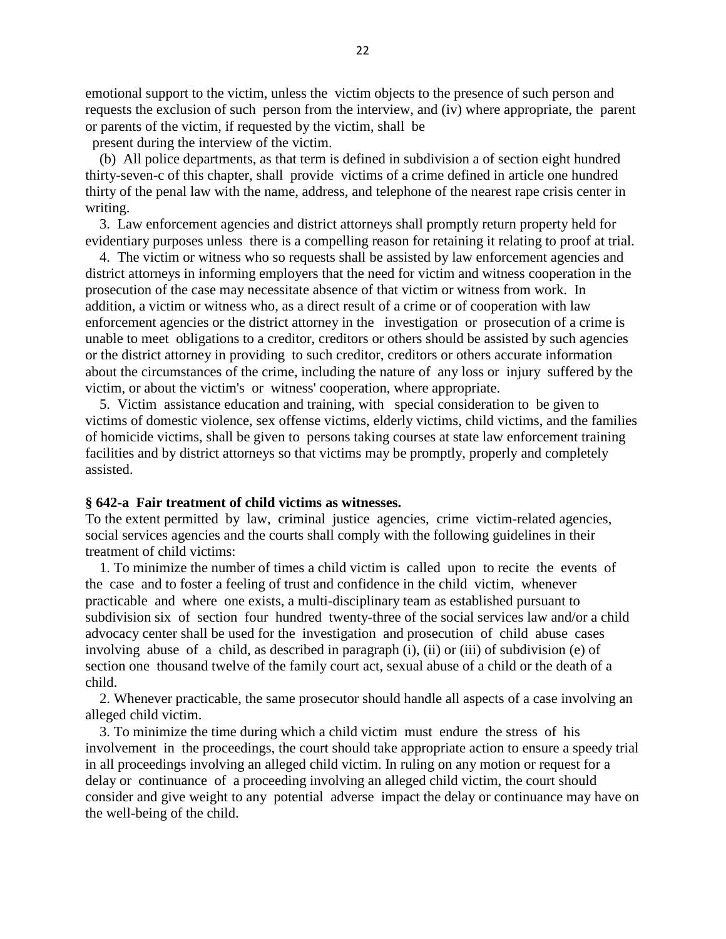emotional support to the victim, unless the victim objects to the presence of such person and requests the exclusion of such person from the interview, and (iv) where appropriate, the parent or parents of the victim, if requested by the victim, shall be

present during the interview of the victim.

 (b) All police departments, as that term is defined in subdivision a of section eight hundred thirty-seven-c of this chapter, shall provide victims of a crime defined in article one hundred thirty of the penal law with the name, address, and telephone of the nearest rape crisis center in writing.

 3. Law enforcement agencies and district attorneys shall promptly return property held for evidentiary purposes unless there is a compelling reason for retaining it relating to proof at trial.

 4. The victim or witness who so requests shall be assisted by law enforcement agencies and district attorneys in informing employers that the need for victim and witness cooperation in the prosecution of the case may necessitate absence of that victim or witness from work. In addition, a victim or witness who, as a direct result of a crime or of cooperation with law enforcement agencies or the district attorney in the investigation or prosecution of a crime is unable to meet obligations to a creditor, creditors or others should be assisted by such agencies or the district attorney in providing to such creditor, creditors or others accurate information about the circumstances of the crime, including the nature of any loss or injury suffered by the victim, or about the victim's or witness' cooperation, where appropriate.

 5. Victim assistance education and training, with special consideration to be given to victims of domestic violence, sex offense victims, elderly victims, child victims, and the families of homicide victims, shall be given to persons taking courses at state law enforcement training facilities and by district attorneys so that victims may be promptly, properly and completely assisted.

#### <span id="page-21-0"></span>**§ 642-a Fair treatment of child victims as witnesses.**

To the extent permitted by law, criminal justice agencies, crime victim-related agencies, social services agencies and the courts shall comply with the following guidelines in their treatment of child victims:

 1. To minimize the number of times a child victim is called upon to recite the events of the case and to foster a feeling of trust and confidence in the child victim, whenever practicable and where one exists, a multi-disciplinary team as established pursuant to subdivision six of section four hundred twenty-three of the social services law and/or a child advocacy center shall be used for the investigation and prosecution of child abuse cases involving abuse of a child, as described in paragraph (i), (ii) or (iii) of subdivision (e) of section one thousand twelve of the family court act, sexual abuse of a child or the death of a child.

 2. Whenever practicable, the same prosecutor should handle all aspects of a case involving an alleged child victim.

 3. To minimize the time during which a child victim must endure the stress of his involvement in the proceedings, the court should take appropriate action to ensure a speedy trial in all proceedings involving an alleged child victim. In ruling on any motion or request for a delay or continuance of a proceeding involving an alleged child victim, the court should consider and give weight to any potential adverse impact the delay or continuance may have on the well-being of the child.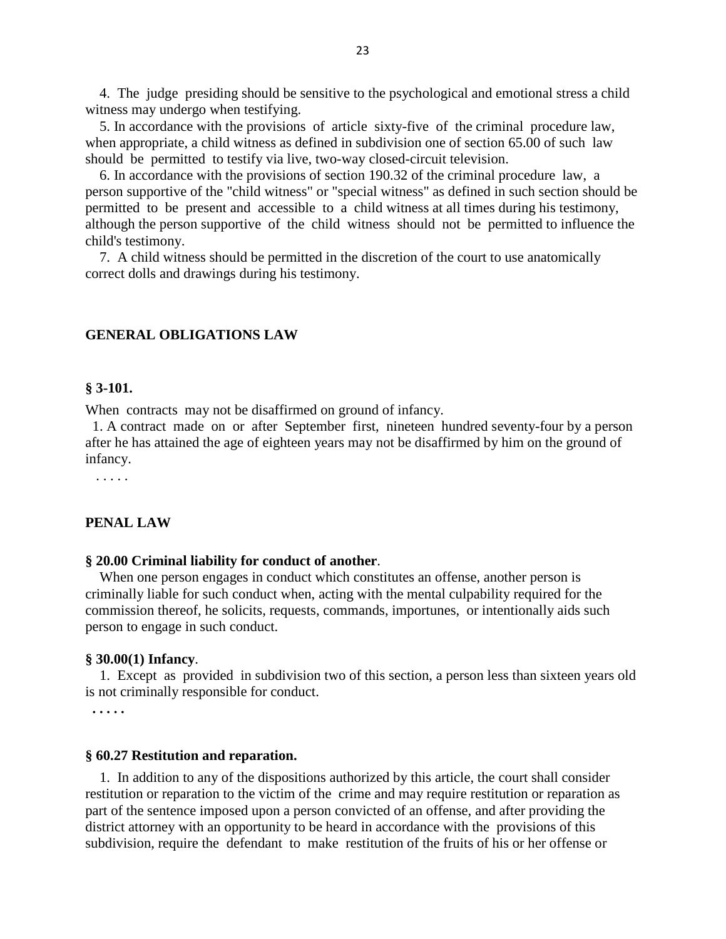4. The judge presiding should be sensitive to the psychological and emotional stress a child witness may undergo when testifying.

 5. In accordance with the provisions of article sixty-five of the criminal procedure law, when appropriate, a child witness as defined in subdivision one of section 65.00 of such law should be permitted to testify via live, two-way closed-circuit television.

 6. In accordance with the provisions of section 190.32 of the criminal procedure law, a person supportive of the "child witness" or "special witness" as defined in such section should be permitted to be present and accessible to a child witness at all times during his testimony, although the person supportive of the child witness should not be permitted to influence the child's testimony.

 7. A child witness should be permitted in the discretion of the court to use anatomically correct dolls and drawings during his testimony.

## <span id="page-22-0"></span>**GENERAL OBLIGATIONS LAW**

### <span id="page-22-1"></span>**§ 3-101.**

When contracts may not be disaffirmed on ground of infancy.

 1. A contract made on or after September first, nineteen hundred seventy-four by a person after he has attained the age of eighteen years may not be disaffirmed by him on the ground of infancy.

. . . . .

#### <span id="page-22-2"></span>**PENAL LAW**

#### <span id="page-22-3"></span>**§ 20.00 Criminal liability for conduct of another**.

 When one person engages in conduct which constitutes an offense, another person is criminally liable for such conduct when, acting with the mental culpability required for the commission thereof, he solicits, requests, commands, importunes, or intentionally aids such person to engage in such conduct.

#### <span id="page-22-4"></span>**§ 30.00(1) Infancy**.

 1. Except as provided in subdivision two of this section, a person less than sixteen years old is not criminally responsible for conduct.

 **. . . . .**

#### <span id="page-22-5"></span>**§ 60.27 Restitution and reparation.**

 1. In addition to any of the dispositions authorized by this article, the court shall consider restitution or reparation to the victim of the crime and may require restitution or reparation as part of the sentence imposed upon a person convicted of an offense, and after providing the district attorney with an opportunity to be heard in accordance with the provisions of this subdivision, require the defendant to make restitution of the fruits of his or her offense or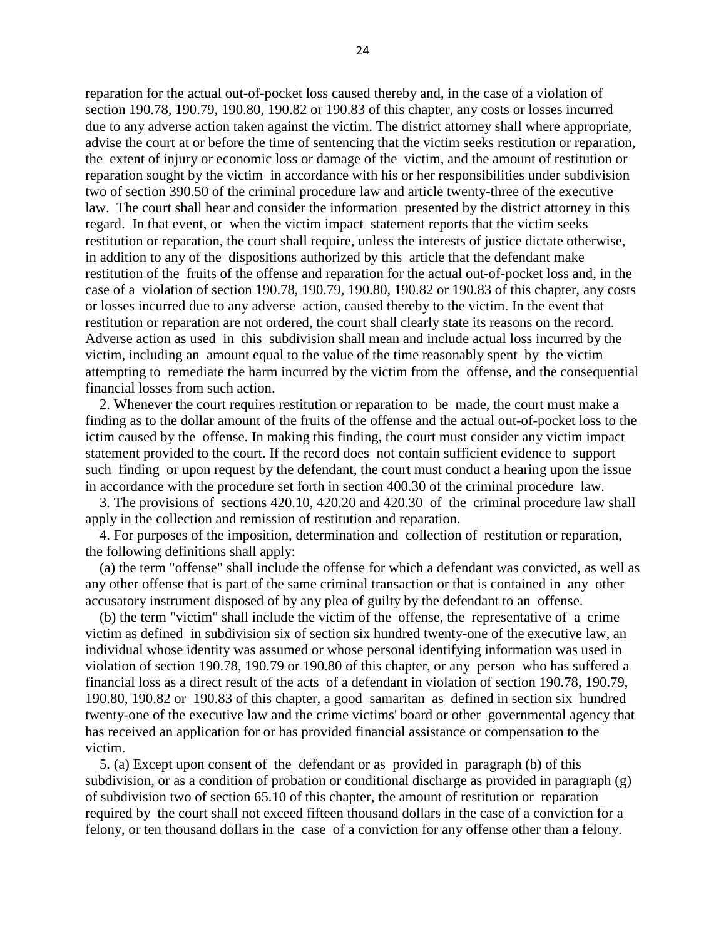reparation for the actual out-of-pocket loss caused thereby and, in the case of a violation of section 190.78, 190.79, 190.80, 190.82 or 190.83 of this chapter, any costs or losses incurred due to any adverse action taken against the victim. The district attorney shall where appropriate, advise the court at or before the time of sentencing that the victim seeks restitution or reparation, the extent of injury or economic loss or damage of the victim, and the amount of restitution or reparation sought by the victim in accordance with his or her responsibilities under subdivision two of section 390.50 of the criminal procedure law and article twenty-three of the executive law. The court shall hear and consider the information presented by the district attorney in this regard. In that event, or when the victim impact statement reports that the victim seeks restitution or reparation, the court shall require, unless the interests of justice dictate otherwise, in addition to any of the dispositions authorized by this article that the defendant make restitution of the fruits of the offense and reparation for the actual out-of-pocket loss and, in the case of a violation of section 190.78, 190.79, 190.80, 190.82 or 190.83 of this chapter, any costs or losses incurred due to any adverse action, caused thereby to the victim. In the event that restitution or reparation are not ordered, the court shall clearly state its reasons on the record. Adverse action as used in this subdivision shall mean and include actual loss incurred by the victim, including an amount equal to the value of the time reasonably spent by the victim attempting to remediate the harm incurred by the victim from the offense, and the consequential financial losses from such action.

 2. Whenever the court requires restitution or reparation to be made, the court must make a finding as to the dollar amount of the fruits of the offense and the actual out-of-pocket loss to the ictim caused by the offense. In making this finding, the court must consider any victim impact statement provided to the court. If the record does not contain sufficient evidence to support such finding or upon request by the defendant, the court must conduct a hearing upon the issue in accordance with the procedure set forth in section 400.30 of the criminal procedure law.

 3. The provisions of sections 420.10, 420.20 and 420.30 of the criminal procedure law shall apply in the collection and remission of restitution and reparation.

 4. For purposes of the imposition, determination and collection of restitution or reparation, the following definitions shall apply:

 (a) the term "offense" shall include the offense for which a defendant was convicted, as well as any other offense that is part of the same criminal transaction or that is contained in any other accusatory instrument disposed of by any plea of guilty by the defendant to an offense.

 (b) the term "victim" shall include the victim of the offense, the representative of a crime victim as defined in subdivision six of section six hundred twenty-one of the executive law, an individual whose identity was assumed or whose personal identifying information was used in violation of section 190.78, 190.79 or 190.80 of this chapter, or any person who has suffered a financial loss as a direct result of the acts of a defendant in violation of section 190.78, 190.79, 190.80, 190.82 or 190.83 of this chapter, a good samaritan as defined in section six hundred twenty-one of the executive law and the crime victims' board or other governmental agency that has received an application for or has provided financial assistance or compensation to the victim.

 5. (a) Except upon consent of the defendant or as provided in paragraph (b) of this subdivision, or as a condition of probation or conditional discharge as provided in paragraph (g) of subdivision two of section 65.10 of this chapter, the amount of restitution or reparation required by the court shall not exceed fifteen thousand dollars in the case of a conviction for a felony, or ten thousand dollars in the case of a conviction for any offense other than a felony.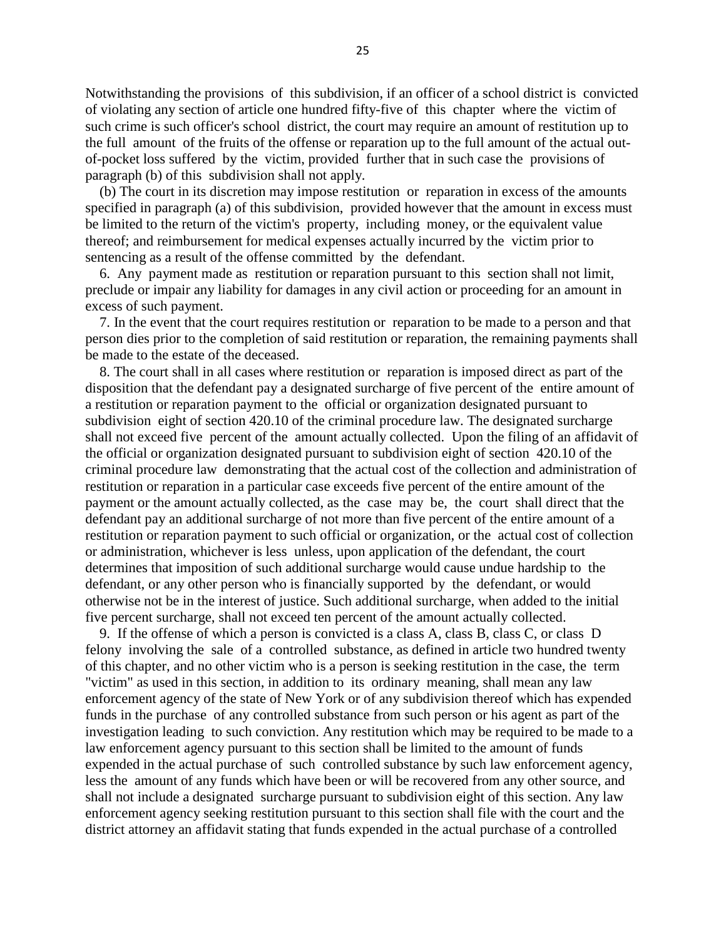Notwithstanding the provisions of this subdivision, if an officer of a school district is convicted of violating any section of article one hundred fifty-five of this chapter where the victim of such crime is such officer's school district, the court may require an amount of restitution up to the full amount of the fruits of the offense or reparation up to the full amount of the actual outof-pocket loss suffered by the victim, provided further that in such case the provisions of paragraph (b) of this subdivision shall not apply.

 (b) The court in its discretion may impose restitution or reparation in excess of the amounts specified in paragraph (a) of this subdivision, provided however that the amount in excess must be limited to the return of the victim's property, including money, or the equivalent value thereof; and reimbursement for medical expenses actually incurred by the victim prior to sentencing as a result of the offense committed by the defendant.

 6. Any payment made as restitution or reparation pursuant to this section shall not limit, preclude or impair any liability for damages in any civil action or proceeding for an amount in excess of such payment.

 7. In the event that the court requires restitution or reparation to be made to a person and that person dies prior to the completion of said restitution or reparation, the remaining payments shall be made to the estate of the deceased.

 8. The court shall in all cases where restitution or reparation is imposed direct as part of the disposition that the defendant pay a designated surcharge of five percent of the entire amount of a restitution or reparation payment to the official or organization designated pursuant to subdivision eight of section 420.10 of the criminal procedure law. The designated surcharge shall not exceed five percent of the amount actually collected. Upon the filing of an affidavit of the official or organization designated pursuant to subdivision eight of section 420.10 of the criminal procedure law demonstrating that the actual cost of the collection and administration of restitution or reparation in a particular case exceeds five percent of the entire amount of the payment or the amount actually collected, as the case may be, the court shall direct that the defendant pay an additional surcharge of not more than five percent of the entire amount of a restitution or reparation payment to such official or organization, or the actual cost of collection or administration, whichever is less unless, upon application of the defendant, the court determines that imposition of such additional surcharge would cause undue hardship to the defendant, or any other person who is financially supported by the defendant, or would otherwise not be in the interest of justice. Such additional surcharge, when added to the initial five percent surcharge, shall not exceed ten percent of the amount actually collected.

 9. If the offense of which a person is convicted is a class A, class B, class C, or class D felony involving the sale of a controlled substance, as defined in article two hundred twenty of this chapter, and no other victim who is a person is seeking restitution in the case, the term "victim" as used in this section, in addition to its ordinary meaning, shall mean any law enforcement agency of the state of New York or of any subdivision thereof which has expended funds in the purchase of any controlled substance from such person or his agent as part of the investigation leading to such conviction. Any restitution which may be required to be made to a law enforcement agency pursuant to this section shall be limited to the amount of funds expended in the actual purchase of such controlled substance by such law enforcement agency, less the amount of any funds which have been or will be recovered from any other source, and shall not include a designated surcharge pursuant to subdivision eight of this section. Any law enforcement agency seeking restitution pursuant to this section shall file with the court and the district attorney an affidavit stating that funds expended in the actual purchase of a controlled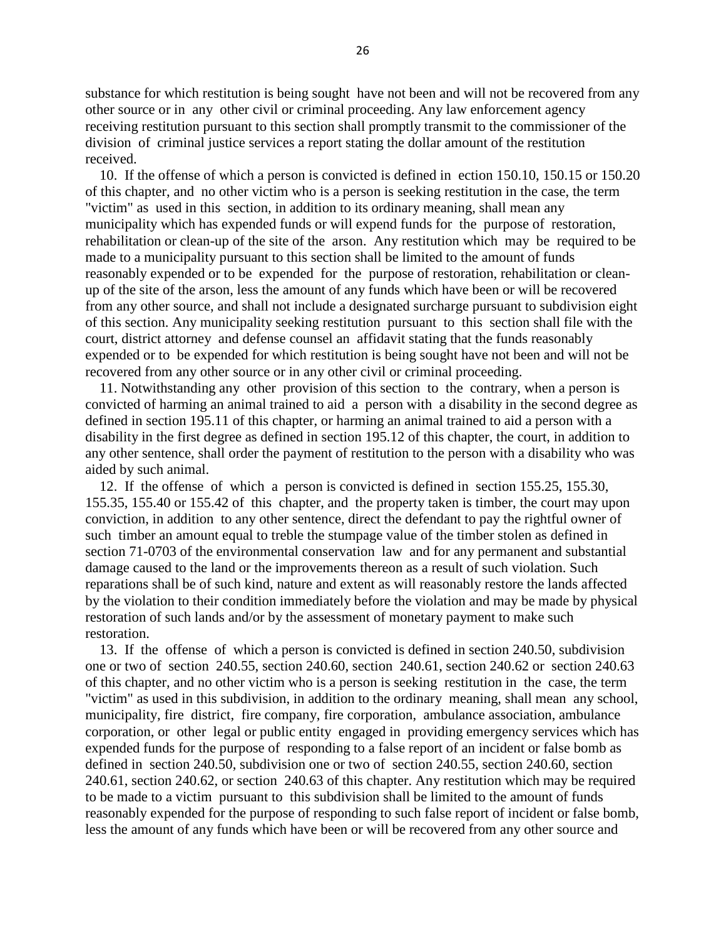substance for which restitution is being sought have not been and will not be recovered from any other source or in any other civil or criminal proceeding. Any law enforcement agency receiving restitution pursuant to this section shall promptly transmit to the commissioner of the division of criminal justice services a report stating the dollar amount of the restitution received.

 10. If the offense of which a person is convicted is defined in ection 150.10, 150.15 or 150.20 of this chapter, and no other victim who is a person is seeking restitution in the case, the term "victim" as used in this section, in addition to its ordinary meaning, shall mean any municipality which has expended funds or will expend funds for the purpose of restoration, rehabilitation or clean-up of the site of the arson. Any restitution which may be required to be made to a municipality pursuant to this section shall be limited to the amount of funds reasonably expended or to be expended for the purpose of restoration, rehabilitation or cleanup of the site of the arson, less the amount of any funds which have been or will be recovered from any other source, and shall not include a designated surcharge pursuant to subdivision eight of this section. Any municipality seeking restitution pursuant to this section shall file with the court, district attorney and defense counsel an affidavit stating that the funds reasonably expended or to be expended for which restitution is being sought have not been and will not be recovered from any other source or in any other civil or criminal proceeding.

 11. Notwithstanding any other provision of this section to the contrary, when a person is convicted of harming an animal trained to aid a person with a disability in the second degree as defined in section 195.11 of this chapter, or harming an animal trained to aid a person with a disability in the first degree as defined in section 195.12 of this chapter, the court, in addition to any other sentence, shall order the payment of restitution to the person with a disability who was aided by such animal.

 12. If the offense of which a person is convicted is defined in section 155.25, 155.30, 155.35, 155.40 or 155.42 of this chapter, and the property taken is timber, the court may upon conviction, in addition to any other sentence, direct the defendant to pay the rightful owner of such timber an amount equal to treble the stumpage value of the timber stolen as defined in section 71-0703 of the environmental conservation law and for any permanent and substantial damage caused to the land or the improvements thereon as a result of such violation. Such reparations shall be of such kind, nature and extent as will reasonably restore the lands affected by the violation to their condition immediately before the violation and may be made by physical restoration of such lands and/or by the assessment of monetary payment to make such restoration.

 13. If the offense of which a person is convicted is defined in section 240.50, subdivision one or two of section 240.55, section 240.60, section 240.61, section 240.62 or section 240.63 of this chapter, and no other victim who is a person is seeking restitution in the case, the term "victim" as used in this subdivision, in addition to the ordinary meaning, shall mean any school, municipality, fire district, fire company, fire corporation, ambulance association, ambulance corporation, or other legal or public entity engaged in providing emergency services which has expended funds for the purpose of responding to a false report of an incident or false bomb as defined in section 240.50, subdivision one or two of section 240.55, section 240.60, section 240.61, section 240.62, or section 240.63 of this chapter. Any restitution which may be required to be made to a victim pursuant to this subdivision shall be limited to the amount of funds reasonably expended for the purpose of responding to such false report of incident or false bomb, less the amount of any funds which have been or will be recovered from any other source and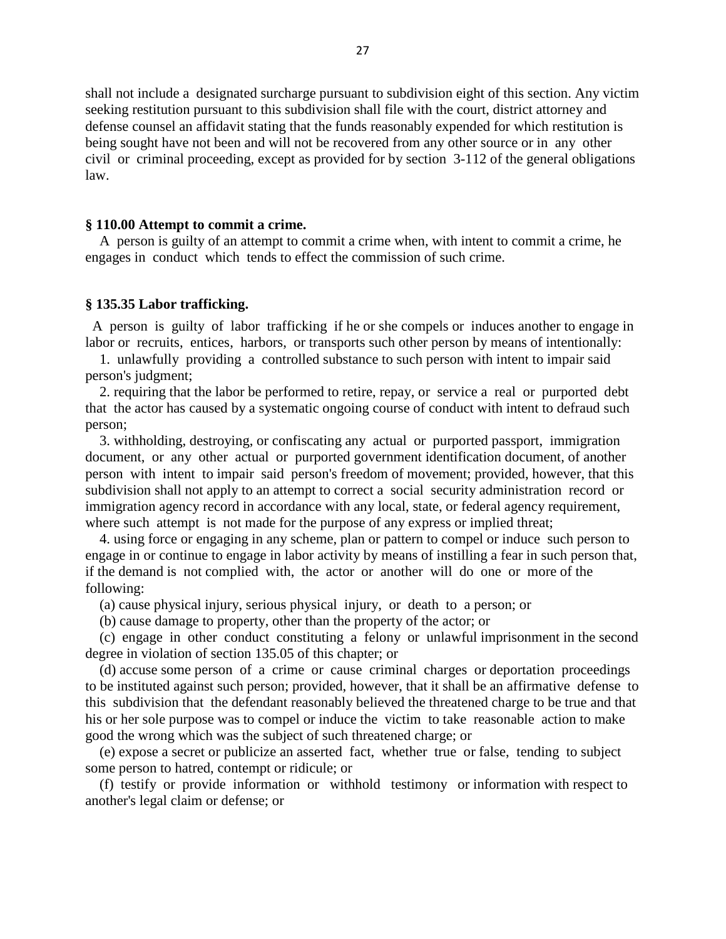shall not include a designated surcharge pursuant to subdivision eight of this section. Any victim seeking restitution pursuant to this subdivision shall file with the court, district attorney and defense counsel an affidavit stating that the funds reasonably expended for which restitution is being sought have not been and will not be recovered from any other source or in any other civil or criminal proceeding, except as provided for by section 3-112 of the general obligations law.

#### <span id="page-26-0"></span>**§ 110.00 Attempt to commit a crime.**

 A person is guilty of an attempt to commit a crime when, with intent to commit a crime, he engages in conduct which tends to effect the commission of such crime.

#### <span id="page-26-1"></span>**§ 135.35 Labor trafficking.**

 A person is guilty of labor trafficking if he or she compels or induces another to engage in labor or recruits, entices, harbors, or transports such other person by means of intentionally:

 1. unlawfully providing a controlled substance to such person with intent to impair said person's judgment;

 2. requiring that the labor be performed to retire, repay, or service a real or purported debt that the actor has caused by a systematic ongoing course of conduct with intent to defraud such person;

 3. withholding, destroying, or confiscating any actual or purported passport, immigration document, or any other actual or purported government identification document, of another person with intent to impair said person's freedom of movement; provided, however, that this subdivision shall not apply to an attempt to correct a social security administration record or immigration agency record in accordance with any local, state, or federal agency requirement, where such attempt is not made for the purpose of any express or implied threat;

 4. using force or engaging in any scheme, plan or pattern to compel or induce such person to engage in or continue to engage in labor activity by means of instilling a fear in such person that, if the demand is not complied with, the actor or another will do one or more of the following:

(a) cause physical injury, serious physical injury, or death to a person; or

(b) cause damage to property, other than the property of the actor; or

 (c) engage in other conduct constituting a felony or unlawful imprisonment in the second degree in violation of section 135.05 of this chapter; or

 (d) accuse some person of a crime or cause criminal charges or deportation proceedings to be instituted against such person; provided, however, that it shall be an affirmative defense to this subdivision that the defendant reasonably believed the threatened charge to be true and that his or her sole purpose was to compel or induce the victim to take reasonable action to make good the wrong which was the subject of such threatened charge; or

 (e) expose a secret or publicize an asserted fact, whether true or false, tending to subject some person to hatred, contempt or ridicule; or

 (f) testify or provide information or withhold testimony or information with respect to another's legal claim or defense; or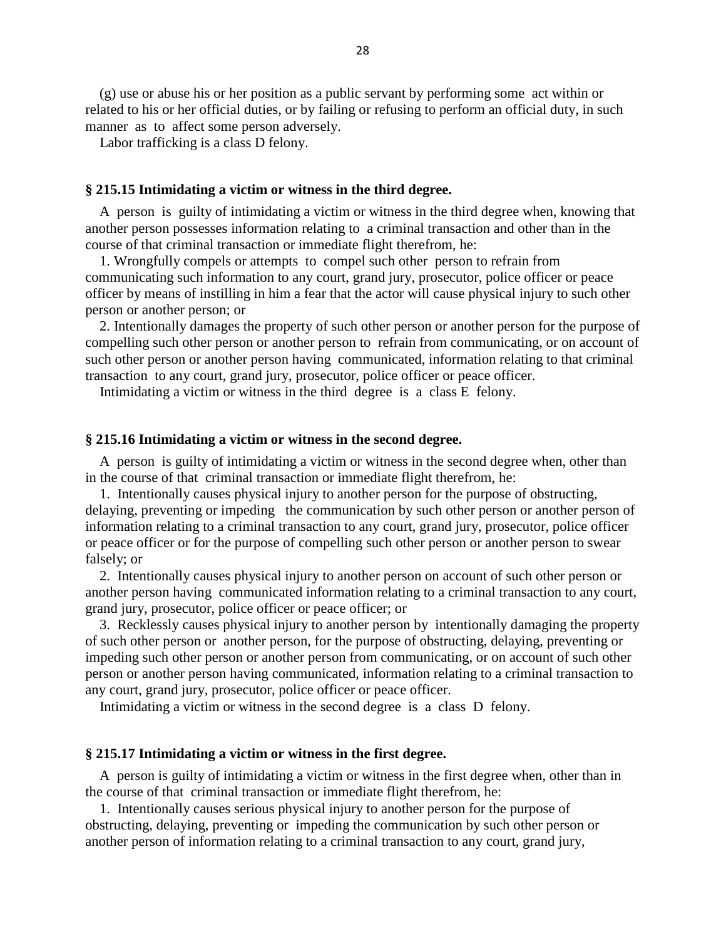(g) use or abuse his or her position as a public servant by performing some act within or related to his or her official duties, or by failing or refusing to perform an official duty, in such manner as to affect some person adversely.

Labor trafficking is a class D felony.

#### <span id="page-27-0"></span>**§ 215.15 Intimidating a victim or witness in the third degree.**

 A person is guilty of intimidating a victim or witness in the third degree when, knowing that another person possesses information relating to a criminal transaction and other than in the course of that criminal transaction or immediate flight therefrom, he:

 1. Wrongfully compels or attempts to compel such other person to refrain from communicating such information to any court, grand jury, prosecutor, police officer or peace officer by means of instilling in him a fear that the actor will cause physical injury to such other person or another person; or

 2. Intentionally damages the property of such other person or another person for the purpose of compelling such other person or another person to refrain from communicating, or on account of such other person or another person having communicated, information relating to that criminal transaction to any court, grand jury, prosecutor, police officer or peace officer.

Intimidating a victim or witness in the third degree is a class E felony.

## <span id="page-27-1"></span>**§ 215.16 Intimidating a victim or witness in the second degree.**

 A person is guilty of intimidating a victim or witness in the second degree when, other than in the course of that criminal transaction or immediate flight therefrom, he:

 1. Intentionally causes physical injury to another person for the purpose of obstructing, delaying, preventing or impeding the communication by such other person or another person of information relating to a criminal transaction to any court, grand jury, prosecutor, police officer or peace officer or for the purpose of compelling such other person or another person to swear falsely; or

 2. Intentionally causes physical injury to another person on account of such other person or another person having communicated information relating to a criminal transaction to any court, grand jury, prosecutor, police officer or peace officer; or

 3. Recklessly causes physical injury to another person by intentionally damaging the property of such other person or another person, for the purpose of obstructing, delaying, preventing or impeding such other person or another person from communicating, or on account of such other person or another person having communicated, information relating to a criminal transaction to any court, grand jury, prosecutor, police officer or peace officer.

Intimidating a victim or witness in the second degree is a class D felony.

#### <span id="page-27-2"></span>**§ 215.17 Intimidating a victim or witness in the first degree.**

 A person is guilty of intimidating a victim or witness in the first degree when, other than in the course of that criminal transaction or immediate flight therefrom, he:

 1. Intentionally causes serious physical injury to another person for the purpose of obstructing, delaying, preventing or impeding the communication by such other person or another person of information relating to a criminal transaction to any court, grand jury,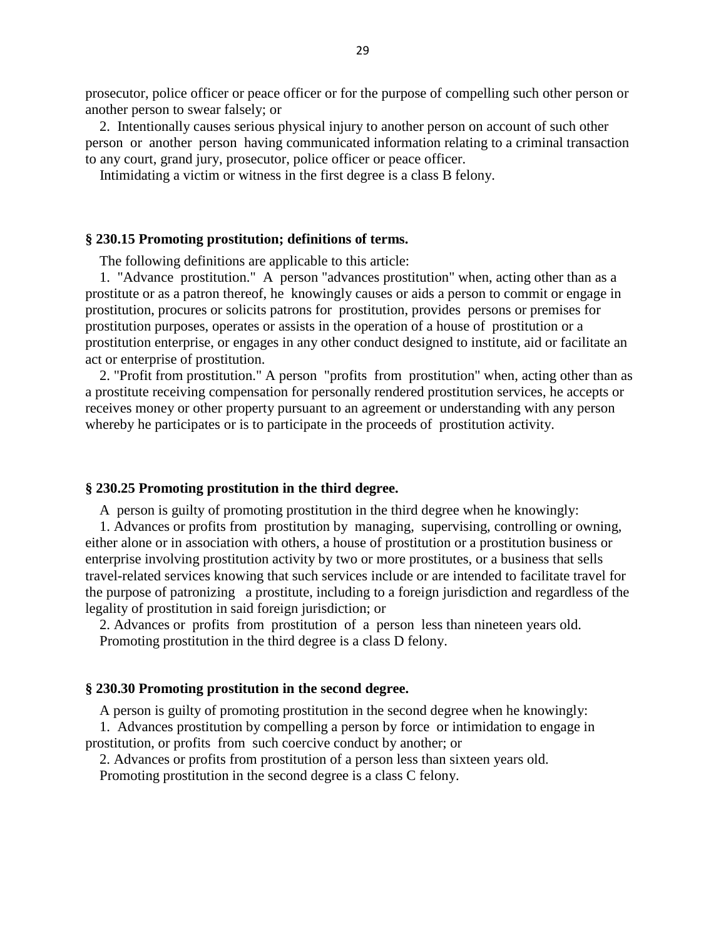prosecutor, police officer or peace officer or for the purpose of compelling such other person or another person to swear falsely; or

 2. Intentionally causes serious physical injury to another person on account of such other person or another person having communicated information relating to a criminal transaction to any court, grand jury, prosecutor, police officer or peace officer.

Intimidating a victim or witness in the first degree is a class B felony.

#### <span id="page-28-0"></span>**§ 230.15 Promoting prostitution; definitions of terms.**

The following definitions are applicable to this article:

 1. "Advance prostitution." A person "advances prostitution" when, acting other than as a prostitute or as a patron thereof, he knowingly causes or aids a person to commit or engage in prostitution, procures or solicits patrons for prostitution, provides persons or premises for prostitution purposes, operates or assists in the operation of a house of prostitution or a prostitution enterprise, or engages in any other conduct designed to institute, aid or facilitate an act or enterprise of prostitution.

 2. "Profit from prostitution." A person "profits from prostitution" when, acting other than as a prostitute receiving compensation for personally rendered prostitution services, he accepts or receives money or other property pursuant to an agreement or understanding with any person whereby he participates or is to participate in the proceeds of prostitution activity.

### <span id="page-28-1"></span>**§ 230.25 Promoting prostitution in the third degree.**

A person is guilty of promoting prostitution in the third degree when he knowingly:

 1. Advances or profits from prostitution by managing, supervising, controlling or owning, either alone or in association with others, a house of prostitution or a prostitution business or enterprise involving prostitution activity by two or more prostitutes, or a business that sells travel-related services knowing that such services include or are intended to facilitate travel for the purpose of patronizing a prostitute, including to a foreign jurisdiction and regardless of the legality of prostitution in said foreign jurisdiction; or

 2. Advances or profits from prostitution of a person less than nineteen years old. Promoting prostitution in the third degree is a class D felony.

#### <span id="page-28-2"></span>**§ 230.30 Promoting prostitution in the second degree.**

A person is guilty of promoting prostitution in the second degree when he knowingly:

 1. Advances prostitution by compelling a person by force or intimidation to engage in prostitution, or profits from such coercive conduct by another; or

2. Advances or profits from prostitution of a person less than sixteen years old.

Promoting prostitution in the second degree is a class C felony.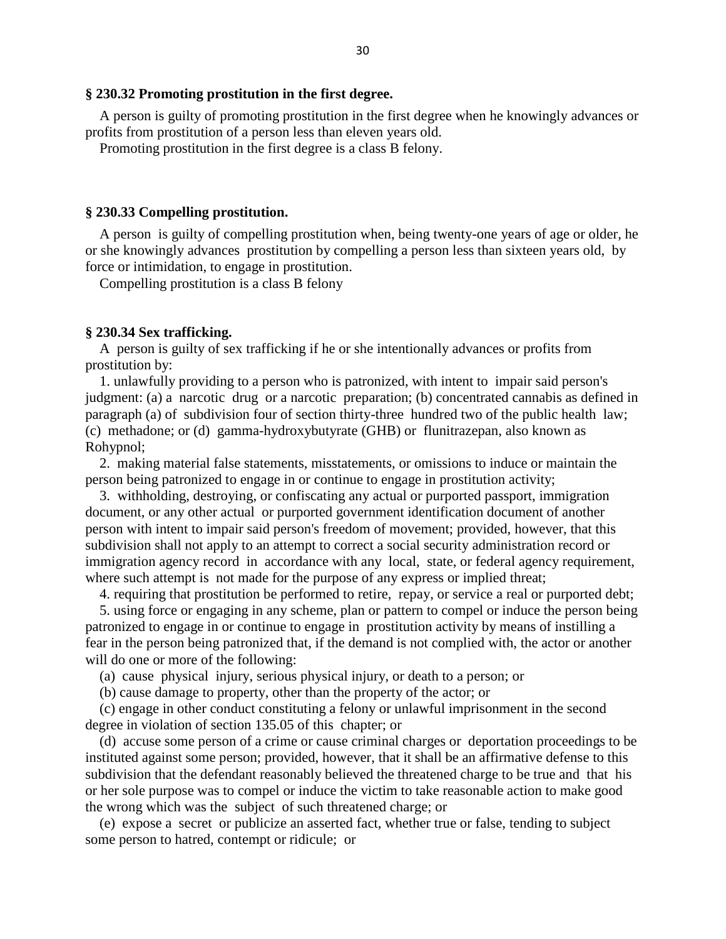#### <span id="page-29-0"></span>**§ 230.32 Promoting prostitution in the first degree.**

 A person is guilty of promoting prostitution in the first degree when he knowingly advances or profits from prostitution of a person less than eleven years old.

Promoting prostitution in the first degree is a class B felony.

#### <span id="page-29-1"></span>**§ 230.33 Compelling prostitution.**

 A person is guilty of compelling prostitution when, being twenty-one years of age or older, he or she knowingly advances prostitution by compelling a person less than sixteen years old, by force or intimidation, to engage in prostitution.

Compelling prostitution is a class B felony

## <span id="page-29-2"></span>**§ 230.34 Sex trafficking.**

 A person is guilty of sex trafficking if he or she intentionally advances or profits from prostitution by:

 1. unlawfully providing to a person who is patronized, with intent to impair said person's judgment: (a) a narcotic drug or a narcotic preparation; (b) concentrated cannabis as defined in paragraph (a) of subdivision four of section thirty-three hundred two of the public health law; (c) methadone; or (d) gamma-hydroxybutyrate (GHB) or flunitrazepan, also known as Rohypnol;

 2. making material false statements, misstatements, or omissions to induce or maintain the person being patronized to engage in or continue to engage in prostitution activity;

 3. withholding, destroying, or confiscating any actual or purported passport, immigration document, or any other actual or purported government identification document of another person with intent to impair said person's freedom of movement; provided, however, that this subdivision shall not apply to an attempt to correct a social security administration record or immigration agency record in accordance with any local, state, or federal agency requirement, where such attempt is not made for the purpose of any express or implied threat;

4. requiring that prostitution be performed to retire, repay, or service a real or purported debt;

 5. using force or engaging in any scheme, plan or pattern to compel or induce the person being patronized to engage in or continue to engage in prostitution activity by means of instilling a fear in the person being patronized that, if the demand is not complied with, the actor or another will do one or more of the following:

(a) cause physical injury, serious physical injury, or death to a person; or

(b) cause damage to property, other than the property of the actor; or

 (c) engage in other conduct constituting a felony or unlawful imprisonment in the second degree in violation of section 135.05 of this chapter; or

 (d) accuse some person of a crime or cause criminal charges or deportation proceedings to be instituted against some person; provided, however, that it shall be an affirmative defense to this subdivision that the defendant reasonably believed the threatened charge to be true and that his or her sole purpose was to compel or induce the victim to take reasonable action to make good the wrong which was the subject of such threatened charge; or

 (e) expose a secret or publicize an asserted fact, whether true or false, tending to subject some person to hatred, contempt or ridicule; or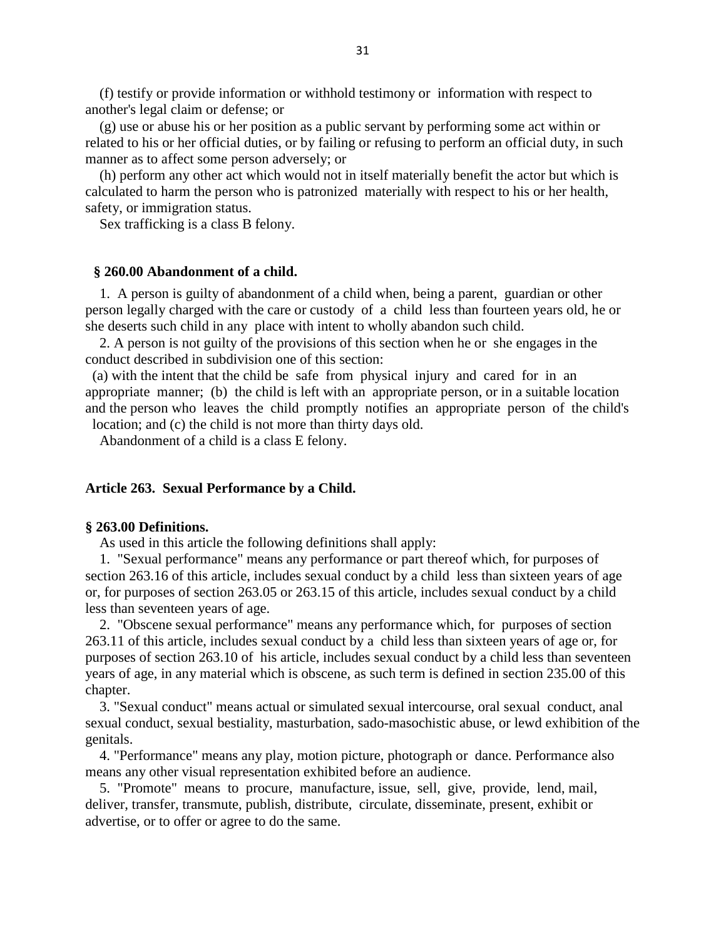(f) testify or provide information or withhold testimony or information with respect to another's legal claim or defense; or

 (g) use or abuse his or her position as a public servant by performing some act within or related to his or her official duties, or by failing or refusing to perform an official duty, in such manner as to affect some person adversely; or

 (h) perform any other act which would not in itself materially benefit the actor but which is calculated to harm the person who is patronized materially with respect to his or her health, safety, or immigration status.

Sex trafficking is a class B felony.

#### <span id="page-30-0"></span> **§ 260.00 Abandonment of a child.**

 1. A person is guilty of abandonment of a child when, being a parent, guardian or other person legally charged with the care or custody of a child less than fourteen years old, he or she deserts such child in any place with intent to wholly abandon such child.

 2. A person is not guilty of the provisions of this section when he or she engages in the conduct described in subdivision one of this section:

 (a) with the intent that the child be safe from physical injury and cared for in an appropriate manner; (b) the child is left with an appropriate person, or in a suitable location and the person who leaves the child promptly notifies an appropriate person of the child's location; and (c) the child is not more than thirty days old.

Abandonment of a child is a class E felony.

#### <span id="page-30-1"></span>**Article 263. Sexual Performance by a Child.**

#### <span id="page-30-2"></span>**§ 263.00 Definitions.**

As used in this article the following definitions shall apply:

 1. "Sexual performance" means any performance or part thereof which, for purposes of section 263.16 of this article, includes sexual conduct by a child less than sixteen years of age or, for purposes of section 263.05 or 263.15 of this article, includes sexual conduct by a child less than seventeen years of age.

 2. "Obscene sexual performance" means any performance which, for purposes of section 263.11 of this article, includes sexual conduct by a child less than sixteen years of age or, for purposes of section 263.10 of his article, includes sexual conduct by a child less than seventeen years of age, in any material which is obscene, as such term is defined in section 235.00 of this chapter.

 3. "Sexual conduct" means actual or simulated sexual intercourse, oral sexual conduct, anal sexual conduct, sexual bestiality, masturbation, sado-masochistic abuse, or lewd exhibition of the genitals.

 4. "Performance" means any play, motion picture, photograph or dance. Performance also means any other visual representation exhibited before an audience.

 5. "Promote" means to procure, manufacture, issue, sell, give, provide, lend, mail, deliver, transfer, transmute, publish, distribute, circulate, disseminate, present, exhibit or advertise, or to offer or agree to do the same.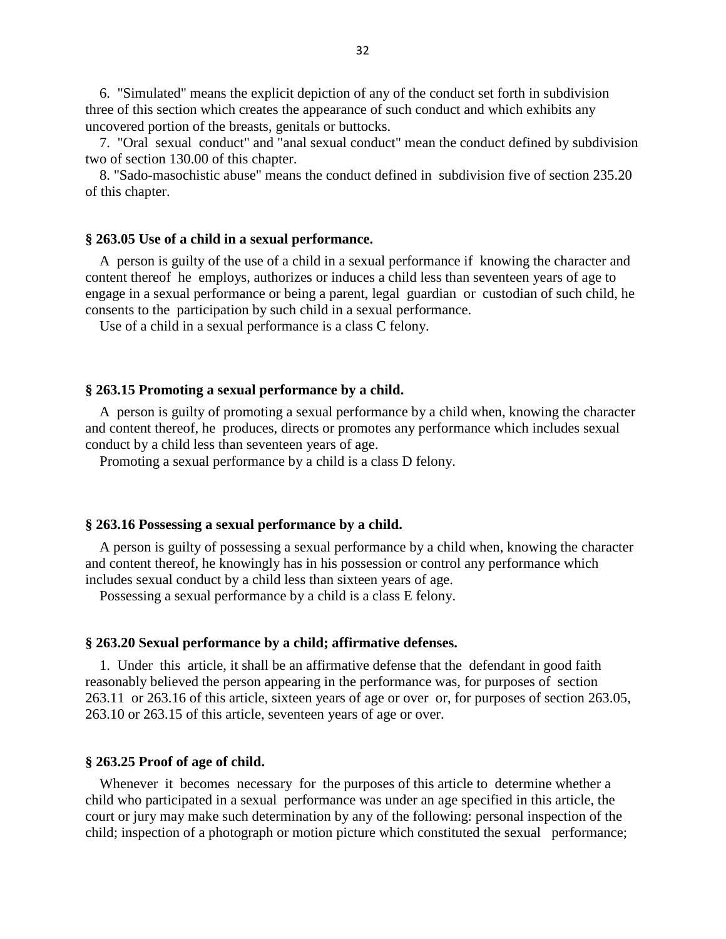6. "Simulated" means the explicit depiction of any of the conduct set forth in subdivision three of this section which creates the appearance of such conduct and which exhibits any uncovered portion of the breasts, genitals or buttocks.

 7. "Oral sexual conduct" and "anal sexual conduct" mean the conduct defined by subdivision two of section 130.00 of this chapter.

 8. "Sado-masochistic abuse" means the conduct defined in subdivision five of section 235.20 of this chapter.

#### <span id="page-31-0"></span>**§ 263.05 Use of a child in a sexual performance.**

 A person is guilty of the use of a child in a sexual performance if knowing the character and content thereof he employs, authorizes or induces a child less than seventeen years of age to engage in a sexual performance or being a parent, legal guardian or custodian of such child, he consents to the participation by such child in a sexual performance.

Use of a child in a sexual performance is a class C felony.

#### <span id="page-31-1"></span>**§ 263.15 Promoting a sexual performance by a child.**

 A person is guilty of promoting a sexual performance by a child when, knowing the character and content thereof, he produces, directs or promotes any performance which includes sexual conduct by a child less than seventeen years of age.

Promoting a sexual performance by a child is a class D felony.

#### <span id="page-31-2"></span>**§ 263.16 Possessing a sexual performance by a child.**

 A person is guilty of possessing a sexual performance by a child when, knowing the character and content thereof, he knowingly has in his possession or control any performance which includes sexual conduct by a child less than sixteen years of age.

Possessing a sexual performance by a child is a class E felony.

#### <span id="page-31-3"></span>**§ 263.20 Sexual performance by a child; affirmative defenses.**

 1. Under this article, it shall be an affirmative defense that the defendant in good faith reasonably believed the person appearing in the performance was, for purposes of section 263.11 or 263.16 of this article, sixteen years of age or over or, for purposes of section 263.05, 263.10 or 263.15 of this article, seventeen years of age or over.

#### <span id="page-31-4"></span>**§ 263.25 Proof of age of child.**

 Whenever it becomes necessary for the purposes of this article to determine whether a child who participated in a sexual performance was under an age specified in this article, the court or jury may make such determination by any of the following: personal inspection of the child; inspection of a photograph or motion picture which constituted the sexual performance;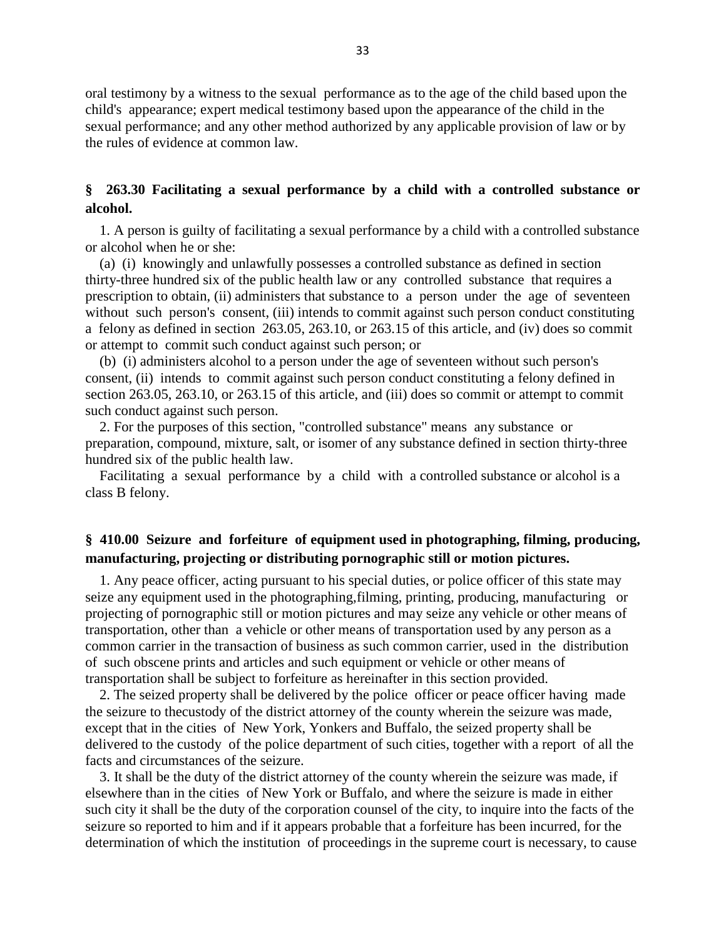oral testimony by a witness to the sexual performance as to the age of the child based upon the child's appearance; expert medical testimony based upon the appearance of the child in the sexual performance; and any other method authorized by any applicable provision of law or by the rules of evidence at common law.

## <span id="page-32-0"></span>**§ 263.30 Facilitating a sexual performance by a child with a controlled substance or alcohol.**

 1. A person is guilty of facilitating a sexual performance by a child with a controlled substance or alcohol when he or she:

 (a) (i) knowingly and unlawfully possesses a controlled substance as defined in section thirty-three hundred six of the public health law or any controlled substance that requires a prescription to obtain, (ii) administers that substance to a person under the age of seventeen without such person's consent, (iii) intends to commit against such person conduct constituting a felony as defined in section 263.05, 263.10, or 263.15 of this article, and (iv) does so commit or attempt to commit such conduct against such person; or

 (b) (i) administers alcohol to a person under the age of seventeen without such person's consent, (ii) intends to commit against such person conduct constituting a felony defined in section 263.05, 263.10, or 263.15 of this article, and (iii) does so commit or attempt to commit such conduct against such person.

 2. For the purposes of this section, "controlled substance" means any substance or preparation, compound, mixture, salt, or isomer of any substance defined in section thirty-three hundred six of the public health law.

 Facilitating a sexual performance by a child with a controlled substance or alcohol is a class B felony.

# <span id="page-32-1"></span>**§ 410.00 Seizure and forfeiture of equipment used in photographing, filming, producing, manufacturing, projecting or distributing pornographic still or motion pictures.**

 1. Any peace officer, acting pursuant to his special duties, or police officer of this state may seize any equipment used in the photographing,filming, printing, producing, manufacturing or projecting of pornographic still or motion pictures and may seize any vehicle or other means of transportation, other than a vehicle or other means of transportation used by any person as a common carrier in the transaction of business as such common carrier, used in the distribution of such obscene prints and articles and such equipment or vehicle or other means of transportation shall be subject to forfeiture as hereinafter in this section provided.

 2. The seized property shall be delivered by the police officer or peace officer having made the seizure to thecustody of the district attorney of the county wherein the seizure was made, except that in the cities of New York, Yonkers and Buffalo, the seized property shall be delivered to the custody of the police department of such cities, together with a report of all the facts and circumstances of the seizure.

 3. It shall be the duty of the district attorney of the county wherein the seizure was made, if elsewhere than in the cities of New York or Buffalo, and where the seizure is made in either such city it shall be the duty of the corporation counsel of the city, to inquire into the facts of the seizure so reported to him and if it appears probable that a forfeiture has been incurred, for the determination of which the institution of proceedings in the supreme court is necessary, to cause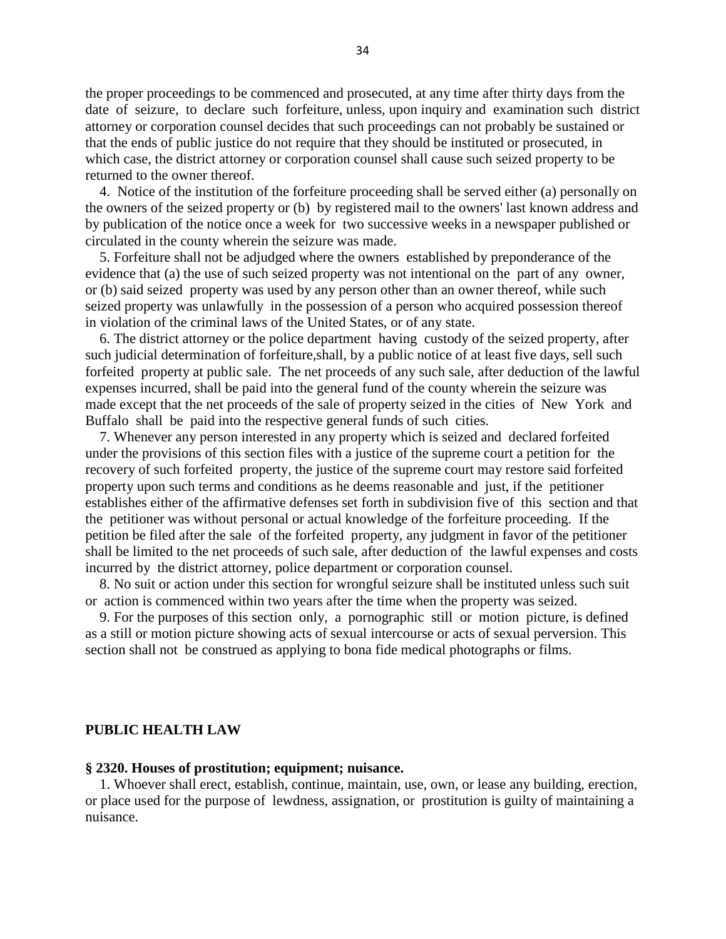the proper proceedings to be commenced and prosecuted, at any time after thirty days from the date of seizure, to declare such forfeiture, unless, upon inquiry and examination such district attorney or corporation counsel decides that such proceedings can not probably be sustained or that the ends of public justice do not require that they should be instituted or prosecuted, in which case, the district attorney or corporation counsel shall cause such seized property to be returned to the owner thereof.

 4. Notice of the institution of the forfeiture proceeding shall be served either (a) personally on the owners of the seized property or (b) by registered mail to the owners' last known address and by publication of the notice once a week for two successive weeks in a newspaper published or circulated in the county wherein the seizure was made.

 5. Forfeiture shall not be adjudged where the owners established by preponderance of the evidence that (a) the use of such seized property was not intentional on the part of any owner, or (b) said seized property was used by any person other than an owner thereof, while such seized property was unlawfully in the possession of a person who acquired possession thereof in violation of the criminal laws of the United States, or of any state.

 6. The district attorney or the police department having custody of the seized property, after such judicial determination of forfeiture,shall, by a public notice of at least five days, sell such forfeited property at public sale. The net proceeds of any such sale, after deduction of the lawful expenses incurred, shall be paid into the general fund of the county wherein the seizure was made except that the net proceeds of the sale of property seized in the cities of New York and Buffalo shall be paid into the respective general funds of such cities.

 7. Whenever any person interested in any property which is seized and declared forfeited under the provisions of this section files with a justice of the supreme court a petition for the recovery of such forfeited property, the justice of the supreme court may restore said forfeited property upon such terms and conditions as he deems reasonable and just, if the petitioner establishes either of the affirmative defenses set forth in subdivision five of this section and that the petitioner was without personal or actual knowledge of the forfeiture proceeding. If the petition be filed after the sale of the forfeited property, any judgment in favor of the petitioner shall be limited to the net proceeds of such sale, after deduction of the lawful expenses and costs incurred by the district attorney, police department or corporation counsel.

 8. No suit or action under this section for wrongful seizure shall be instituted unless such suit or action is commenced within two years after the time when the property was seized.

 9. For the purposes of this section only, a pornographic still or motion picture, is defined as a still or motion picture showing acts of sexual intercourse or acts of sexual perversion. This section shall not be construed as applying to bona fide medical photographs or films.

## <span id="page-33-0"></span>**PUBLIC HEALTH LAW**

#### <span id="page-33-1"></span>**§ 2320. Houses of prostitution; equipment; nuisance.**

 1. Whoever shall erect, establish, continue, maintain, use, own, or lease any building, erection, or place used for the purpose of lewdness, assignation, or prostitution is guilty of maintaining a nuisance.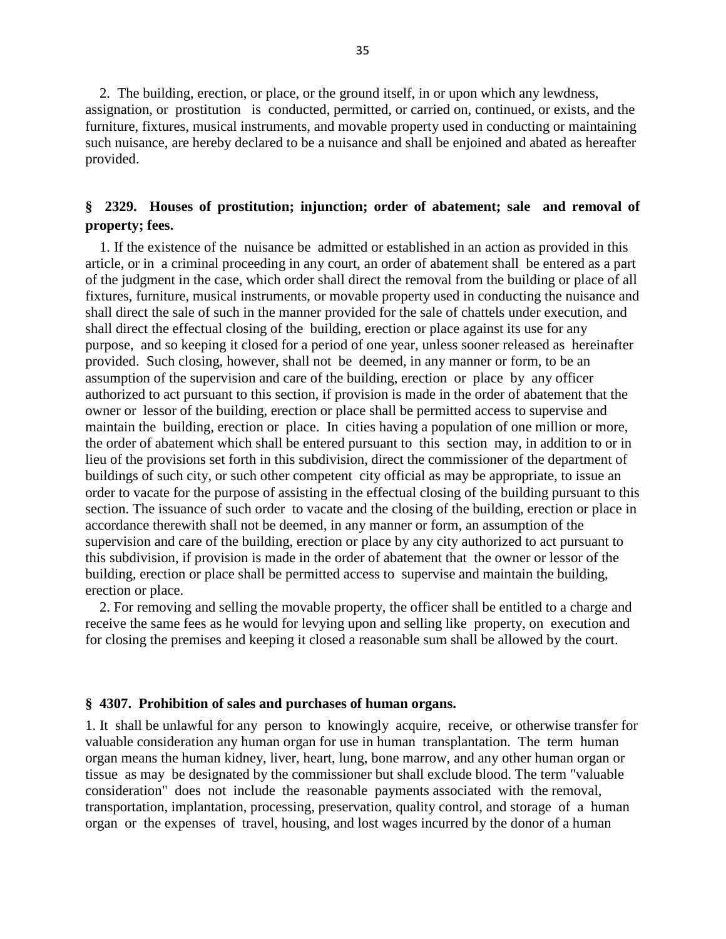2. The building, erection, or place, or the ground itself, in or upon which any lewdness, assignation, or prostitution is conducted, permitted, or carried on, continued, or exists, and the furniture, fixtures, musical instruments, and movable property used in conducting or maintaining such nuisance, are hereby declared to be a nuisance and shall be enjoined and abated as hereafter provided.

# <span id="page-34-0"></span>**§ 2329. Houses of prostitution; injunction; order of abatement; sale and removal of property; fees.**

 1. If the existence of the nuisance be admitted or established in an action as provided in this article, or in a criminal proceeding in any court, an order of abatement shall be entered as a part of the judgment in the case, which order shall direct the removal from the building or place of all fixtures, furniture, musical instruments, or movable property used in conducting the nuisance and shall direct the sale of such in the manner provided for the sale of chattels under execution, and shall direct the effectual closing of the building, erection or place against its use for any purpose, and so keeping it closed for a period of one year, unless sooner released as hereinafter provided. Such closing, however, shall not be deemed, in any manner or form, to be an assumption of the supervision and care of the building, erection or place by any officer authorized to act pursuant to this section, if provision is made in the order of abatement that the owner or lessor of the building, erection or place shall be permitted access to supervise and maintain the building, erection or place. In cities having a population of one million or more, the order of abatement which shall be entered pursuant to this section may, in addition to or in lieu of the provisions set forth in this subdivision, direct the commissioner of the department of buildings of such city, or such other competent city official as may be appropriate, to issue an order to vacate for the purpose of assisting in the effectual closing of the building pursuant to this section. The issuance of such order to vacate and the closing of the building, erection or place in accordance therewith shall not be deemed, in any manner or form, an assumption of the supervision and care of the building, erection or place by any city authorized to act pursuant to this subdivision, if provision is made in the order of abatement that the owner or lessor of the building, erection or place shall be permitted access to supervise and maintain the building, erection or place.

 2. For removing and selling the movable property, the officer shall be entitled to a charge and receive the same fees as he would for levying upon and selling like property, on execution and for closing the premises and keeping it closed a reasonable sum shall be allowed by the court.

## <span id="page-34-1"></span>**§ 4307. Prohibition of sales and purchases of human organs.**

1. It shall be unlawful for any person to knowingly acquire, receive, or otherwise transfer for valuable consideration any human organ for use in human transplantation. The term human organ means the human kidney, liver, heart, lung, bone marrow, and any other human organ or tissue as may be designated by the commissioner but shall exclude blood. The term "valuable consideration" does not include the reasonable payments associated with the removal, transportation, implantation, processing, preservation, quality control, and storage of a human organ or the expenses of travel, housing, and lost wages incurred by the donor of a human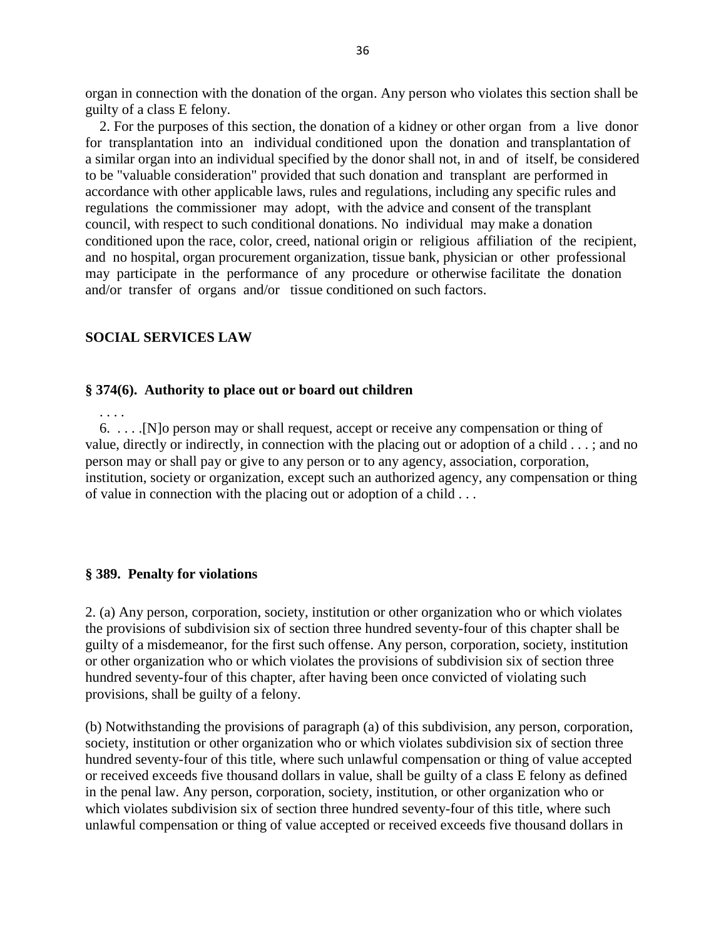organ in connection with the donation of the organ. Any person who violates this section shall be guilty of a class E felony.

 2. For the purposes of this section, the donation of a kidney or other organ from a live donor for transplantation into an individual conditioned upon the donation and transplantation of a similar organ into an individual specified by the donor shall not, in and of itself, be considered to be "valuable consideration" provided that such donation and transplant are performed in accordance with other applicable laws, rules and regulations, including any specific rules and regulations the commissioner may adopt, with the advice and consent of the transplant council, with respect to such conditional donations. No individual may make a donation conditioned upon the race, color, creed, national origin or religious affiliation of the recipient, and no hospital, organ procurement organization, tissue bank, physician or other professional may participate in the performance of any procedure or otherwise facilitate the donation and/or transfer of organs and/or tissue conditioned on such factors.

### <span id="page-35-0"></span>**SOCIAL SERVICES LAW**

#### <span id="page-35-1"></span>**§ 374(6). Authority to place out or board out children**

 . . . . 6. . . . .[N]o person may or shall request, accept or receive any compensation or thing of value, directly or indirectly, in connection with the placing out or adoption of a child . . . ; and no person may or shall pay or give to any person or to any agency, association, corporation, institution, society or organization, except such an authorized agency, any compensation or thing of value in connection with the placing out or adoption of a child . . .

## <span id="page-35-2"></span>**§ 389. Penalty for violations**

2. (a) Any person, corporation, society, institution or other organization who or which violates the provisions of subdivision six of section three hundred seventy-four of this chapter shall be guilty of a misdemeanor, for the first such offense. Any person, corporation, society, institution or other organization who or which violates the provisions of subdivision six of section three hundred seventy-four of this chapter, after having been once convicted of violating such provisions, shall be guilty of a felony.

(b) Notwithstanding the provisions of paragraph (a) of this subdivision, any person, corporation, society, institution or other organization who or which violates subdivision six of section three hundred seventy-four of this title, where such unlawful compensation or thing of value accepted or received exceeds five thousand dollars in value, shall be guilty of a class E felony as defined in the penal law. Any person, corporation, society, institution, or other organization who or which violates subdivision six of section three hundred seventy-four of this title, where such unlawful compensation or thing of value accepted or received exceeds five thousand dollars in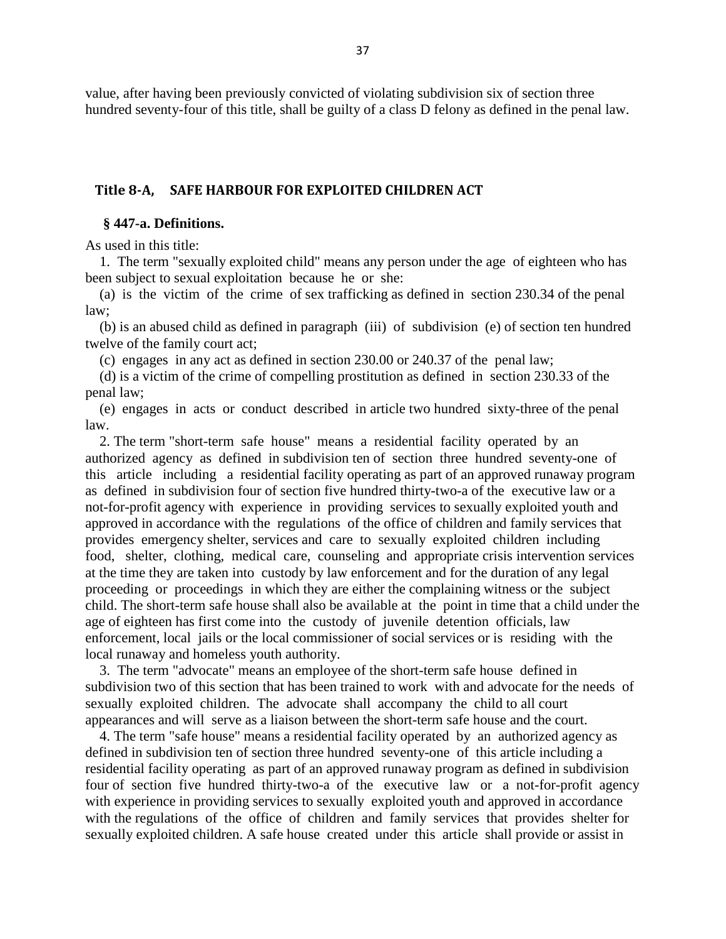value, after having been previously convicted of violating subdivision six of section three hundred seventy-four of this title, shall be guilty of a class D felony as defined in the penal law.

## <span id="page-36-0"></span> **Title 8-A, SAFE HARBOUR FOR EXPLOITED CHILDREN ACT**

## <span id="page-36-1"></span> **§ 447-a. Definitions.**

As used in this title:

 1. The term "sexually exploited child" means any person under the age of eighteen who has been subject to sexual exploitation because he or she:

 (a) is the victim of the crime of sex trafficking as defined in section 230.34 of the penal law;

 (b) is an abused child as defined in paragraph (iii) of subdivision (e) of section ten hundred twelve of the family court act;

(c) engages in any act as defined in section 230.00 or 240.37 of the penal law;

 (d) is a victim of the crime of compelling prostitution as defined in section 230.33 of the penal law;

 (e) engages in acts or conduct described in article two hundred sixty-three of the penal law.

 2. The term "short-term safe house" means a residential facility operated by an authorized agency as defined in subdivision ten of section three hundred seventy-one of this article including a residential facility operating as part of an approved runaway program as defined in subdivision four of section five hundred thirty-two-a of the executive law or a not-for-profit agency with experience in providing services to sexually exploited youth and approved in accordance with the regulations of the office of children and family services that provides emergency shelter, services and care to sexually exploited children including food, shelter, clothing, medical care, counseling and appropriate crisis intervention services at the time they are taken into custody by law enforcement and for the duration of any legal proceeding or proceedings in which they are either the complaining witness or the subject child. The short-term safe house shall also be available at the point in time that a child under the age of eighteen has first come into the custody of juvenile detention officials, law enforcement, local jails or the local commissioner of social services or is residing with the local runaway and homeless youth authority.

 3. The term "advocate" means an employee of the short-term safe house defined in subdivision two of this section that has been trained to work with and advocate for the needs of sexually exploited children. The advocate shall accompany the child to all court appearances and will serve as a liaison between the short-term safe house and the court.

 4. The term "safe house" means a residential facility operated by an authorized agency as defined in subdivision ten of section three hundred seventy-one of this article including a residential facility operating as part of an approved runaway program as defined in subdivision four of section five hundred thirty-two-a of the executive law or a not-for-profit agency with experience in providing services to sexually exploited youth and approved in accordance with the regulations of the office of children and family services that provides shelter for sexually exploited children. A safe house created under this article shall provide or assist in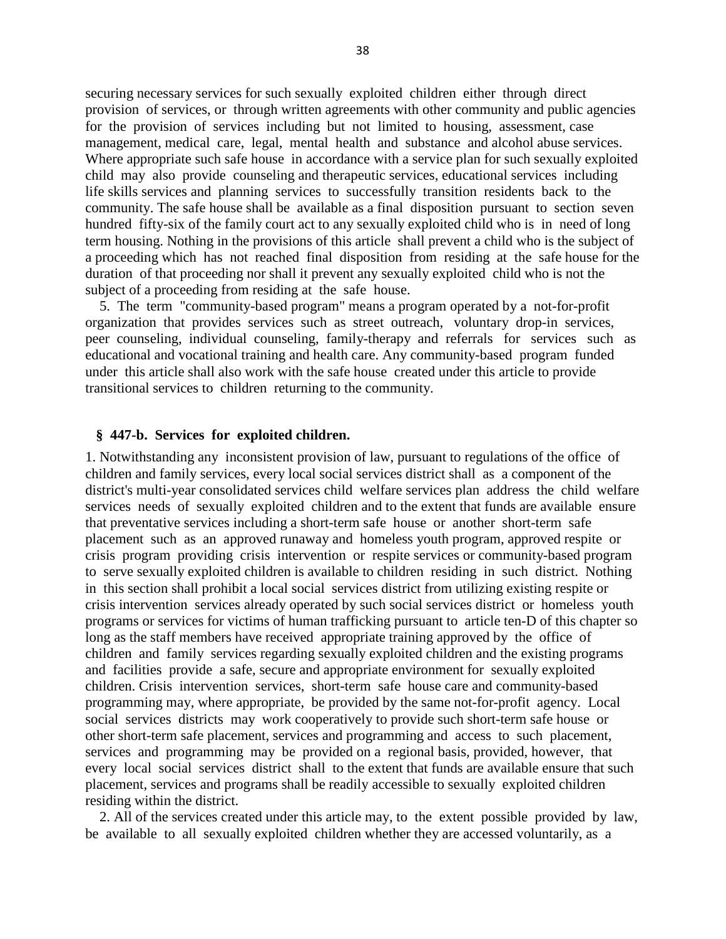securing necessary services for such sexually exploited children either through direct provision of services, or through written agreements with other community and public agencies for the provision of services including but not limited to housing, assessment, case management, medical care, legal, mental health and substance and alcohol abuse services. Where appropriate such safe house in accordance with a service plan for such sexually exploited child may also provide counseling and therapeutic services, educational services including life skills services and planning services to successfully transition residents back to the community. The safe house shall be available as a final disposition pursuant to section seven hundred fifty-six of the family court act to any sexually exploited child who is in need of long term housing. Nothing in the provisions of this article shall prevent a child who is the subject of a proceeding which has not reached final disposition from residing at the safe house for the duration of that proceeding nor shall it prevent any sexually exploited child who is not the subject of a proceeding from residing at the safe house.

 5. The term "community-based program" means a program operated by a not-for-profit organization that provides services such as street outreach, voluntary drop-in services, peer counseling, individual counseling, family-therapy and referrals for services such as educational and vocational training and health care. Any community-based program funded under this article shall also work with the safe house created under this article to provide transitional services to children returning to the community.

#### <span id="page-37-0"></span> **§ 447-b. Services for exploited children.**

1. Notwithstanding any inconsistent provision of law, pursuant to regulations of the office of children and family services, every local social services district shall as a component of the district's multi-year consolidated services child welfare services plan address the child welfare services needs of sexually exploited children and to the extent that funds are available ensure that preventative services including a short-term safe house or another short-term safe placement such as an approved runaway and homeless youth program, approved respite or crisis program providing crisis intervention or respite services or community-based program to serve sexually exploited children is available to children residing in such district. Nothing in this section shall prohibit a local social services district from utilizing existing respite or crisis intervention services already operated by such social services district or homeless youth programs or services for victims of human trafficking pursuant to article ten-D of this chapter so long as the staff members have received appropriate training approved by the office of children and family services regarding sexually exploited children and the existing programs and facilities provide a safe, secure and appropriate environment for sexually exploited children. Crisis intervention services, short-term safe house care and community-based programming may, where appropriate, be provided by the same not-for-profit agency. Local social services districts may work cooperatively to provide such short-term safe house or other short-term safe placement, services and programming and access to such placement, services and programming may be provided on a regional basis, provided, however, that every local social services district shall to the extent that funds are available ensure that such placement, services and programs shall be readily accessible to sexually exploited children residing within the district.

 2. All of the services created under this article may, to the extent possible provided by law, be available to all sexually exploited children whether they are accessed voluntarily, as a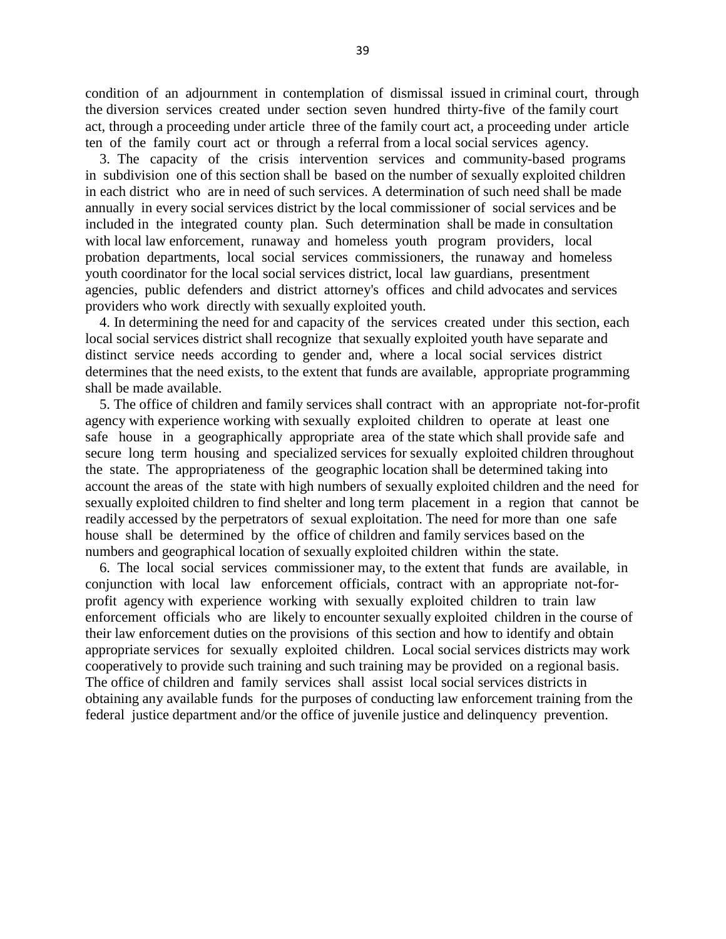condition of an adjournment in contemplation of dismissal issued in criminal court, through the diversion services created under section seven hundred thirty-five of the family court act, through a proceeding under article three of the family court act, a proceeding under article ten of the family court act or through a referral from a local social services agency.

 3. The capacity of the crisis intervention services and community-based programs in subdivision one of this section shall be based on the number of sexually exploited children in each district who are in need of such services. A determination of such need shall be made annually in every social services district by the local commissioner of social services and be included in the integrated county plan. Such determination shall be made in consultation with local law enforcement, runaway and homeless youth program providers, local probation departments, local social services commissioners, the runaway and homeless youth coordinator for the local social services district, local law guardians, presentment agencies, public defenders and district attorney's offices and child advocates and services providers who work directly with sexually exploited youth.

 4. In determining the need for and capacity of the services created under this section, each local social services district shall recognize that sexually exploited youth have separate and distinct service needs according to gender and, where a local social services district determines that the need exists, to the extent that funds are available, appropriate programming shall be made available.

 5. The office of children and family services shall contract with an appropriate not-for-profit agency with experience working with sexually exploited children to operate at least one safe house in a geographically appropriate area of the state which shall provide safe and secure long term housing and specialized services for sexually exploited children throughout the state. The appropriateness of the geographic location shall be determined taking into account the areas of the state with high numbers of sexually exploited children and the need for sexually exploited children to find shelter and long term placement in a region that cannot be readily accessed by the perpetrators of sexual exploitation. The need for more than one safe house shall be determined by the office of children and family services based on the numbers and geographical location of sexually exploited children within the state.

 6. The local social services commissioner may, to the extent that funds are available, in conjunction with local law enforcement officials, contract with an appropriate not-forprofit agency with experience working with sexually exploited children to train law enforcement officials who are likely to encounter sexually exploited children in the course of their law enforcement duties on the provisions of this section and how to identify and obtain appropriate services for sexually exploited children. Local social services districts may work cooperatively to provide such training and such training may be provided on a regional basis. The office of children and family services shall assist local social services districts in obtaining any available funds for the purposes of conducting law enforcement training from the federal justice department and/or the office of juvenile justice and delinquency prevention.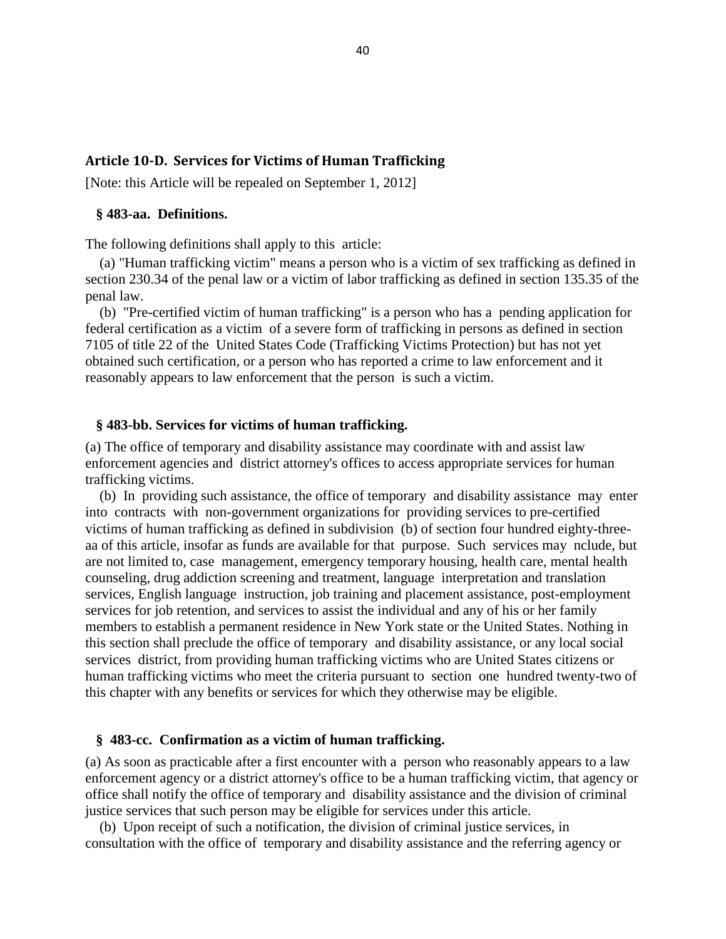## <span id="page-39-0"></span>**Article 10-D. Services for Victims of Human Trafficking**

<span id="page-39-1"></span>[Note: this Article will be repealed on September 1, 2012]

#### **§ 483-aa. Definitions.**

The following definitions shall apply to this article:

 (a) "Human trafficking victim" means a person who is a victim of sex trafficking as defined in section 230.34 of the penal law or a victim of labor trafficking as defined in section 135.35 of the penal law.

 (b) "Pre-certified victim of human trafficking" is a person who has a pending application for federal certification as a victim of a severe form of trafficking in persons as defined in section 7105 of title 22 of the United States Code (Trafficking Victims Protection) but has not yet obtained such certification, or a person who has reported a crime to law enforcement and it reasonably appears to law enforcement that the person is such a victim.

## <span id="page-39-2"></span> **§ 483-bb. Services for victims of human trafficking.**

(a) The office of temporary and disability assistance may coordinate with and assist law enforcement agencies and district attorney's offices to access appropriate services for human trafficking victims.

 (b) In providing such assistance, the office of temporary and disability assistance may enter into contracts with non-government organizations for providing services to pre-certified victims of human trafficking as defined in subdivision (b) of section four hundred eighty-threeaa of this article, insofar as funds are available for that purpose. Such services may nclude, but are not limited to, case management, emergency temporary housing, health care, mental health counseling, drug addiction screening and treatment, language interpretation and translation services, English language instruction, job training and placement assistance, post-employment services for job retention, and services to assist the individual and any of his or her family members to establish a permanent residence in New York state or the United States. Nothing in this section shall preclude the office of temporary and disability assistance, or any local social services district, from providing human trafficking victims who are United States citizens or human trafficking victims who meet the criteria pursuant to section one hundred twenty-two of this chapter with any benefits or services for which they otherwise may be eligible.

### <span id="page-39-3"></span> **§ 483-cc. Confirmation as a victim of human trafficking.**

(a) As soon as practicable after a first encounter with a person who reasonably appears to a law enforcement agency or a district attorney's office to be a human trafficking victim, that agency or office shall notify the office of temporary and disability assistance and the division of criminal justice services that such person may be eligible for services under this article.

 (b) Upon receipt of such a notification, the division of criminal justice services, in consultation with the office of temporary and disability assistance and the referring agency or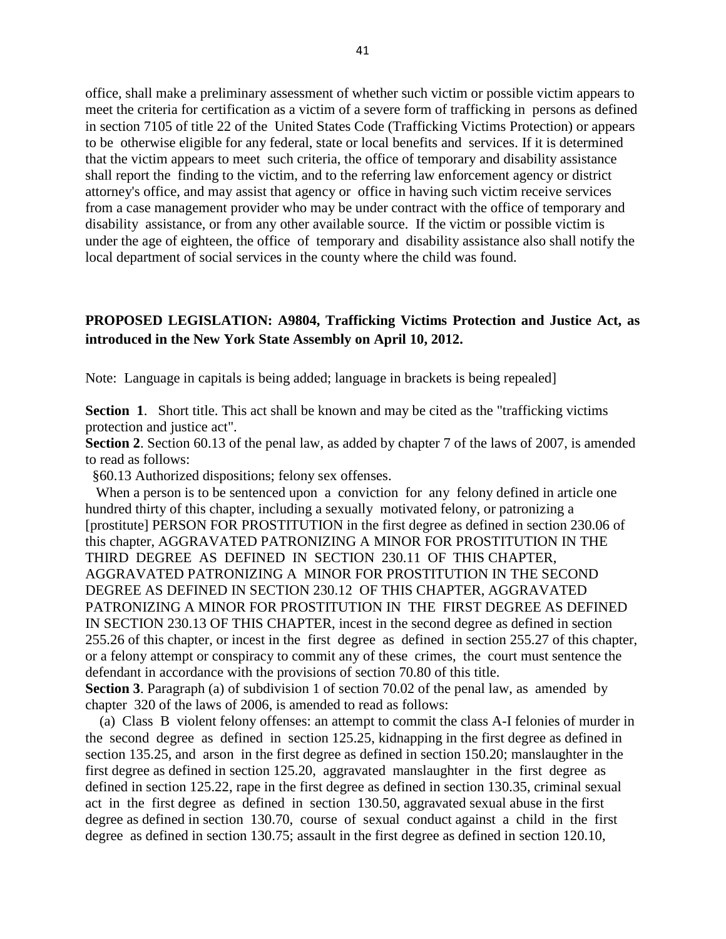office, shall make a preliminary assessment of whether such victim or possible victim appears to meet the criteria for certification as a victim of a severe form of trafficking in persons as defined in section 7105 of title 22 of the United States Code (Trafficking Victims Protection) or appears to be otherwise eligible for any federal, state or local benefits and services. If it is determined that the victim appears to meet such criteria, the office of temporary and disability assistance shall report the finding to the victim, and to the referring law enforcement agency or district attorney's office, and may assist that agency or office in having such victim receive services from a case management provider who may be under contract with the office of temporary and disability assistance, or from any other available source. If the victim or possible victim is under the age of eighteen, the office of temporary and disability assistance also shall notify the local department of social services in the county where the child was found.

## <span id="page-40-0"></span>**PROPOSED LEGISLATION: A9804, Trafficking Victims Protection and Justice Act, as introduced in the New York State Assembly on April 10, 2012.**

Note: Language in capitals is being added; language in brackets is being repealed]

**Section 1.** Short title. This act shall be known and may be cited as the "trafficking victims" protection and justice act".

**Section 2**. Section 60.13 of the penal law, as added by chapter 7 of the laws of 2007, is amended to read as follows:

§60.13 Authorized dispositions; felony sex offenses.

When a person is to be sentenced upon a conviction for any felony defined in article one hundred thirty of this chapter, including a sexually motivated felony, or patronizing a [prostitute] PERSON FOR PROSTITUTION in the first degree as defined in section 230.06 of this chapter, AGGRAVATED PATRONIZING A MINOR FOR PROSTITUTION IN THE THIRD DEGREE AS DEFINED IN SECTION 230.11 OF THIS CHAPTER, AGGRAVATED PATRONIZING A MINOR FOR PROSTITUTION IN THE SECOND DEGREE AS DEFINED IN SECTION 230.12 OF THIS CHAPTER, AGGRAVATED PATRONIZING A MINOR FOR PROSTITUTION IN THE FIRST DEGREE AS DEFINED IN SECTION 230.13 OF THIS CHAPTER, incest in the second degree as defined in section 255.26 of this chapter, or incest in the first degree as defined in section 255.27 of this chapter, or a felony attempt or conspiracy to commit any of these crimes, the court must sentence the defendant in accordance with the provisions of section 70.80 of this title.

**Section 3**. Paragraph (a) of subdivision 1 of section 70.02 of the penal law, as amended by chapter 320 of the laws of 2006, is amended to read as follows:

 (a) Class B violent felony offenses: an attempt to commit the class A-I felonies of murder in the second degree as defined in section 125.25, kidnapping in the first degree as defined in section 135.25, and arson in the first degree as defined in section 150.20; manslaughter in the first degree as defined in section 125.20, aggravated manslaughter in the first degree as defined in section 125.22, rape in the first degree as defined in section 130.35, criminal sexual act in the first degree as defined in section 130.50, aggravated sexual abuse in the first degree as defined in section 130.70, course of sexual conduct against a child in the first degree as defined in section 130.75; assault in the first degree as defined in section 120.10,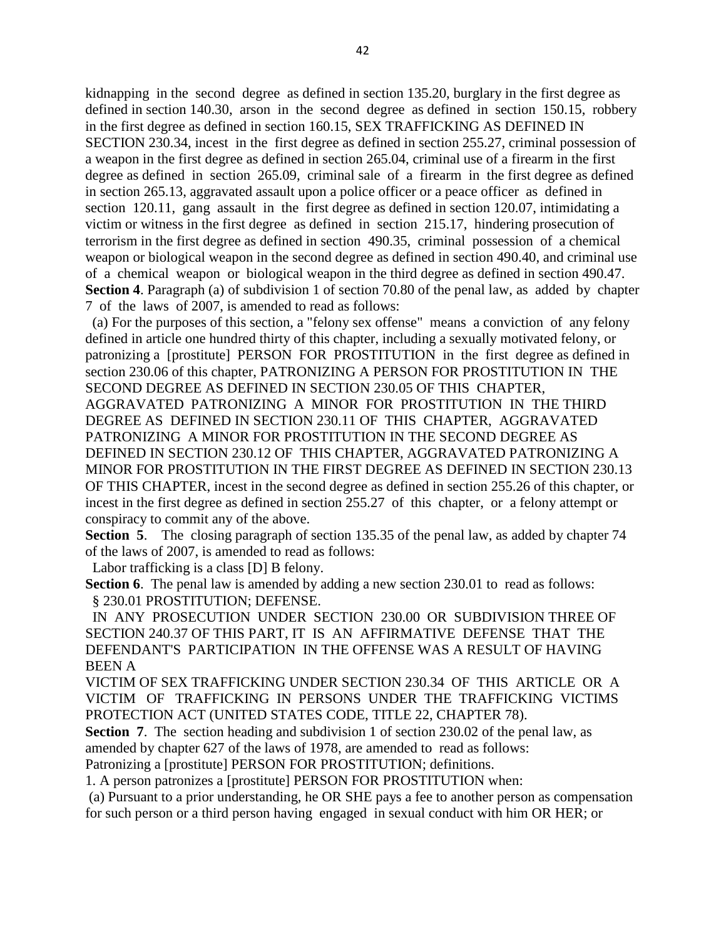kidnapping in the second degree as defined in section 135.20, burglary in the first degree as defined in section 140.30, arson in the second degree as defined in section 150.15, robbery in the first degree as defined in section 160.15, SEX TRAFFICKING AS DEFINED IN SECTION 230.34, incest in the first degree as defined in section 255.27, criminal possession of a weapon in the first degree as defined in section 265.04, criminal use of a firearm in the first degree as defined in section 265.09, criminal sale of a firearm in the first degree as defined in section 265.13, aggravated assault upon a police officer or a peace officer as defined in section 120.11, gang assault in the first degree as defined in section 120.07, intimidating a victim or witness in the first degree as defined in section 215.17, hindering prosecution of terrorism in the first degree as defined in section 490.35, criminal possession of a chemical weapon or biological weapon in the second degree as defined in section 490.40, and criminal use of a chemical weapon or biological weapon in the third degree as defined in section 490.47. **Section 4**. Paragraph (a) of subdivision 1 of section 70.80 of the penal law, as added by chapter 7 of the laws of 2007, is amended to read as follows:

 (a) For the purposes of this section, a "felony sex offense" means a conviction of any felony defined in article one hundred thirty of this chapter, including a sexually motivated felony, or patronizing a [prostitute] PERSON FOR PROSTITUTION in the first degree as defined in section 230.06 of this chapter, PATRONIZING A PERSON FOR PROSTITUTION IN THE SECOND DEGREE AS DEFINED IN SECTION 230.05 OF THIS CHAPTER, AGGRAVATED PATRONIZING A MINOR FOR PROSTITUTION IN THE THIRD DEGREE AS DEFINED IN SECTION 230.11 OF THIS CHAPTER, AGGRAVATED PATRONIZING A MINOR FOR PROSTITUTION IN THE SECOND DEGREE AS DEFINED IN SECTION 230.12 OF THIS CHAPTER, AGGRAVATED PATRONIZING A MINOR FOR PROSTITUTION IN THE FIRST DEGREE AS DEFINED IN SECTION 230.13 OF THIS CHAPTER, incest in the second degree as defined in section 255.26 of this chapter, or incest in the first degree as defined in section 255.27 of this chapter, or a felony attempt or conspiracy to commit any of the above.

**Section 5**. The closing paragraph of section 135.35 of the penal law, as added by chapter 74 of the laws of 2007, is amended to read as follows:

Labor trafficking is a class [D] B felony.

**Section 6.** The penal law is amended by adding a new section 230.01 to read as follows: § 230.01 PROSTITUTION; DEFENSE.

 IN ANY PROSECUTION UNDER SECTION 230.00 OR SUBDIVISION THREE OF SECTION 240.37 OF THIS PART, IT IS AN AFFIRMATIVE DEFENSE THAT THE DEFENDANT'S PARTICIPATION IN THE OFFENSE WAS A RESULT OF HAVING BEEN A

VICTIM OF SEX TRAFFICKING UNDER SECTION 230.34 OF THIS ARTICLE OR A VICTIM OF TRAFFICKING IN PERSONS UNDER THE TRAFFICKING VICTIMS PROTECTION ACT (UNITED STATES CODE, TITLE 22, CHAPTER 78).

**Section 7.** The section heading and subdivision 1 of section 230.02 of the penal law, as amended by chapter 627 of the laws of 1978, are amended to read as follows:

Patronizing a [prostitute] PERSON FOR PROSTITUTION; definitions.

1. A person patronizes a [prostitute] PERSON FOR PROSTITUTION when:

(a) Pursuant to a prior understanding, he OR SHE pays a fee to another person as compensation for such person or a third person having engaged in sexual conduct with him OR HER; or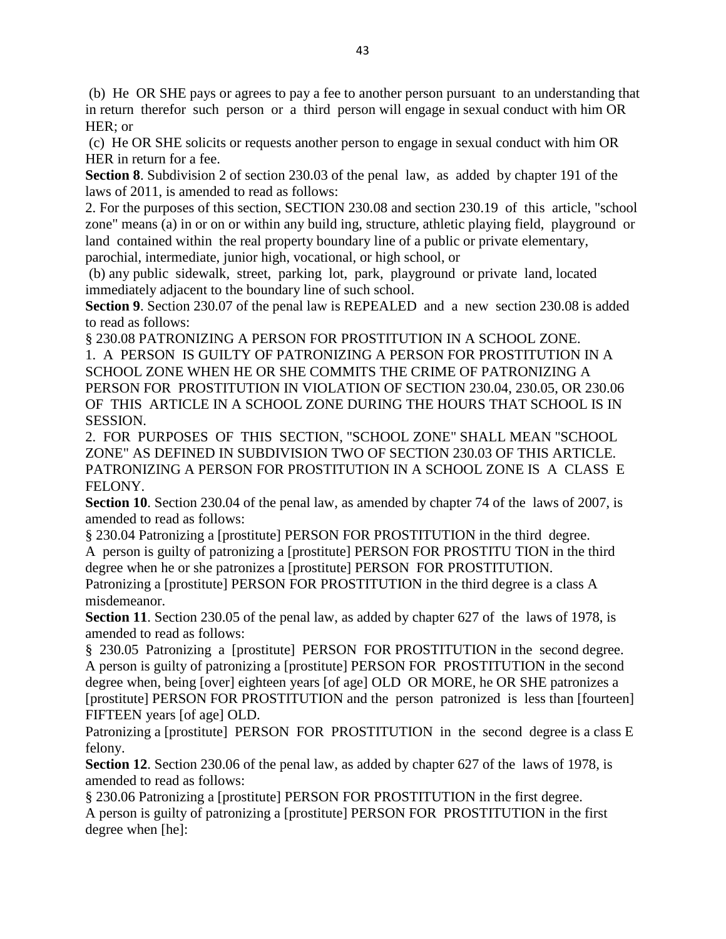(b) He OR SHE pays or agrees to pay a fee to another person pursuant to an understanding that in return therefor such person or a third person will engage in sexual conduct with him OR HER; or

(c) He OR SHE solicits or requests another person to engage in sexual conduct with him OR HER in return for a fee.

**Section 8**. Subdivision 2 of section 230.03 of the penal law, as added by chapter 191 of the laws of 2011, is amended to read as follows:

2. For the purposes of this section, SECTION 230.08 and section 230.19 of this article, "school zone" means (a) in or on or within any build ing, structure, athletic playing field, playground or land contained within the real property boundary line of a public or private elementary, parochial, intermediate, junior high, vocational, or high school, or

(b) any public sidewalk, street, parking lot, park, playground or private land, located immediately adjacent to the boundary line of such school.

**Section 9**. Section 230.07 of the penal law is REPEALED and a new section 230.08 is added to read as follows:

§ 230.08 PATRONIZING A PERSON FOR PROSTITUTION IN A SCHOOL ZONE.

1. A PERSON IS GUILTY OF PATRONIZING A PERSON FOR PROSTITUTION IN A SCHOOL ZONE WHEN HE OR SHE COMMITS THE CRIME OF PATRONIZING A PERSON FOR PROSTITUTION IN VIOLATION OF SECTION 230.04, 230.05, OR 230.06 OF THIS ARTICLE IN A SCHOOL ZONE DURING THE HOURS THAT SCHOOL IS IN SESSION.

2. FOR PURPOSES OF THIS SECTION, "SCHOOL ZONE" SHALL MEAN "SCHOOL ZONE" AS DEFINED IN SUBDIVISION TWO OF SECTION 230.03 OF THIS ARTICLE. PATRONIZING A PERSON FOR PROSTITUTION IN A SCHOOL ZONE IS A CLASS E FELONY.

**Section 10**. Section 230.04 of the penal law, as amended by chapter 74 of the laws of 2007, is amended to read as follows:

§ 230.04 Patronizing a [prostitute] PERSON FOR PROSTITUTION in the third degree. A person is guilty of patronizing a [prostitute] PERSON FOR PROSTITU TION in the third degree when he or she patronizes a [prostitute] PERSON FOR PROSTITUTION. Patronizing a [prostitute] PERSON FOR PROSTITUTION in the third degree is a class A misdemeanor.

**Section 11**. Section 230.05 of the penal law, as added by chapter 627 of the laws of 1978, is amended to read as follows:

§ 230.05 Patronizing a [prostitute] PERSON FOR PROSTITUTION in the second degree. A person is guilty of patronizing a [prostitute] PERSON FOR PROSTITUTION in the second degree when, being [over] eighteen years [of age] OLD OR MORE, he OR SHE patronizes a [prostitute] PERSON FOR PROSTITUTION and the person patronized is less than [fourteen] FIFTEEN years [of age] OLD.

Patronizing a [prostitute] PERSON FOR PROSTITUTION in the second degree is a class E felony.

**Section 12**. Section 230.06 of the penal law, as added by chapter 627 of the laws of 1978, is amended to read as follows:

§ 230.06 Patronizing a [prostitute] PERSON FOR PROSTITUTION in the first degree. A person is guilty of patronizing a [prostitute] PERSON FOR PROSTITUTION in the first degree when [he]: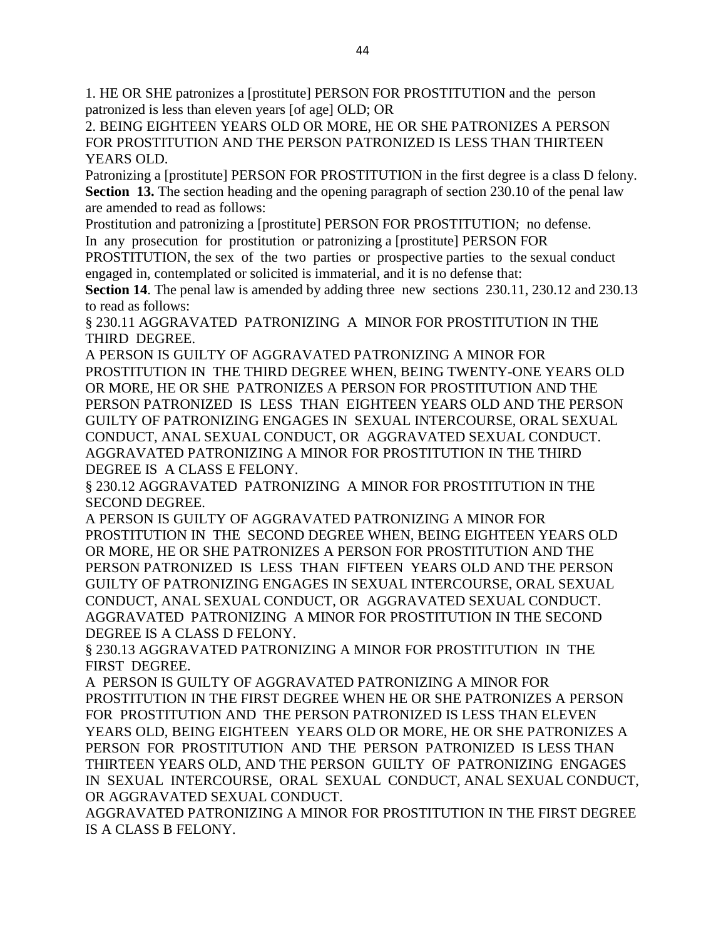1. HE OR SHE patronizes a [prostitute] PERSON FOR PROSTITUTION and the person patronized is less than eleven years [of age] OLD; OR

2. BEING EIGHTEEN YEARS OLD OR MORE, HE OR SHE PATRONIZES A PERSON FOR PROSTITUTION AND THE PERSON PATRONIZED IS LESS THAN THIRTEEN YEARS OLD.

Patronizing a [prostitute] PERSON FOR PROSTITUTION in the first degree is a class D felony. **Section 13.** The section heading and the opening paragraph of section 230.10 of the penal law are amended to read as follows:

Prostitution and patronizing a [prostitute] PERSON FOR PROSTITUTION; no defense.

In any prosecution for prostitution or patronizing a [prostitute] PERSON FOR

PROSTITUTION, the sex of the two parties or prospective parties to the sexual conduct engaged in, contemplated or solicited is immaterial, and it is no defense that:

**Section 14**. The penal law is amended by adding three new sections 230.11, 230.12 and 230.13 to read as follows:

§ 230.11 AGGRAVATED PATRONIZING A MINOR FOR PROSTITUTION IN THE THIRD DEGREE.

A PERSON IS GUILTY OF AGGRAVATED PATRONIZING A MINOR FOR PROSTITUTION IN THE THIRD DEGREE WHEN, BEING TWENTY-ONE YEARS OLD OR MORE, HE OR SHE PATRONIZES A PERSON FOR PROSTITUTION AND THE PERSON PATRONIZED IS LESS THAN EIGHTEEN YEARS OLD AND THE PERSON GUILTY OF PATRONIZING ENGAGES IN SEXUAL INTERCOURSE, ORAL SEXUAL CONDUCT, ANAL SEXUAL CONDUCT, OR AGGRAVATED SEXUAL CONDUCT. AGGRAVATED PATRONIZING A MINOR FOR PROSTITUTION IN THE THIRD DEGREE IS A CLASS E FELONY.

§ 230.12 AGGRAVATED PATRONIZING A MINOR FOR PROSTITUTION IN THE SECOND DEGREE.

A PERSON IS GUILTY OF AGGRAVATED PATRONIZING A MINOR FOR PROSTITUTION IN THE SECOND DEGREE WHEN, BEING EIGHTEEN YEARS OLD OR MORE, HE OR SHE PATRONIZES A PERSON FOR PROSTITUTION AND THE PERSON PATRONIZED IS LESS THAN FIFTEEN YEARS OLD AND THE PERSON GUILTY OF PATRONIZING ENGAGES IN SEXUAL INTERCOURSE, ORAL SEXUAL CONDUCT, ANAL SEXUAL CONDUCT, OR AGGRAVATED SEXUAL CONDUCT. AGGRAVATED PATRONIZING A MINOR FOR PROSTITUTION IN THE SECOND DEGREE IS A CLASS D FELONY.

§ 230.13 AGGRAVATED PATRONIZING A MINOR FOR PROSTITUTION IN THE FIRST DEGREE.

A PERSON IS GUILTY OF AGGRAVATED PATRONIZING A MINOR FOR PROSTITUTION IN THE FIRST DEGREE WHEN HE OR SHE PATRONIZES A PERSON FOR PROSTITUTION AND THE PERSON PATRONIZED IS LESS THAN ELEVEN YEARS OLD, BEING EIGHTEEN YEARS OLD OR MORE, HE OR SHE PATRONIZES A PERSON FOR PROSTITUTION AND THE PERSON PATRONIZED IS LESS THAN THIRTEEN YEARS OLD, AND THE PERSON GUILTY OF PATRONIZING ENGAGES IN SEXUAL INTERCOURSE, ORAL SEXUAL CONDUCT, ANAL SEXUAL CONDUCT, OR AGGRAVATED SEXUAL CONDUCT.

AGGRAVATED PATRONIZING A MINOR FOR PROSTITUTION IN THE FIRST DEGREE IS A CLASS B FELONY.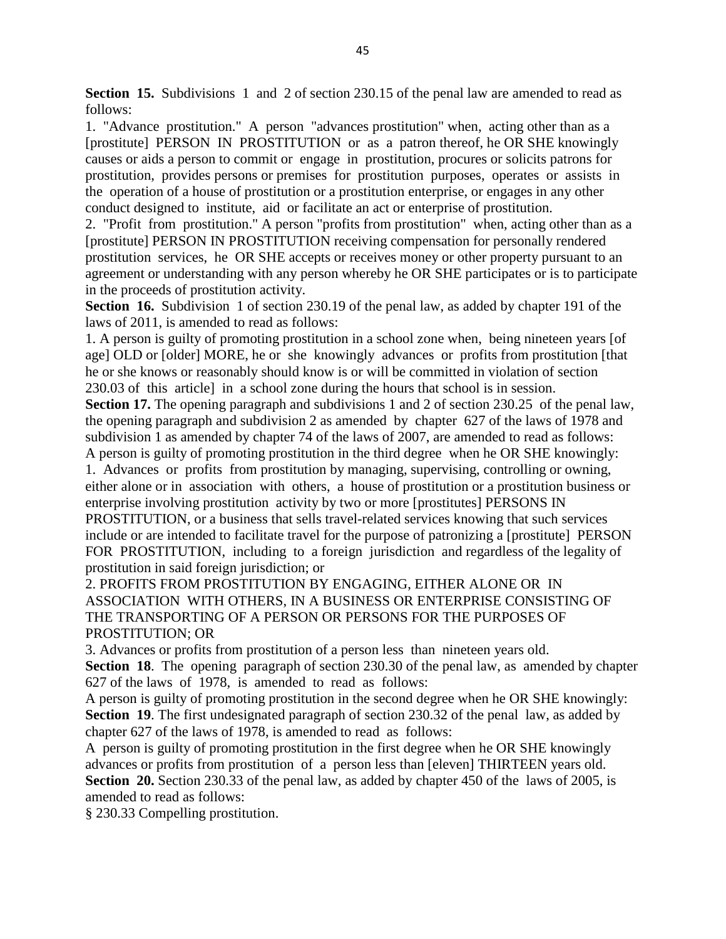**Section 15.** Subdivisions 1 and 2 of section 230.15 of the penal law are amended to read as follows:

1. "Advance prostitution." A person "advances prostitution" when, acting other than as a [prostitute] PERSON IN PROSTITUTION or as a patron thereof, he OR SHE knowingly causes or aids a person to commit or engage in prostitution, procures or solicits patrons for prostitution, provides persons or premises for prostitution purposes, operates or assists in the operation of a house of prostitution or a prostitution enterprise, or engages in any other conduct designed to institute, aid or facilitate an act or enterprise of prostitution.

2. "Profit from prostitution." A person "profits from prostitution" when, acting other than as a [prostitute] PERSON IN PROSTITUTION receiving compensation for personally rendered prostitution services, he OR SHE accepts or receives money or other property pursuant to an agreement or understanding with any person whereby he OR SHE participates or is to participate in the proceeds of prostitution activity.

**Section 16.** Subdivision 1 of section 230.19 of the penal law, as added by chapter 191 of the laws of 2011, is amended to read as follows:

1. A person is guilty of promoting prostitution in a school zone when, being nineteen years [of age] OLD or [older] MORE, he or she knowingly advances or profits from prostitution [that he or she knows or reasonably should know is or will be committed in violation of section 230.03 of this article] in a school zone during the hours that school is in session.

**Section 17.** The opening paragraph and subdivisions 1 and 2 of section 230.25 of the penal law, the opening paragraph and subdivision 2 as amended by chapter 627 of the laws of 1978 and subdivision 1 as amended by chapter 74 of the laws of 2007, are amended to read as follows: A person is guilty of promoting prostitution in the third degree when he OR SHE knowingly:

1. Advances or profits from prostitution by managing, supervising, controlling or owning, either alone or in association with others, a house of prostitution or a prostitution business or enterprise involving prostitution activity by two or more [prostitutes] PERSONS IN PROSTITUTION, or a business that sells travel-related services knowing that such services include or are intended to facilitate travel for the purpose of patronizing a [prostitute] PERSON FOR PROSTITUTION, including to a foreign jurisdiction and regardless of the legality of prostitution in said foreign jurisdiction; or

2. PROFITS FROM PROSTITUTION BY ENGAGING, EITHER ALONE OR IN ASSOCIATION WITH OTHERS, IN A BUSINESS OR ENTERPRISE CONSISTING OF THE TRANSPORTING OF A PERSON OR PERSONS FOR THE PURPOSES OF PROSTITUTION; OR

3. Advances or profits from prostitution of a person less than nineteen years old.

**Section 18**. The opening paragraph of section 230.30 of the penal law, as amended by chapter 627 of the laws of 1978, is amended to read as follows:

A person is guilty of promoting prostitution in the second degree when he OR SHE knowingly: **Section 19.** The first undesignated paragraph of section 230.32 of the penal law, as added by chapter 627 of the laws of 1978, is amended to read as follows:

A person is guilty of promoting prostitution in the first degree when he OR SHE knowingly advances or profits from prostitution of a person less than [eleven] THIRTEEN years old. **Section 20.** Section 230.33 of the penal law, as added by chapter 450 of the laws of 2005, is amended to read as follows:

§ 230.33 Compelling prostitution.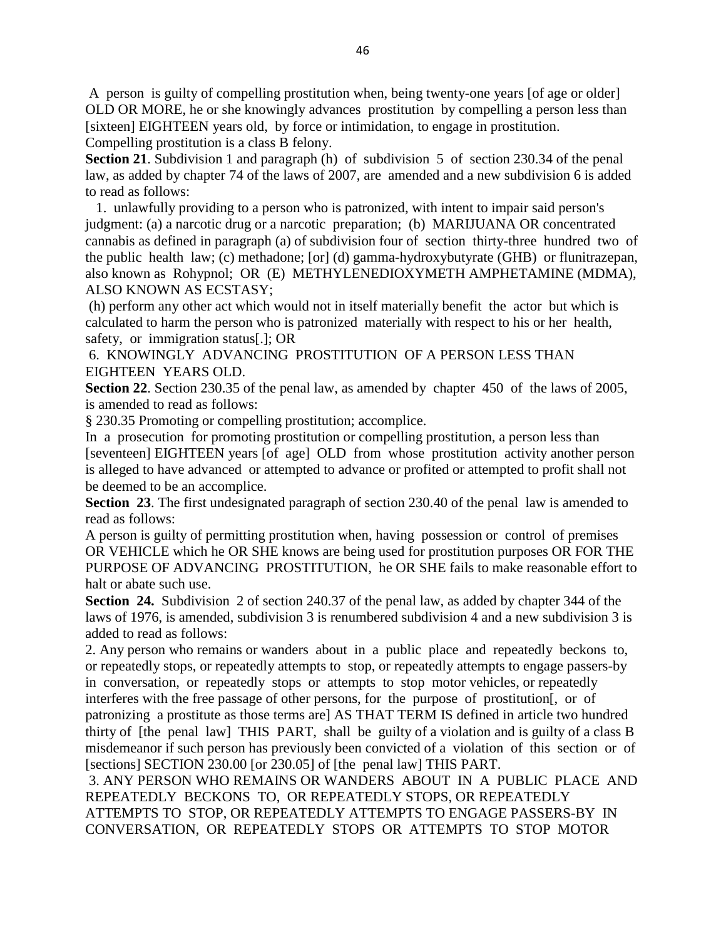A person is guilty of compelling prostitution when, being twenty-one years [of age or older] OLD OR MORE, he or she knowingly advances prostitution by compelling a person less than [sixteen] EIGHTEEN years old, by force or intimidation, to engage in prostitution. Compelling prostitution is a class B felony.

**Section 21.** Subdivision 1 and paragraph (h) of subdivision 5 of section 230.34 of the penal law, as added by chapter 74 of the laws of 2007, are amended and a new subdivision 6 is added to read as follows:

 1. unlawfully providing to a person who is patronized, with intent to impair said person's judgment: (a) a narcotic drug or a narcotic preparation; (b) MARIJUANA OR concentrated cannabis as defined in paragraph (a) of subdivision four of section thirty-three hundred two of the public health law; (c) methadone; [or] (d) gamma-hydroxybutyrate (GHB) or flunitrazepan, also known as Rohypnol; OR (E) METHYLENEDIOXYMETH AMPHETAMINE (MDMA), ALSO KNOWN AS ECSTASY;

(h) perform any other act which would not in itself materially benefit the actor but which is calculated to harm the person who is patronized materially with respect to his or her health, safety, or immigration status[.]; OR

6. KNOWINGLY ADVANCING PROSTITUTION OF A PERSON LESS THAN EIGHTEEN YEARS OLD.

**Section 22**. Section 230.35 of the penal law, as amended by chapter 450 of the laws of 2005, is amended to read as follows:

§ 230.35 Promoting or compelling prostitution; accomplice.

In a prosecution for promoting prostitution or compelling prostitution, a person less than [seventeen] EIGHTEEN years [of age] OLD from whose prostitution activity another person is alleged to have advanced or attempted to advance or profited or attempted to profit shall not be deemed to be an accomplice.

**Section 23**. The first undesignated paragraph of section 230.40 of the penal law is amended to read as follows:

A person is guilty of permitting prostitution when, having possession or control of premises OR VEHICLE which he OR SHE knows are being used for prostitution purposes OR FOR THE PURPOSE OF ADVANCING PROSTITUTION, he OR SHE fails to make reasonable effort to halt or abate such use.

**Section 24.** Subdivision 2 of section 240.37 of the penal law, as added by chapter 344 of the laws of 1976, is amended, subdivision 3 is renumbered subdivision 4 and a new subdivision 3 is added to read as follows:

2. Any person who remains or wanders about in a public place and repeatedly beckons to, or repeatedly stops, or repeatedly attempts to stop, or repeatedly attempts to engage passers-by in conversation, or repeatedly stops or attempts to stop motor vehicles, or repeatedly interferes with the free passage of other persons, for the purpose of prostitution[, or of patronizing a prostitute as those terms are] AS THAT TERM IS defined in article two hundred thirty of [the penal law] THIS PART, shall be guilty of a violation and is guilty of a class B misdemeanor if such person has previously been convicted of a violation of this section or of [sections] SECTION 230.00 [or 230.05] of [the penal law] THIS PART.

3. ANY PERSON WHO REMAINS OR WANDERS ABOUT IN A PUBLIC PLACE AND REPEATEDLY BECKONS TO, OR REPEATEDLY STOPS, OR REPEATEDLY ATTEMPTS TO STOP, OR REPEATEDLY ATTEMPTS TO ENGAGE PASSERS-BY IN CONVERSATION, OR REPEATEDLY STOPS OR ATTEMPTS TO STOP MOTOR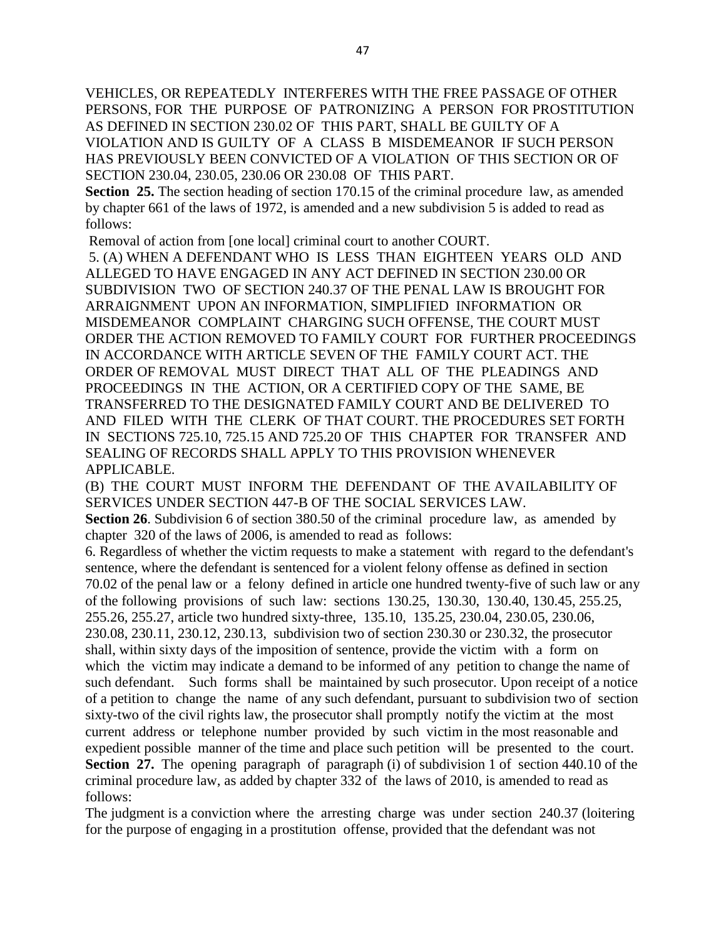VEHICLES, OR REPEATEDLY INTERFERES WITH THE FREE PASSAGE OF OTHER PERSONS, FOR THE PURPOSE OF PATRONIZING A PERSON FOR PROSTITUTION AS DEFINED IN SECTION 230.02 OF THIS PART, SHALL BE GUILTY OF A VIOLATION AND IS GUILTY OF A CLASS B MISDEMEANOR IF SUCH PERSON HAS PREVIOUSLY BEEN CONVICTED OF A VIOLATION OF THIS SECTION OR OF SECTION 230.04, 230.05, 230.06 OR 230.08 OF THIS PART.

**Section 25.** The section heading of section 170.15 of the criminal procedure law, as amended by chapter 661 of the laws of 1972, is amended and a new subdivision 5 is added to read as follows:

Removal of action from [one local] criminal court to another COURT.

5. (A) WHEN A DEFENDANT WHO IS LESS THAN EIGHTEEN YEARS OLD AND ALLEGED TO HAVE ENGAGED IN ANY ACT DEFINED IN SECTION 230.00 OR SUBDIVISION TWO OF SECTION 240.37 OF THE PENAL LAW IS BROUGHT FOR ARRAIGNMENT UPON AN INFORMATION, SIMPLIFIED INFORMATION OR MISDEMEANOR COMPLAINT CHARGING SUCH OFFENSE, THE COURT MUST ORDER THE ACTION REMOVED TO FAMILY COURT FOR FURTHER PROCEEDINGS IN ACCORDANCE WITH ARTICLE SEVEN OF THE FAMILY COURT ACT. THE ORDER OF REMOVAL MUST DIRECT THAT ALL OF THE PLEADINGS AND PROCEEDINGS IN THE ACTION, OR A CERTIFIED COPY OF THE SAME, BE TRANSFERRED TO THE DESIGNATED FAMILY COURT AND BE DELIVERED TO AND FILED WITH THE CLERK OF THAT COURT. THE PROCEDURES SET FORTH IN SECTIONS 725.10, 725.15 AND 725.20 OF THIS CHAPTER FOR TRANSFER AND SEALING OF RECORDS SHALL APPLY TO THIS PROVISION WHENEVER APPLICABLE.

(B) THE COURT MUST INFORM THE DEFENDANT OF THE AVAILABILITY OF SERVICES UNDER SECTION 447-B OF THE SOCIAL SERVICES LAW.

**Section 26**. Subdivision 6 of section 380.50 of the criminal procedure law, as amended by chapter 320 of the laws of 2006, is amended to read as follows:

6. Regardless of whether the victim requests to make a statement with regard to the defendant's sentence, where the defendant is sentenced for a violent felony offense as defined in section 70.02 of the penal law or a felony defined in article one hundred twenty-five of such law or any of the following provisions of such law: sections 130.25, 130.30, 130.40, 130.45, 255.25, 255.26, 255.27, article two hundred sixty-three, 135.10, 135.25, 230.04, 230.05, 230.06, 230.08, 230.11, 230.12, 230.13, subdivision two of section 230.30 or 230.32, the prosecutor shall, within sixty days of the imposition of sentence, provide the victim with a form on which the victim may indicate a demand to be informed of any petition to change the name of such defendant. Such forms shall be maintained by such prosecutor. Upon receipt of a notice of a petition to change the name of any such defendant, pursuant to subdivision two of section sixty-two of the civil rights law, the prosecutor shall promptly notify the victim at the most current address or telephone number provided by such victim in the most reasonable and expedient possible manner of the time and place such petition will be presented to the court. **Section 27.** The opening paragraph of paragraph (i) of subdivision 1 of section 440.10 of the criminal procedure law, as added by chapter 332 of the laws of 2010, is amended to read as follows:

The judgment is a conviction where the arresting charge was under section 240.37 (loitering for the purpose of engaging in a prostitution offense, provided that the defendant was not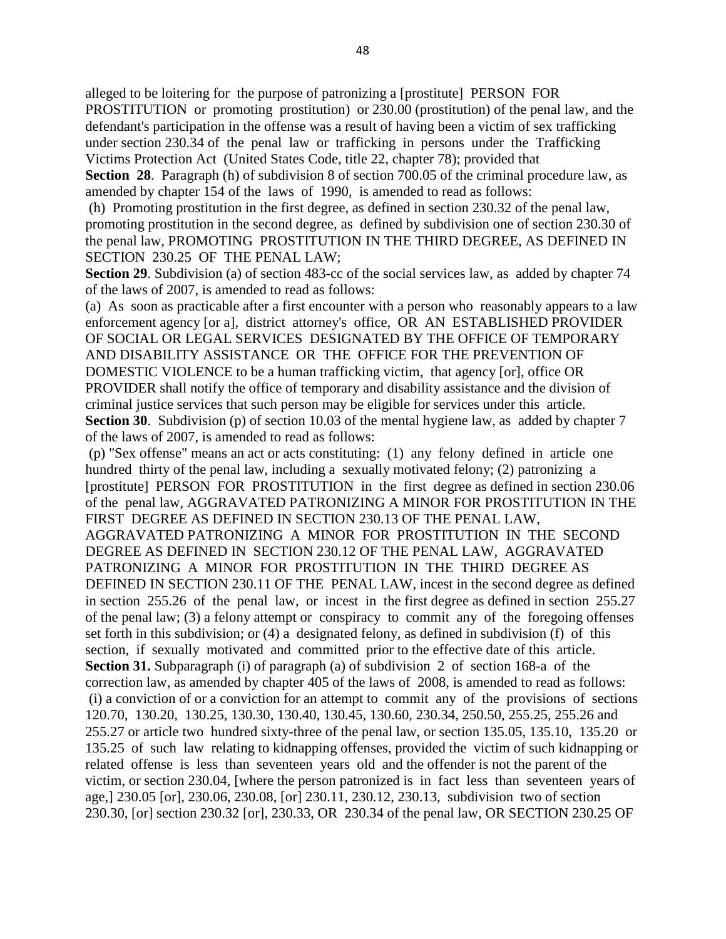alleged to be loitering for the purpose of patronizing a [prostitute] PERSON FOR PROSTITUTION or promoting prostitution) or 230.00 (prostitution) of the penal law, and the defendant's participation in the offense was a result of having been a victim of sex trafficking under section 230.34 of the penal law or trafficking in persons under the Trafficking Victims Protection Act (United States Code, title 22, chapter 78); provided that

**Section 28.** Paragraph (h) of subdivision 8 of section 700.05 of the criminal procedure law, as amended by chapter 154 of the laws of 1990, is amended to read as follows:

(h) Promoting prostitution in the first degree, as defined in section 230.32 of the penal law, promoting prostitution in the second degree, as defined by subdivision one of section 230.30 of the penal law, PROMOTING PROSTITUTION IN THE THIRD DEGREE, AS DEFINED IN SECTION 230.25 OF THE PENAL LAW;

**Section 29**. Subdivision (a) of section 483-cc of the social services law, as added by chapter 74 of the laws of 2007, is amended to read as follows:

(a) As soon as practicable after a first encounter with a person who reasonably appears to a law enforcement agency [or a], district attorney's office, OR AN ESTABLISHED PROVIDER OF SOCIAL OR LEGAL SERVICES DESIGNATED BY THE OFFICE OF TEMPORARY AND DISABILITY ASSISTANCE OR THE OFFICE FOR THE PREVENTION OF DOMESTIC VIOLENCE to be a human trafficking victim, that agency [or], office OR PROVIDER shall notify the office of temporary and disability assistance and the division of criminal justice services that such person may be eligible for services under this article. **Section 30.** Subdivision (p) of section 10.03 of the mental hygiene law, as added by chapter 7 of the laws of 2007, is amended to read as follows:

(p) "Sex offense" means an act or acts constituting: (1) any felony defined in article one hundred thirty of the penal law, including a sexually motivated felony; (2) patronizing a [prostitute] PERSON FOR PROSTITUTION in the first degree as defined in section 230.06 of the penal law, AGGRAVATED PATRONIZING A MINOR FOR PROSTITUTION IN THE FIRST DEGREE AS DEFINED IN SECTION 230.13 OF THE PENAL LAW, AGGRAVATED PATRONIZING A MINOR FOR PROSTITUTION IN THE SECOND DEGREE AS DEFINED IN SECTION 230.12 OF THE PENAL LAW, AGGRAVATED PATRONIZING A MINOR FOR PROSTITUTION IN THE THIRD DEGREE AS DEFINED IN SECTION 230.11 OF THE PENAL LAW, incest in the second degree as defined in section 255.26 of the penal law, or incest in the first degree as defined in section 255.27 of the penal law; (3) a felony attempt or conspiracy to commit any of the foregoing offenses set forth in this subdivision; or (4) a designated felony, as defined in subdivision (f) of this section, if sexually motivated and committed prior to the effective date of this article. **Section 31.** Subparagraph (i) of paragraph (a) of subdivision 2 of section 168-a of the correction law, as amended by chapter 405 of the laws of 2008, is amended to read as follows: (i) a conviction of or a conviction for an attempt to commit any of the provisions of sections 120.70, 130.20, 130.25, 130.30, 130.40, 130.45, 130.60, 230.34, 250.50, 255.25, 255.26 and 255.27 or article two hundred sixty-three of the penal law, or section 135.05, 135.10, 135.20 or 135.25 of such law relating to kidnapping offenses, provided the victim of such kidnapping or related offense is less than seventeen years old and the offender is not the parent of the victim, or section 230.04, [where the person patronized is in fact less than seventeen years of age,] 230.05 [or], 230.06, 230.08, [or] 230.11, 230.12, 230.13, subdivision two of section 230.30, [or] section 230.32 [or], 230.33, OR 230.34 of the penal law, OR SECTION 230.25 OF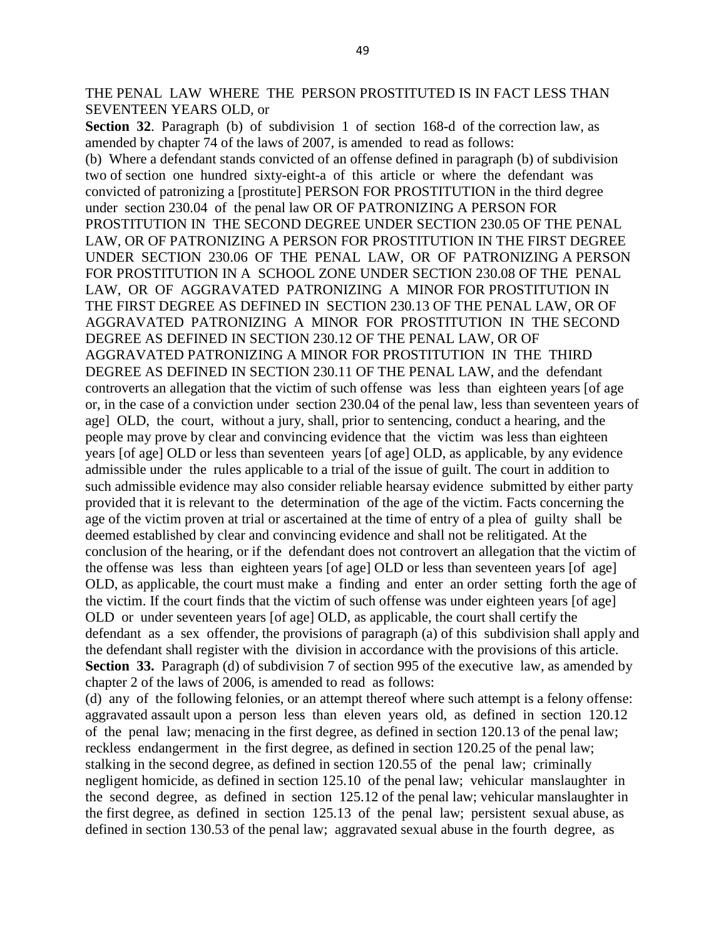THE PENAL LAW WHERE THE PERSON PROSTITUTED IS IN FACT LESS THAN SEVENTEEN YEARS OLD, or

**Section 32.** Paragraph (b) of subdivision 1 of section 168-d of the correction law, as amended by chapter 74 of the laws of 2007, is amended to read as follows:

(b) Where a defendant stands convicted of an offense defined in paragraph (b) of subdivision two of section one hundred sixty-eight-a of this article or where the defendant was convicted of patronizing a [prostitute] PERSON FOR PROSTITUTION in the third degree under section 230.04 of the penal law OR OF PATRONIZING A PERSON FOR PROSTITUTION IN THE SECOND DEGREE UNDER SECTION 230.05 OF THE PENAL LAW, OR OF PATRONIZING A PERSON FOR PROSTITUTION IN THE FIRST DEGREE UNDER SECTION 230.06 OF THE PENAL LAW, OR OF PATRONIZING A PERSON FOR PROSTITUTION IN A SCHOOL ZONE UNDER SECTION 230.08 OF THE PENAL LAW, OR OF AGGRAVATED PATRONIZING A MINOR FOR PROSTITUTION IN THE FIRST DEGREE AS DEFINED IN SECTION 230.13 OF THE PENAL LAW, OR OF AGGRAVATED PATRONIZING A MINOR FOR PROSTITUTION IN THE SECOND DEGREE AS DEFINED IN SECTION 230.12 OF THE PENAL LAW, OR OF AGGRAVATED PATRONIZING A MINOR FOR PROSTITUTION IN THE THIRD DEGREE AS DEFINED IN SECTION 230.11 OF THE PENAL LAW, and the defendant controverts an allegation that the victim of such offense was less than eighteen years [of age or, in the case of a conviction under section 230.04 of the penal law, less than seventeen years of age] OLD, the court, without a jury, shall, prior to sentencing, conduct a hearing, and the people may prove by clear and convincing evidence that the victim was less than eighteen years [of age] OLD or less than seventeen years [of age] OLD, as applicable, by any evidence admissible under the rules applicable to a trial of the issue of guilt. The court in addition to such admissible evidence may also consider reliable hearsay evidence submitted by either party provided that it is relevant to the determination of the age of the victim. Facts concerning the age of the victim proven at trial or ascertained at the time of entry of a plea of guilty shall be deemed established by clear and convincing evidence and shall not be relitigated. At the conclusion of the hearing, or if the defendant does not controvert an allegation that the victim of the offense was less than eighteen years [of age] OLD or less than seventeen years [of age] OLD, as applicable, the court must make a finding and enter an order setting forth the age of the victim. If the court finds that the victim of such offense was under eighteen years [of age] OLD or under seventeen years [of age] OLD, as applicable, the court shall certify the defendant as a sex offender, the provisions of paragraph (a) of this subdivision shall apply and the defendant shall register with the division in accordance with the provisions of this article. **Section 33.** Paragraph (d) of subdivision 7 of section 995 of the executive law, as amended by chapter 2 of the laws of 2006, is amended to read as follows:

(d) any of the following felonies, or an attempt thereof where such attempt is a felony offense: aggravated assault upon a person less than eleven years old, as defined in section 120.12 of the penal law; menacing in the first degree, as defined in section 120.13 of the penal law; reckless endangerment in the first degree, as defined in section 120.25 of the penal law; stalking in the second degree, as defined in section 120.55 of the penal law; criminally negligent homicide, as defined in section 125.10 of the penal law; vehicular manslaughter in the second degree, as defined in section 125.12 of the penal law; vehicular manslaughter in the first degree, as defined in section 125.13 of the penal law; persistent sexual abuse, as defined in section 130.53 of the penal law; aggravated sexual abuse in the fourth degree, as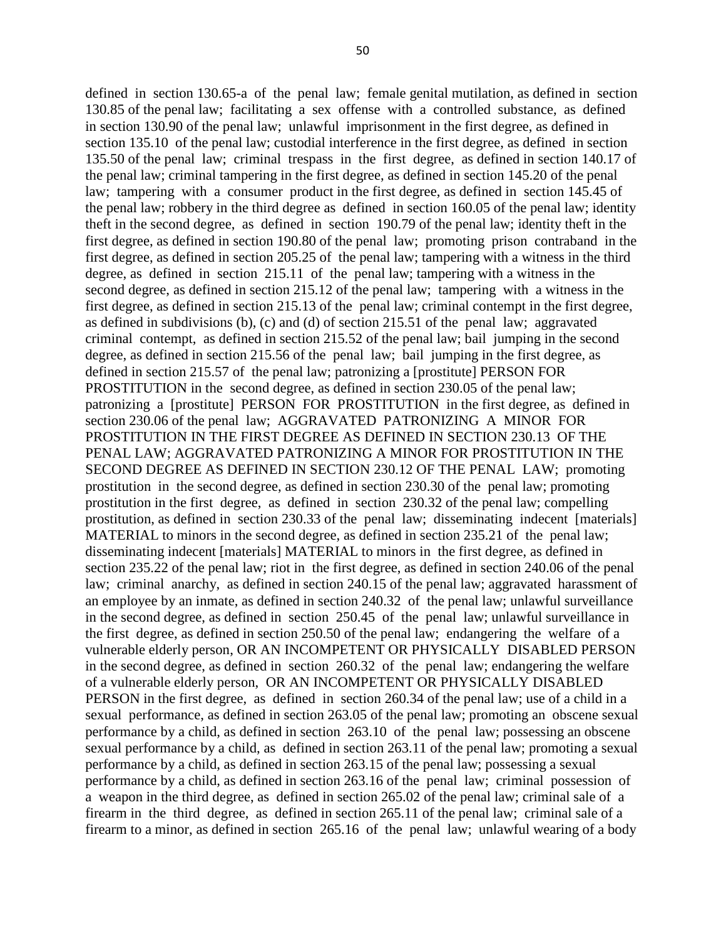defined in section 130.65-a of the penal law; female genital mutilation, as defined in section 130.85 of the penal law; facilitating a sex offense with a controlled substance, as defined in section 130.90 of the penal law; unlawful imprisonment in the first degree, as defined in section 135.10 of the penal law; custodial interference in the first degree, as defined in section 135.50 of the penal law; criminal trespass in the first degree, as defined in section 140.17 of the penal law; criminal tampering in the first degree, as defined in section 145.20 of the penal law; tampering with a consumer product in the first degree, as defined in section 145.45 of the penal law; robbery in the third degree as defined in section 160.05 of the penal law; identity theft in the second degree, as defined in section 190.79 of the penal law; identity theft in the first degree, as defined in section 190.80 of the penal law; promoting prison contraband in the first degree, as defined in section 205.25 of the penal law; tampering with a witness in the third degree, as defined in section 215.11 of the penal law; tampering with a witness in the second degree, as defined in section 215.12 of the penal law; tampering with a witness in the first degree, as defined in section 215.13 of the penal law; criminal contempt in the first degree, as defined in subdivisions (b), (c) and (d) of section 215.51 of the penal law; aggravated criminal contempt, as defined in section 215.52 of the penal law; bail jumping in the second degree, as defined in section 215.56 of the penal law; bail jumping in the first degree, as defined in section 215.57 of the penal law; patronizing a [prostitute] PERSON FOR PROSTITUTION in the second degree, as defined in section 230.05 of the penal law; patronizing a [prostitute] PERSON FOR PROSTITUTION in the first degree, as defined in section 230.06 of the penal law; AGGRAVATED PATRONIZING A MINOR FOR PROSTITUTION IN THE FIRST DEGREE AS DEFINED IN SECTION 230.13 OF THE PENAL LAW; AGGRAVATED PATRONIZING A MINOR FOR PROSTITUTION IN THE SECOND DEGREE AS DEFINED IN SECTION 230.12 OF THE PENAL LAW; promoting prostitution in the second degree, as defined in section 230.30 of the penal law; promoting prostitution in the first degree, as defined in section 230.32 of the penal law; compelling prostitution, as defined in section 230.33 of the penal law; disseminating indecent [materials] MATERIAL to minors in the second degree, as defined in section 235.21 of the penal law; disseminating indecent [materials] MATERIAL to minors in the first degree, as defined in section 235.22 of the penal law; riot in the first degree, as defined in section 240.06 of the penal law; criminal anarchy, as defined in section 240.15 of the penal law; aggravated harassment of an employee by an inmate, as defined in section 240.32 of the penal law; unlawful surveillance in the second degree, as defined in section 250.45 of the penal law; unlawful surveillance in the first degree, as defined in section 250.50 of the penal law; endangering the welfare of a vulnerable elderly person, OR AN INCOMPETENT OR PHYSICALLY DISABLED PERSON in the second degree, as defined in section 260.32 of the penal law; endangering the welfare of a vulnerable elderly person, OR AN INCOMPETENT OR PHYSICALLY DISABLED PERSON in the first degree, as defined in section 260.34 of the penal law; use of a child in a sexual performance, as defined in section 263.05 of the penal law; promoting an obscene sexual performance by a child, as defined in section 263.10 of the penal law; possessing an obscene sexual performance by a child, as defined in section 263.11 of the penal law; promoting a sexual performance by a child, as defined in section 263.15 of the penal law; possessing a sexual performance by a child, as defined in section 263.16 of the penal law; criminal possession of a weapon in the third degree, as defined in section 265.02 of the penal law; criminal sale of a firearm in the third degree, as defined in section 265.11 of the penal law; criminal sale of a firearm to a minor, as defined in section 265.16 of the penal law; unlawful wearing of a body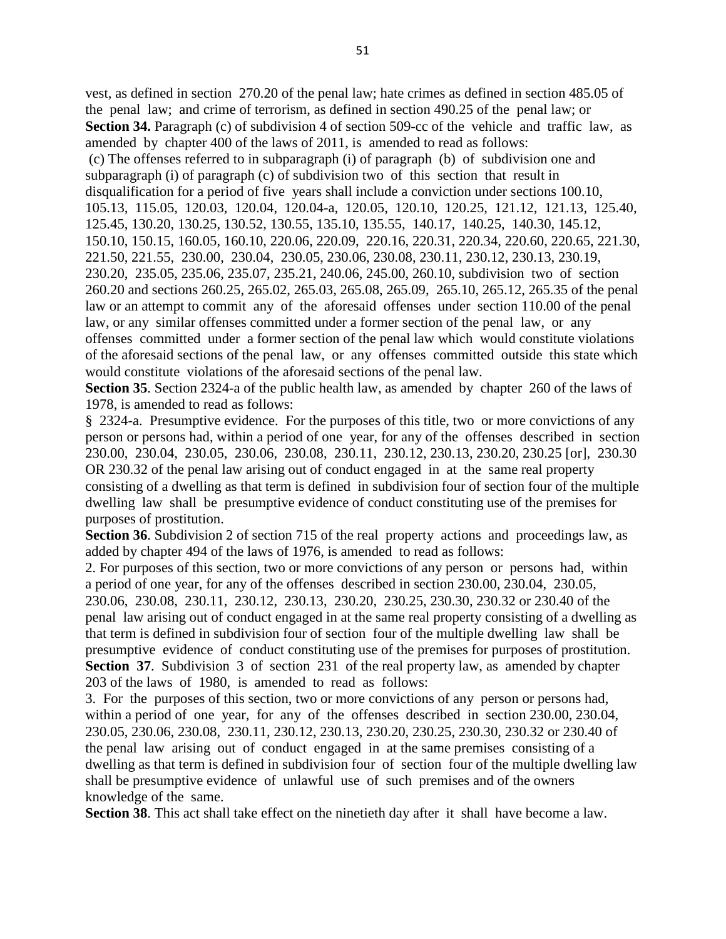vest, as defined in section 270.20 of the penal law; hate crimes as defined in section 485.05 of the penal law; and crime of terrorism, as defined in section 490.25 of the penal law; or **Section 34.** Paragraph (c) of subdivision 4 of section 509-cc of the vehicle and traffic law, as amended by chapter 400 of the laws of 2011, is amended to read as follows: (c) The offenses referred to in subparagraph (i) of paragraph (b) of subdivision one and subparagraph (i) of paragraph (c) of subdivision two of this section that result in disqualification for a period of five years shall include a conviction under sections 100.10, 105.13, 115.05, 120.03, 120.04, 120.04-a, 120.05, 120.10, 120.25, 121.12, 121.13, 125.40, 125.45, 130.20, 130.25, 130.52, 130.55, 135.10, 135.55, 140.17, 140.25, 140.30, 145.12, 150.10, 150.15, 160.05, 160.10, 220.06, 220.09, 220.16, 220.31, 220.34, 220.60, 220.65, 221.30, 221.50, 221.55, 230.00, 230.04, 230.05, 230.06, 230.08, 230.11, 230.12, 230.13, 230.19, 230.20, 235.05, 235.06, 235.07, 235.21, 240.06, 245.00, 260.10, subdivision two of section 260.20 and sections 260.25, 265.02, 265.03, 265.08, 265.09, 265.10, 265.12, 265.35 of the penal law or an attempt to commit any of the aforesaid offenses under section 110.00 of the penal law, or any similar offenses committed under a former section of the penal law, or any offenses committed under a former section of the penal law which would constitute violations of the aforesaid sections of the penal law, or any offenses committed outside this state which would constitute violations of the aforesaid sections of the penal law.

**Section 35**. Section 2324-a of the public health law, as amended by chapter 260 of the laws of 1978, is amended to read as follows:

§ 2324-a. Presumptive evidence. For the purposes of this title, two or more convictions of any person or persons had, within a period of one year, for any of the offenses described in section 230.00, 230.04, 230.05, 230.06, 230.08, 230.11, 230.12, 230.13, 230.20, 230.25 [or], 230.30 OR 230.32 of the penal law arising out of conduct engaged in at the same real property consisting of a dwelling as that term is defined in subdivision four of section four of the multiple dwelling law shall be presumptive evidence of conduct constituting use of the premises for purposes of prostitution.

**Section 36.** Subdivision 2 of section 715 of the real property actions and proceedings law, as added by chapter 494 of the laws of 1976, is amended to read as follows:

2. For purposes of this section, two or more convictions of any person or persons had, within a period of one year, for any of the offenses described in section 230.00, 230.04, 230.05, 230.06, 230.08, 230.11, 230.12, 230.13, 230.20, 230.25, 230.30, 230.32 or 230.40 of the penal law arising out of conduct engaged in at the same real property consisting of a dwelling as that term is defined in subdivision four of section four of the multiple dwelling law shall be presumptive evidence of conduct constituting use of the premises for purposes of prostitution. **Section 37.** Subdivision 3 of section 231 of the real property law, as amended by chapter 203 of the laws of 1980, is amended to read as follows:

3. For the purposes of this section, two or more convictions of any person or persons had, within a period of one year, for any of the offenses described in section 230.00, 230.04, 230.05, 230.06, 230.08, 230.11, 230.12, 230.13, 230.20, 230.25, 230.30, 230.32 or 230.40 of the penal law arising out of conduct engaged in at the same premises consisting of a dwelling as that term is defined in subdivision four of section four of the multiple dwelling law shall be presumptive evidence of unlawful use of such premises and of the owners knowledge of the same.

**Section 38**. This act shall take effect on the ninetieth day after it shall have become a law.